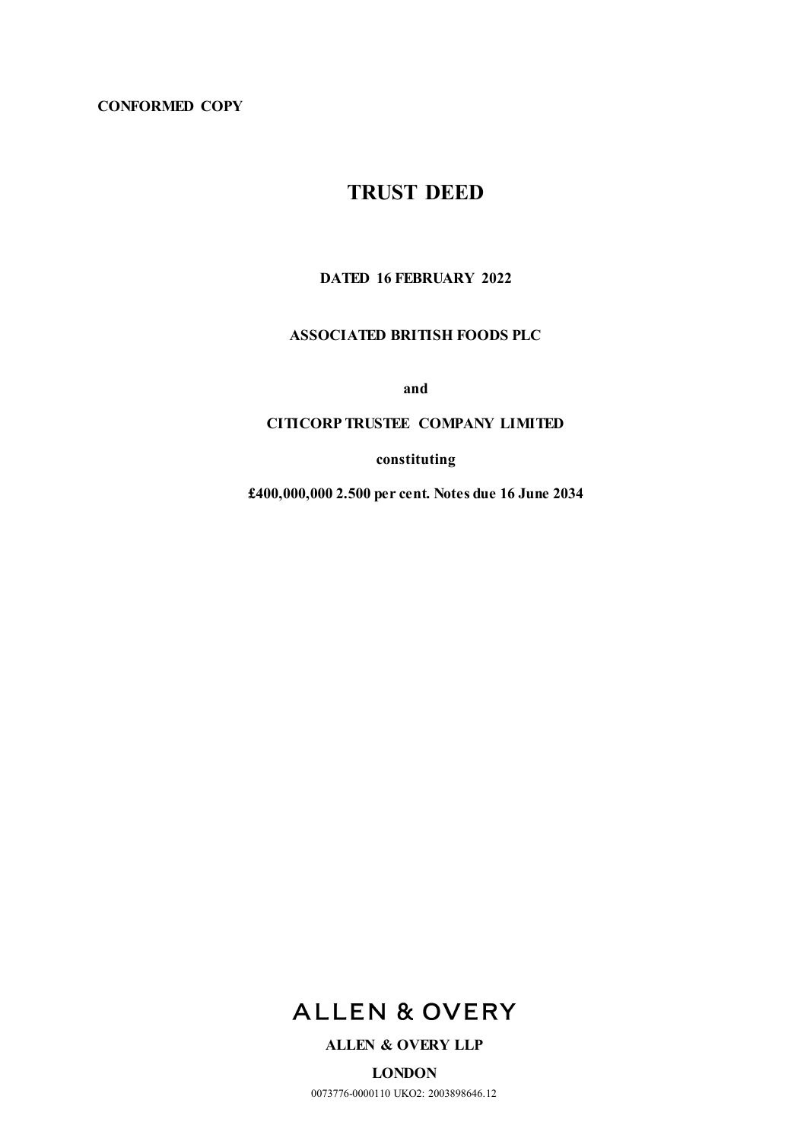# **CONFORMED COPY**

# **TRUST DEED**

# **DATED 16 FEBRUARY 2022**

# **ASSOCIATED BRITISH FOODS PLC**

**and**

# **CITICORP TRUSTEE COMPANY LIMITED**

**constituting**

**£400,000,000 2.500 per cent. Notes due 16 June 2034**



# **ALLEN & OVERY LLP**

**LONDON** 0073776-0000110 UKO2: 2003898646.12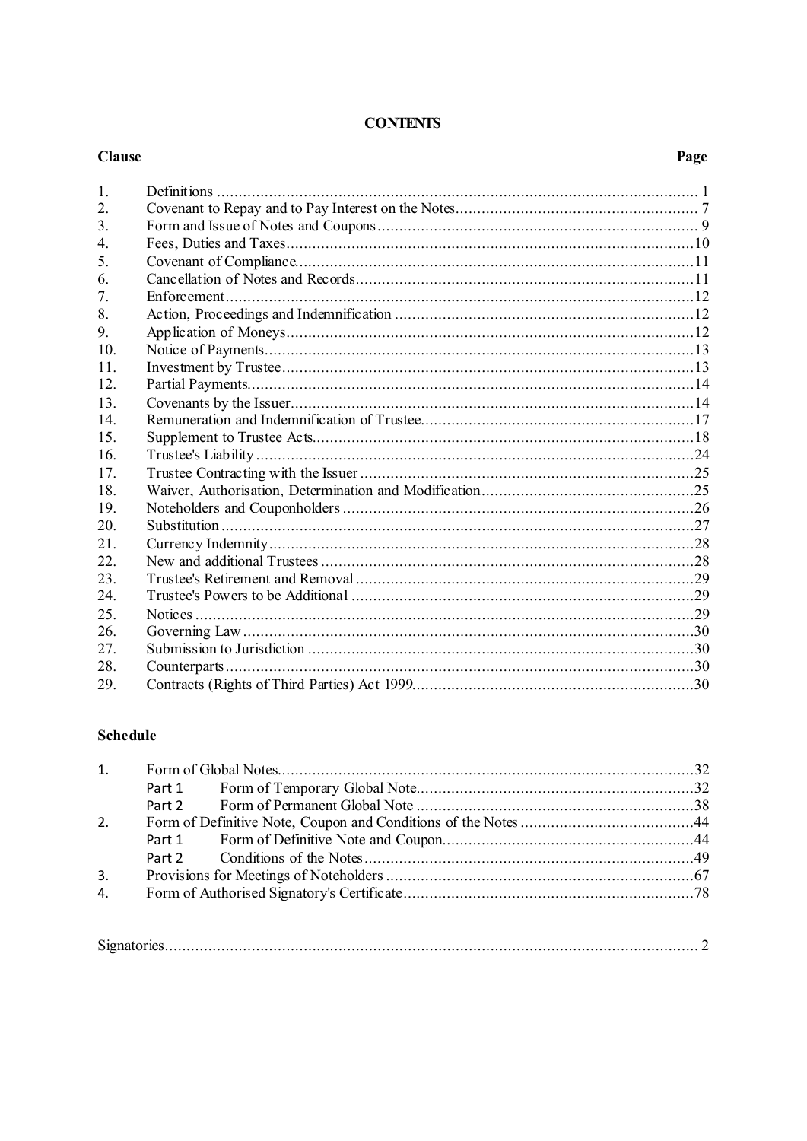#### **CONTENTS**

#### **Clause** Page  $1<sup>1</sup>$  $\overline{2}$ .  $\mathcal{L}$  $\overline{4}$ .  $\overline{5}$ . 6.  $7.$ 8.  $\mathbf{Q}$  $10.$  $11<sub>1</sub>$  $12<sub>1</sub>$ 13.  $14$ 15. 16. 17. 18. 19. 20.  $21$  $22$  $23$ 24. 25. 26. 27. 28.

# **Schedule**

29.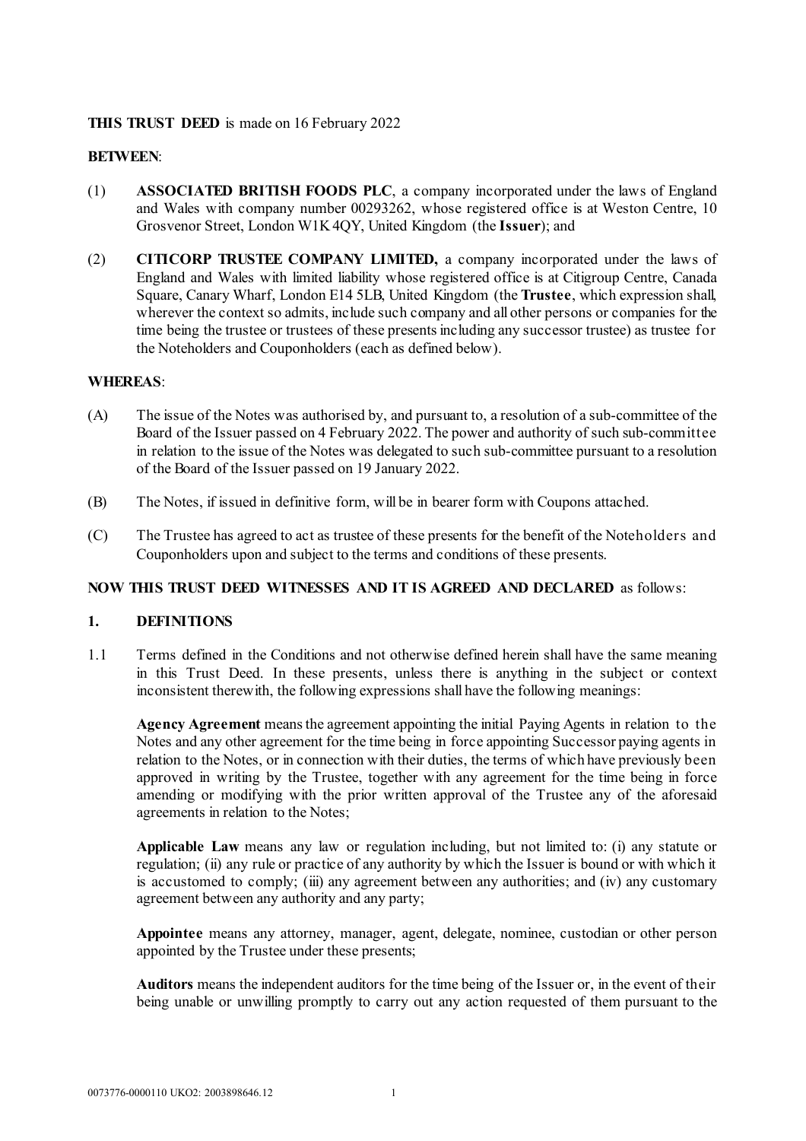# **THIS TRUST DEED** is made on 16 February 2022

# **BETWEEN**:

- (1) **ASSOCIATED BRITISH FOODS PLC**, a company incorporated under the laws of England and Wales with company number 00293262, whose registered office is at Weston Centre, 10 Grosvenor Street, London W1K 4QY, United Kingdom (the **Issuer**); and
- (2) **CITICORP TRUSTEE COMPANY LIMITED,** a company incorporated under the laws of England and Wales with limited liability whose registered office is at Citigroup Centre, Canada Square, Canary Wharf, London E14 5LB, United Kingdom (the **Trustee**, which expression shall, wherever the context so admits, include such company and all other persons or companies for the time being the trustee or trustees of these presents including any successor trustee) as trustee for the Noteholders and Couponholders (each as defined below).

#### **WHEREAS**:

- (A) The issue of the Notes was authorised by, and pursuant to, a resolution of a sub-committee of the Board of the Issuer passed on 4 February 2022. The power and authority of such sub-committee in relation to the issue of the Notes was delegated to such sub-committee pursuant to a resolution of the Board of the Issuer passed on 19 January 2022.
- (B) The Notes, if issued in definitive form, will be in bearer form with Coupons attached.
- (C) The Trustee has agreed to act as trustee of these presents for the benefit of the Noteholders and Couponholders upon and subject to the terms and conditions of these presents.

#### <span id="page-2-0"></span>**NOW THIS TRUST DEED WITNESSES AND IT IS AGREED AND DECLARED** as follows:

#### **1. DEFINITIONS**

1.1 Terms defined in the Conditions and not otherwise defined herein shall have the same meaning in this Trust Deed. In these presents, unless there is anything in the subject or context inconsistent therewith, the following expressions shall have the following meanings:

**Agency Agreement** means the agreement appointing the initial Paying Agents in relation to the Notes and any other agreement for the time being in force appointing Successor paying agents in relation to the Notes, or in connection with their duties, the terms of which have previously been approved in writing by the Trustee, together with any agreement for the time being in force amending or modifying with the prior written approval of the Trustee any of the aforesaid agreements in relation to the Notes;

**Applicable Law** means any law or regulation including, but not limited to: (i) any statute or regulation; (ii) any rule or practice of any authority by which the Issuer is bound or with which it is accustomed to comply; (iii) any agreement between any authorities; and (iv) any customary agreement between any authority and any party;

**Appointee** means any attorney, manager, agent, delegate, nominee, custodian or other person appointed by the Trustee under these presents;

**Auditors** means the independent auditors for the time being of the Issuer or, in the event of their being unable or unwilling promptly to carry out any action requested of them pursuant to the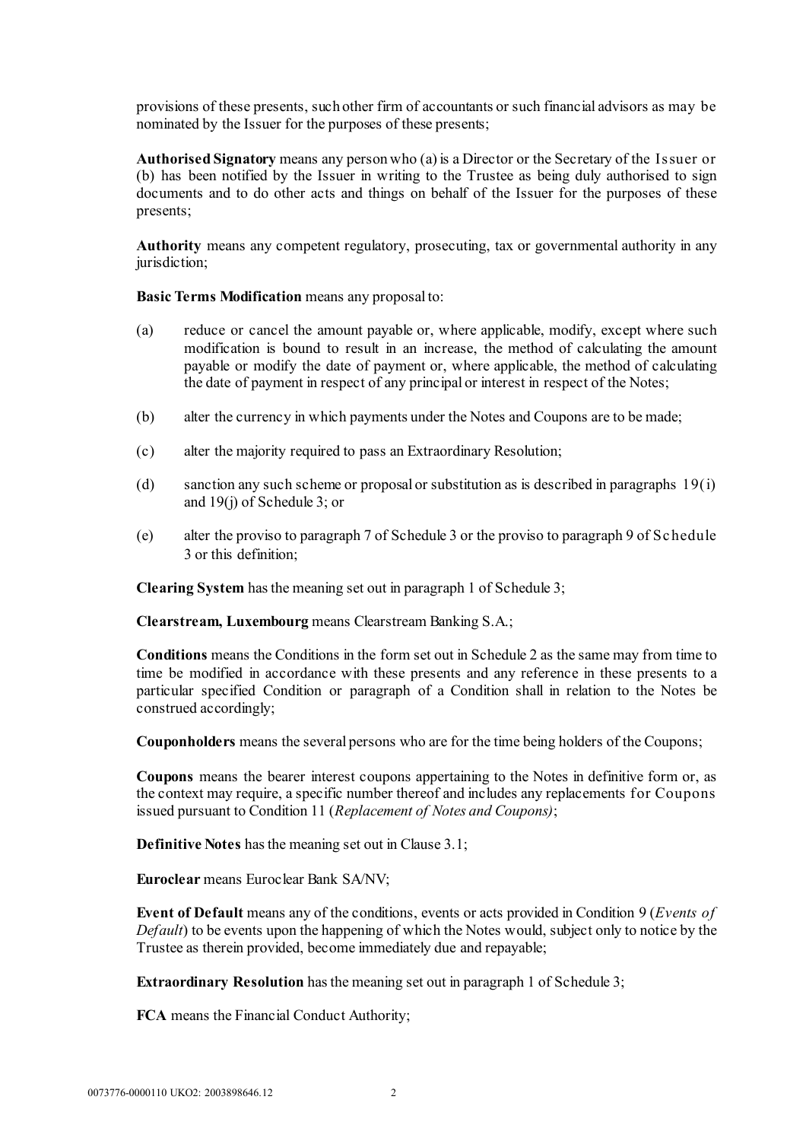provisions of these presents, such other firm of accountants or such financial advisors as may be nominated by the Issuer for the purposes of these presents;

**Authorised Signatory** means any person who (a) is a Director or the Secretary of the Issuer or (b) has been notified by the Issuer in writing to the Trustee as being duly authorised to sign documents and to do other acts and things on behalf of the Issuer for the purposes of these presents;

**Authority** means any competent regulatory, prosecuting, tax or governmental authority in any jurisdiction;

#### **Basic Terms Modification** means any proposal to:

- (a) reduce or cancel the amount payable or, where applicable, modify, except where such modification is bound to result in an increase, the method of calculating the amount payable or modify the date of payment or, where applicable, the method of calculating the date of payment in respect of any principal or interest in respect of the Notes;
- (b) alter the currency in which payments under the Notes and Coupons are to be made;
- (c) alter the majority required to pass an Extraordinary Resolution;
- (d) sanction any such scheme or proposal or substitution as is described in paragraphs [19\(i](#page-74-0)) and [19\(](#page-74-0)j) of [Schedule 3;](#page-68-0) or
- (e) alter the proviso to paragraph [7](#page-72-0) of [Schedule 3](#page-68-0) or the proviso to paragraph 9 [of](#page-73-0) [Schedule](#page-68-0)  [3](#page-68-0) or this definition;

**Clearing System** has the meaning set out in paragrap[h 1](#page-68-1) of [Schedule 3;](#page-68-0)

**Clearstream, Luxembourg** means Clearstream Banking S.A.;

**Conditions** means the Conditions in the form set out in [Schedule 2](#page-45-0) as the same may from time to time be modified in accordance with these presents and any reference in these presents to a particular specified Condition or paragraph of a Condition shall in relation to the Notes be construed accordingly;

**Couponholders** means the several persons who are for the time being holders of the Coupons;

**Coupons** means the bearer interest coupons appertaining to the Notes in definitive form or, as the context may require, a specific number thereof and includes any replacements for Coupons issued pursuant to Condition 11 (*Replacement of Notes and Coupons)*;

**Definitive Notes** has the meaning set out in Clause [3.1;](#page-10-0)

**Euroclear** means Euroclear Bank SA/NV;

**Event of Default** means any of the conditions, events or acts provided in Condition 9 (*Events of Default*) to be events upon the happening of which the Notes would, subject only to notice by the Trustee as therein provided, become immediately due and repayable;

**Extraordinary Resolution** has the meaning set out in paragrap[h 1](#page-68-1) of [Schedule 3;](#page-68-0)

**FCA** means the Financial Conduct Authority;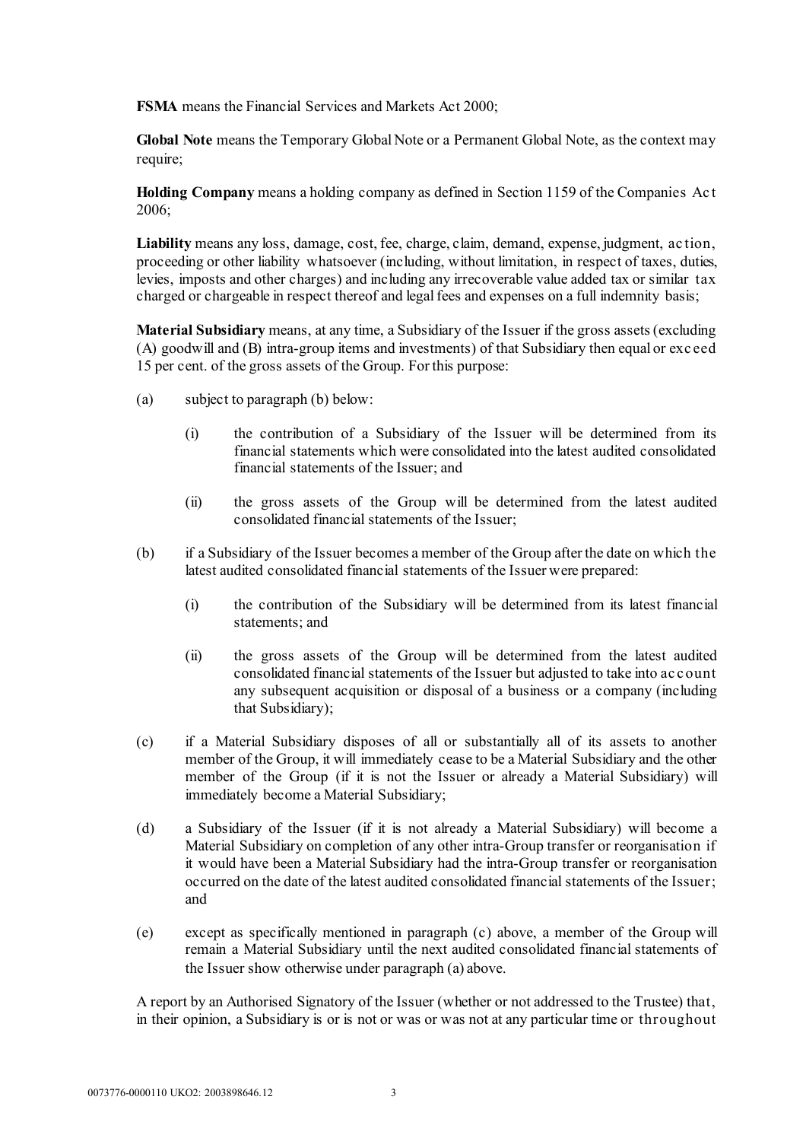**FSMA** means the Financial Services and Markets Act 2000;

**Global Note** means the Temporary Global Note or a Permanent Global Note, as the context may require;

**Holding Company** means a holding company as defined in Section 1159 of the Companies Ac t 2006;

**Liability** means any loss, damage, cost, fee, charge, claim, demand, expense, judgment, action, proceeding or other liability whatsoever (including, without limitation, in respect of taxes, duties, levies, imposts and other charges) and including any irrecoverable value added tax or similar tax charged or chargeable in respect thereof and legal fees and expenses on a full indemnity basis;

**Material Subsidiary** means, at any time, a Subsidiary of the Issuer if the gross assets (excluding (A) goodwill and (B) intra-group items and investments) of that Subsidiary then equal or exc eed 15 per cent. of the gross assets of the Group. For this purpose:

- (a) subject to paragraph (b) below:
	- (i) the contribution of a Subsidiary of the Issuer will be determined from its financial statements which were consolidated into the latest audited consolidated financial statements of the Issuer; and
	- (ii) the gross assets of the Group will be determined from the latest audited consolidated financial statements of the Issuer;
- (b) if a Subsidiary of the Issuer becomes a member of the Group after the date on which the latest audited consolidated financial statements of the Issuer were prepared:
	- (i) the contribution of the Subsidiary will be determined from its latest financial statements; and
	- (ii) the gross assets of the Group will be determined from the latest audited consolidated financial statements of the Issuer but adjusted to take into ac c ount any subsequent acquisition or disposal of a business or a company (including that Subsidiary);
- (c) if a Material Subsidiary disposes of all or substantially all of its assets to another member of the Group, it will immediately cease to be a Material Subsidiary and the other member of the Group (if it is not the Issuer or already a Material Subsidiary) will immediately become a Material Subsidiary;
- (d) a Subsidiary of the Issuer (if it is not already a Material Subsidiary) will become a Material Subsidiary on completion of any other intra-Group transfer or reorganisation if it would have been a Material Subsidiary had the intra-Group transfer or reorganisation occurred on the date of the latest audited consolidated financial statements of the Issuer; and
- (e) except as specifically mentioned in paragraph (c) above, a member of the Group will remain a Material Subsidiary until the next audited consolidated financial statements of the Issuer show otherwise under paragraph (a) above.

A report by an Authorised Signatory of the Issuer (whether or not addressed to the Trustee) that, in their opinion, a Subsidiary is or is not or was or was not at any particular time or throughout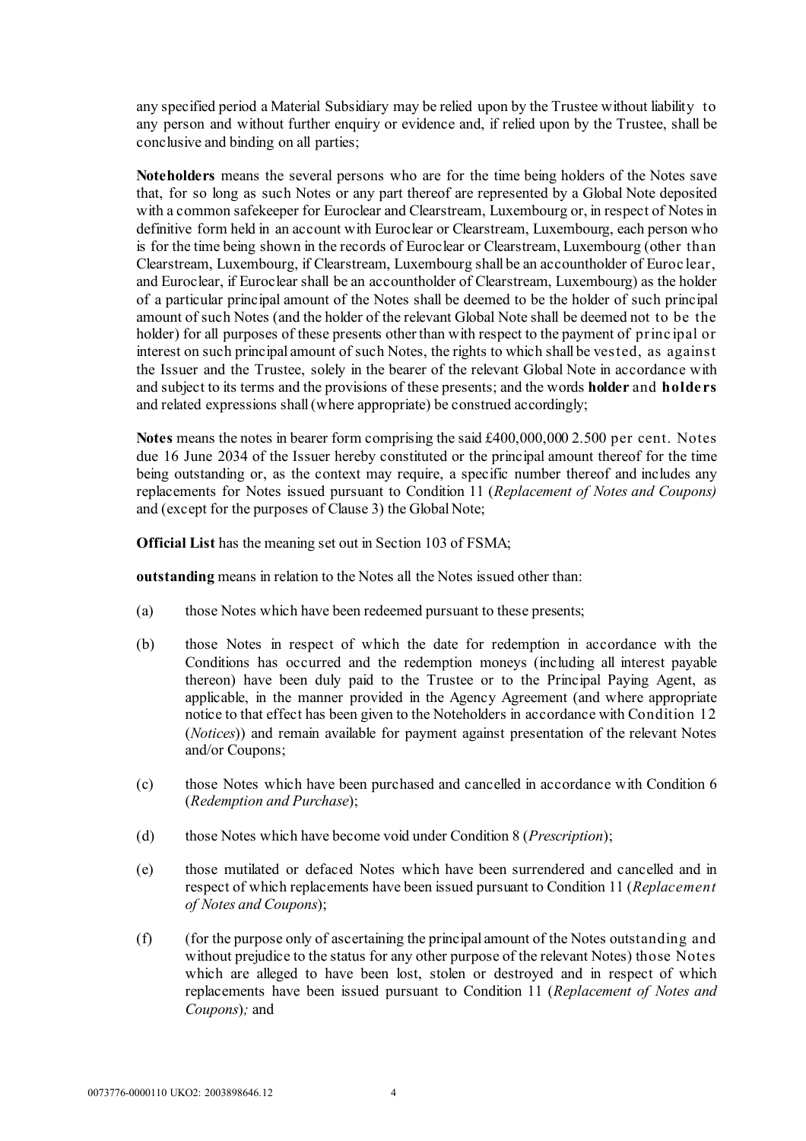any specified period a Material Subsidiary may be relied upon by the Trustee without liability to any person and without further enquiry or evidence and, if relied upon by the Trustee, shall be conclusive and binding on all parties;

**Noteholders** means the several persons who are for the time being holders of the Notes save that, for so long as such Notes or any part thereof are represented by a Global Note deposited with a common safekeeper for Euroclear and Clearstream, Luxembourg or, in respect of Notes in definitive form held in an account with Euroclear or Clearstream, Luxembourg, each person who is for the time being shown in the records of Euroclear or Clearstream, Luxembourg (other than Clearstream, Luxembourg, if Clearstream, Luxembourg shall be an accountholder of Euroc lear, and Euroclear, if Euroclear shall be an accountholder of Clearstream, Luxembourg) as the holder of a particular principal amount of the Notes shall be deemed to be the holder of such principal amount of such Notes (and the holder of the relevant Global Note shall be deemed not to be the holder) for all purposes of these presents other than with respect to the payment of princ ipal or interest on such principal amount of such Notes, the rights to which shall be vested, as against the Issuer and the Trustee, solely in the bearer of the relevant Global Note in accordance with and subject to its terms and the provisions of these presents; and the words **holder** and **holders** and related expressions shall (where appropriate) be construed accordingly;

**Notes** means the notes in bearer form comprising the said £400,000,000 2.500 per cent. Notes due 16 June 2034 of the Issuer hereby constituted or the principal amount thereof for the time being outstanding or, as the context may require, a specific number thereof and includes any replacements for Notes issued pursuant to Condition 11 (*Replacement of Notes and Coupons)* and (except for the purposes of Claus[e 3\)](#page-10-1) the Global Note;

**Official List** has the meaning set out in Section 103 of FSMA;

**outstanding** means in relation to the Notes all the Notes issued other than:

- (a) those Notes which have been redeemed pursuant to these presents;
- (b) those Notes in respect of which the date for redemption in accordance with the Conditions has occurred and the redemption moneys (including all interest payable thereon) have been duly paid to the Trustee or to the Principal Paying Agent, as applicable, in the manner provided in the Agency Agreement (and where appropriate notice to that effect has been given to the Noteholders in accordance with Condition 12 (*Notices*)) and remain available for payment against presentation of the relevant Notes and/or Coupons;
- (c) those Notes which have been purchased and cancelled in accordance with Condition 6 (*Redemption and Purchase*);
- (d) those Notes which have become void under Condition 8 (*Prescription*);
- (e) those mutilated or defaced Notes which have been surrendered and cancelled and in respect of which replacements have been issued pursuant to Condition 11 (*Replacement of Notes and Coupons*);
- (f) (for the purpose only of ascertaining the principal amount of the Notes outstanding and without prejudice to the status for any other purpose of the relevant Notes) those Notes which are alleged to have been lost, stolen or destroyed and in respect of which replacements have been issued pursuant to Condition 11 (*Replacement of Notes and Coupons*)*;* and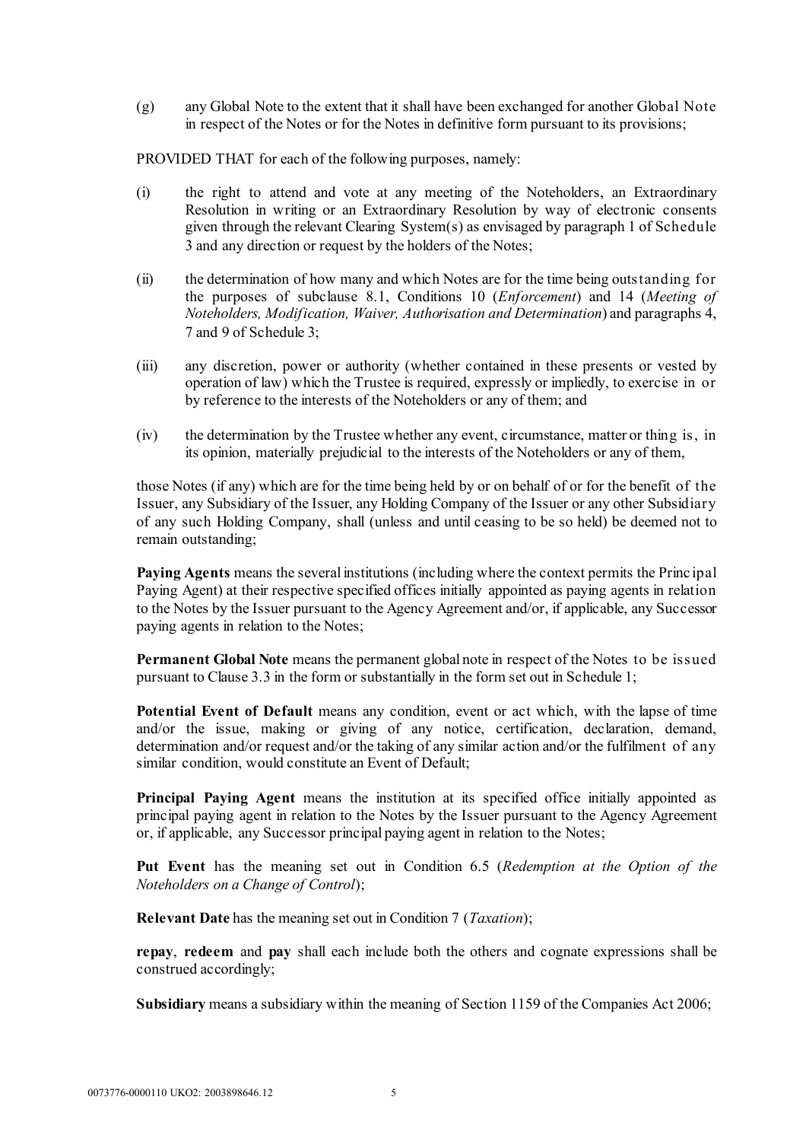(g) any Global Note to the extent that it shall have been exchanged for another Global Note in respect of the Notes or for the Notes in definitive form pursuant to its provisions;

PROVIDED THAT for each of the following purposes, namely:

- (i) the right to attend and vote at any meeting of the Noteholders, an Extraordinary Resolution in writing or an Extraordinary Resolution by way of electronic consents given through the relevant Clearing System(s) as envisaged by paragraph 1 [o](#page-68-1)f Schedule 3 and any direction or request by the holders of the Notes;
- (ii) the determination of how many and which Notes are for the time being outstanding for the purposes of subclause [8.1,](#page-13-0) Conditions 10 (*Enforcement*) and 14 (*Meeting of Noteholders, Modification, Waiver, Authorisation and Determination*) and paragraphs [4,](#page-71-0)  [7](#page-72-1) and [9](#page-73-0) of [Schedule 3;](#page-68-0)
- (iii) any discretion, power or authority (whether contained in these presents or vested by operation of law) which the Trustee is required, expressly or impliedly, to exercise in or by reference to the interests of the Noteholders or any of them; and
- (iv) the determination by the Trustee whether any event, circumstance, matter or thing is, in its opinion, materially prejudicial to the interests of the Noteholders or any of them,

those Notes (if any) which are for the time being held by or on behalf of or for the benefit of the Issuer, any Subsidiary of the Issuer, any Holding Company of the Issuer or any other Subsidiary of any such Holding Company, shall (unless and until ceasing to be so held) be deemed not to remain outstanding;

**Paying Agents** means the several institutions (including where the context permits the Princ ipal Paying Agent) at their respective specified offices initially appointed as paying agents in relation to the Notes by the Issuer pursuant to the Agency Agreement and/or, if applicable, any Successor paying agents in relation to the Notes;

**Permanent Global Note** means the permanent global note in respect of the Notes to be issued pursuant to Clause [3.3](#page-11-0) in the form or substantially in the form set out in [Schedule 1;](#page-33-0)

**Potential Event of Default** means any condition, event or act which, with the lapse of time and/or the issue, making or giving of any notice, certification, declaration, demand, determination and/or request and/or the taking of any similar action and/or the fulfilment of any similar condition, would constitute an Event of Default;

**Principal Paying Agent** means the institution at its specified office initially appointed as principal paying agent in relation to the Notes by the Issuer pursuant to the Agency Agreement or, if applicable, any Successor principal paying agent in relation to the Notes;

**Put Event** has the meaning set out in Condition 6.5 (*Redemption at the Option of the Noteholders on a Change of Control*);

**Relevant Date** has the meaning set out in Condition 7 (*Taxation*);

**repay**, **redeem** and **pay** shall each include both the others and cognate expressions shall be construed accordingly;

**Subsidiary** means a subsidiary within the meaning of Section 1159 of the Companies Act 2006;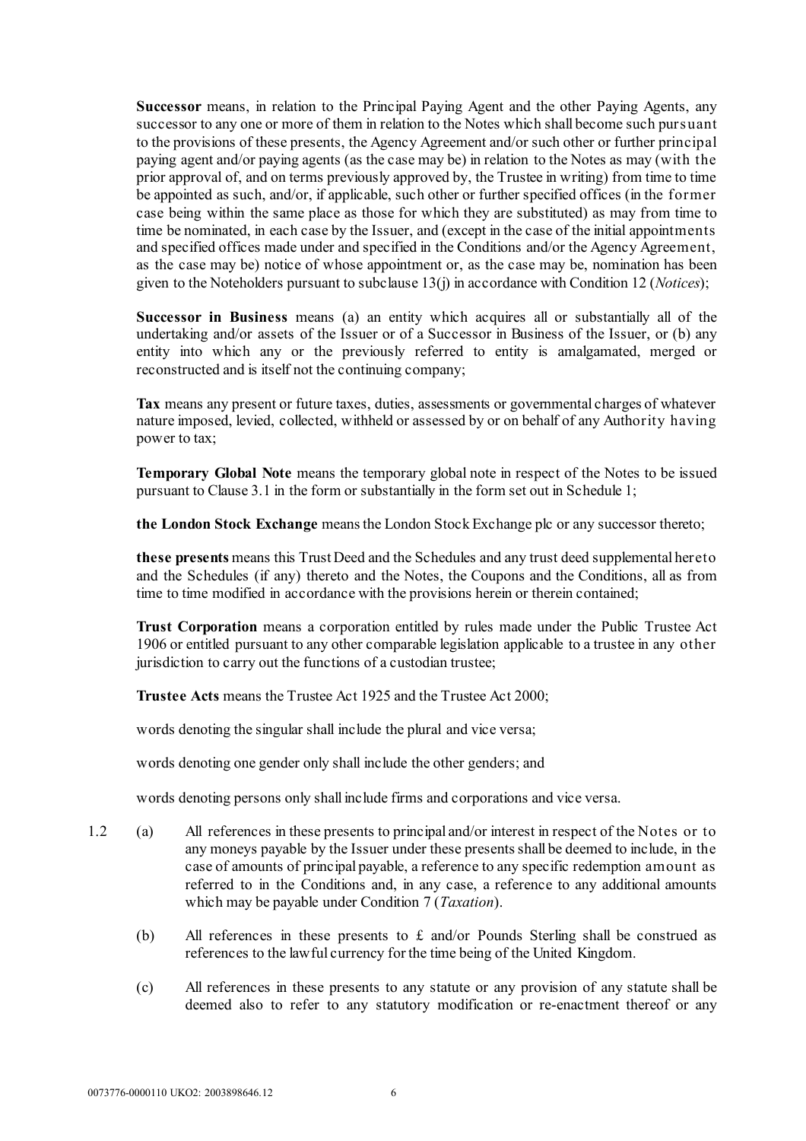**Successor** means, in relation to the Principal Paying Agent and the other Paying Agents, any successor to any one or more of them in relation to the Notes which shall become such pursuant to the provisions of these presents, the Agency Agreement and/or such other or further principal paying agent and/or paying agents (as the case may be) in relation to the Notes as may (with the prior approval of, and on terms previously approved by, the Trustee in writing) from time to time be appointed as such, and/or, if applicable, such other or further specified offices (in the former case being within the same place as those for which they are substituted) as may from time to time be nominated, in each case by the Issuer, and (except in the case of the initial appointments and specified offices made under and specified in the Conditions and/or the Agency Agreement, as the case may be) notice of whose appointment or, as the case may be, nomination has been given to the Noteholders pursuant to subclause [13\(j\)](#page-16-0) in accordance with Condition 12 (*Notices*);

**Successor in Business** means (a) an entity which acquires all or substantially all of the undertaking and/or assets of the Issuer or of a Successor in Business of the Issuer, or (b) any entity into which any or the previously referred to entity is amalgamated, merged or reconstructed and is itself not the continuing company;

**Tax** means any present or future taxes, duties, assessments or governmental charges of whatever nature imposed, levied, collected, withheld or assessed by or on behalf of any Authority having power to tax;

**Temporary Global Note** means the temporary global note in respect of the Notes to be issued pursuant to Clause [3.1](#page-10-0) in the form or substantially in the form set out in [Schedule 1;](#page-33-0)

**the London Stock Exchange** means the London Stock Exchange plc or any successor thereto;

**these presents** means this Trust Deed and the Schedules and any trust deed supplemental hereto and the Schedules (if any) thereto and the Notes, the Coupons and the Conditions, all as from time to time modified in accordance with the provisions herein or therein contained;

**Trust Corporation** means a corporation entitled by rules made under the Public Trustee Act 1906 or entitled pursuant to any other comparable legislation applicable to a trustee in any other jurisdiction to carry out the functions of a custodian trustee;

**Trustee Acts** means the Trustee Act 1925 and the Trustee Act 2000;

words denoting the singular shall include the plural and vice versa;

words denoting one gender only shall include the other genders; and

words denoting persons only shall include firms and corporations and vice versa.

- 1.2 (a) All references in these presents to principal and/or interest in respect of the Notes or to any moneys payable by the Issuer under these presents shall be deemed to include, in the case of amounts of principal payable, a reference to any specific redemption amount as referred to in the Conditions and, in any case, a reference to any additional amounts which may be payable under Condition 7 (*Taxation*).
	- (b) All references in these presents to  $\epsilon$  and/or Pounds Sterling shall be construed as references to the lawful currency for the time being of the United Kingdom.
	- (c) All references in these presents to any statute or any provision of any statute shall be deemed also to refer to any statutory modification or re-enactment thereof or any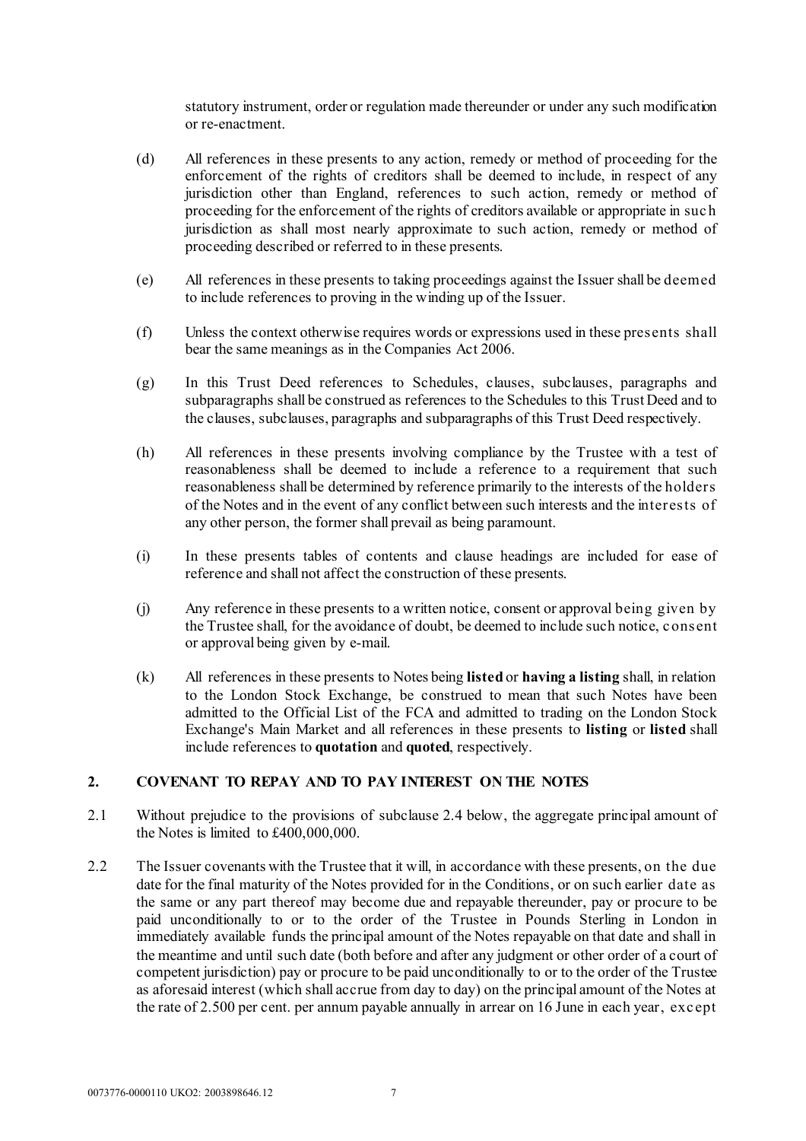statutory instrument, order or regulation made thereunder or under any such modification or re-enactment.

- (d) All references in these presents to any action, remedy or method of proceeding for the enforcement of the rights of creditors shall be deemed to include, in respect of any jurisdiction other than England, references to such action, remedy or method of proceeding for the enforcement of the rights of creditors available or appropriate in suc h jurisdiction as shall most nearly approximate to such action, remedy or method of proceeding described or referred to in these presents.
- (e) All references in these presents to taking proceedings against the Issuer shall be deemed to include references to proving in the winding up of the Issuer.
- (f) Unless the context otherwise requires words or expressions used in these presents shall bear the same meanings as in the Companies Act 2006.
- (g) In this Trust Deed references to Schedules, clauses, subclauses, paragraphs and subparagraphs shall be construed as references to the Schedules to this Trust Deed and to the clauses, subclauses, paragraphs and subparagraphs of this Trust Deed respectively.
- (h) All references in these presents involving compliance by the Trustee with a test of reasonableness shall be deemed to include a reference to a requirement that such reasonableness shall be determined by reference primarily to the interests of the holders of the Notes and in the event of any conflict between such interests and the interests of any other person, the former shall prevail as being paramount.
- (i) In these presents tables of contents and clause headings are included for ease of reference and shall not affect the construction of these presents.
- (j) Any reference in these presents to a written notice, consent or approval being given by the Trustee shall, for the avoidance of doubt, be deemed to include such notice, consent or approval being given by e-mail.
- (k) All references in these presents to Notes being **listed** or **having a listing** shall, in relation to the London Stock Exchange, be construed to mean that such Notes have been admitted to the Official List of the FCA and admitted to trading on the London Stock Exchange's Main Market and all references in these presents to **listing** or **listed** shall include references to **quotation** and **quoted**, respectively.

# **2. COVENANT TO REPAY AND TO PAY INTEREST ON THE NOTES**

- 2.1 Without prejudice to the provisions of subclaus[e 2.4](#page-10-2) below, the aggregate principal amount of the Notes is limited to £400,000,000.
- <span id="page-8-0"></span>2.2 The Issuer covenants with the Trustee that it will, in accordance with these presents, on the due date for the final maturity of the Notes provided for in the Conditions, or on such earlier date as the same or any part thereof may become due and repayable thereunder, pay or procure to be paid unconditionally to or to the order of the Trustee in Pounds Sterling in London in immediately available funds the principal amount of the Notes repayable on that date and shall in the meantime and until such date (both before and after any judgment or other order of a court of competent jurisdiction) pay or procure to be paid unconditionally to or to the order of the Trustee as aforesaid interest (which shall accrue from day to day) on the principal amount of the Notes at the rate of 2.500 per cent. per annum payable annually in arrear on 16 June in each year, except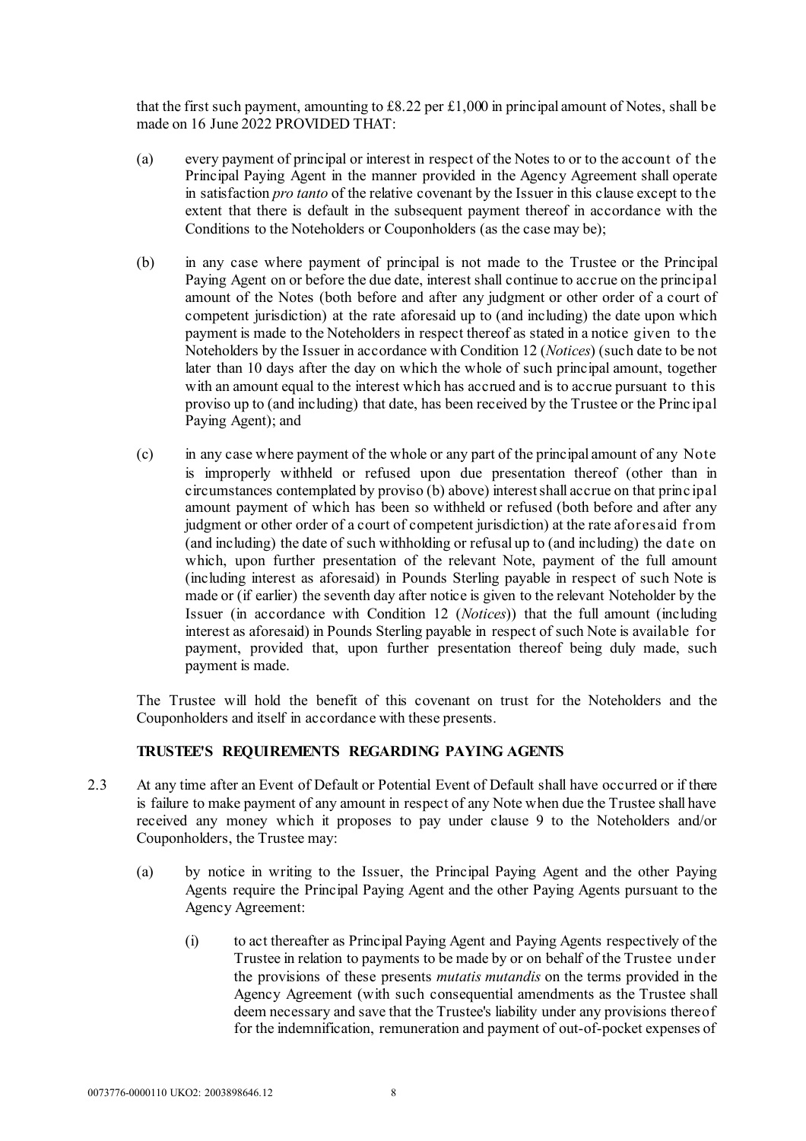that the first such payment, amounting to  $\text{\pounds}8.22$  per  $\text{\pounds}1,000$  in principal amount of Notes, shall be made on 16 June 2022 PROVIDED THAT:

- <span id="page-9-1"></span>(a) every payment of principal or interest in respect of the Notes to or to the account of the Principal Paying Agent in the manner provided in the Agency Agreement shall operate in satisfaction *pro tanto* of the relative covenant by the Issuer in this clause except to the extent that there is default in the subsequent payment thereof in accordance with the Conditions to the Noteholders or Couponholders (as the case may be);
- <span id="page-9-0"></span>(b) in any case where payment of principal is not made to the Trustee or the Principal Paying Agent on or before the due date, interest shall continue to accrue on the principal amount of the Notes (both before and after any judgment or other order of a court of competent jurisdiction) at the rate aforesaid up to (and including) the date upon which payment is made to the Noteholders in respect thereof as stated in a notice given to the Noteholders by the Issuer in accordance with Condition 12 (*Notices*) (such date to be not later than 10 days after the day on which the whole of such principal amount, together with an amount equal to the interest which has accrued and is to accrue pursuant to this proviso up to (and including) that date, has been received by the Trustee or the Princ ipal Paying Agent); and
- (c) in any case where payment of the whole or any part of the principal amount of any Note is improperly withheld or refused upon due presentation thereof (other than in circumstances contemplated by proviso [\(b\) above\)](#page-9-0) interest shall accrue on that princ ipal amount payment of which has been so withheld or refused (both before and after any judgment or other order of a court of competent jurisdiction) at the rate aforesaid from (and including) the date of such withholding or refusal up to (and including) the date on which, upon further presentation of the relevant Note, payment of the full amount (including interest as aforesaid) in Pounds Sterling payable in respect of such Note is made or (if earlier) the seventh day after notice is given to the relevant Noteholder by the Issuer (in accordance with Condition 12 (*Notices*)) that the full amount (including interest as aforesaid) in Pounds Sterling payable in respect of such Note is available for payment, provided that, upon further presentation thereof being duly made, such payment is made.

The Trustee will hold the benefit of this covenant on trust for the Noteholders and the Couponholders and itself in accordance with these presents.

#### **TRUSTEE'S REQUIREMENTS REGARDING PAYING AGENTS**

- <span id="page-9-2"></span>2.3 At any time after an Event of Default or Potential Event of Default shall have occurred or if there is failure to make payment of any amount in respect of any Note when due the Trustee shall have received any money which it proposes to pay under clause [9](#page-13-1) to the Noteholders and/or Couponholders, the Trustee may:
	- (a) by notice in writing to the Issuer, the Principal Paying Agent and the other Paying Agents require the Principal Paying Agent and the other Paying Agents pursuant to the Agency Agreement:
		- (i) to act thereafter as Principal Paying Agent and Paying Agents respectively of the Trustee in relation to payments to be made by or on behalf of the Trustee under the provisions of these presents *mutatis mutandis* on the terms provided in the Agency Agreement (with such consequential amendments as the Trustee shall deem necessary and save that the Trustee's liability under any provisions thereof for the indemnification, remuneration and payment of out-of-pocket expenses of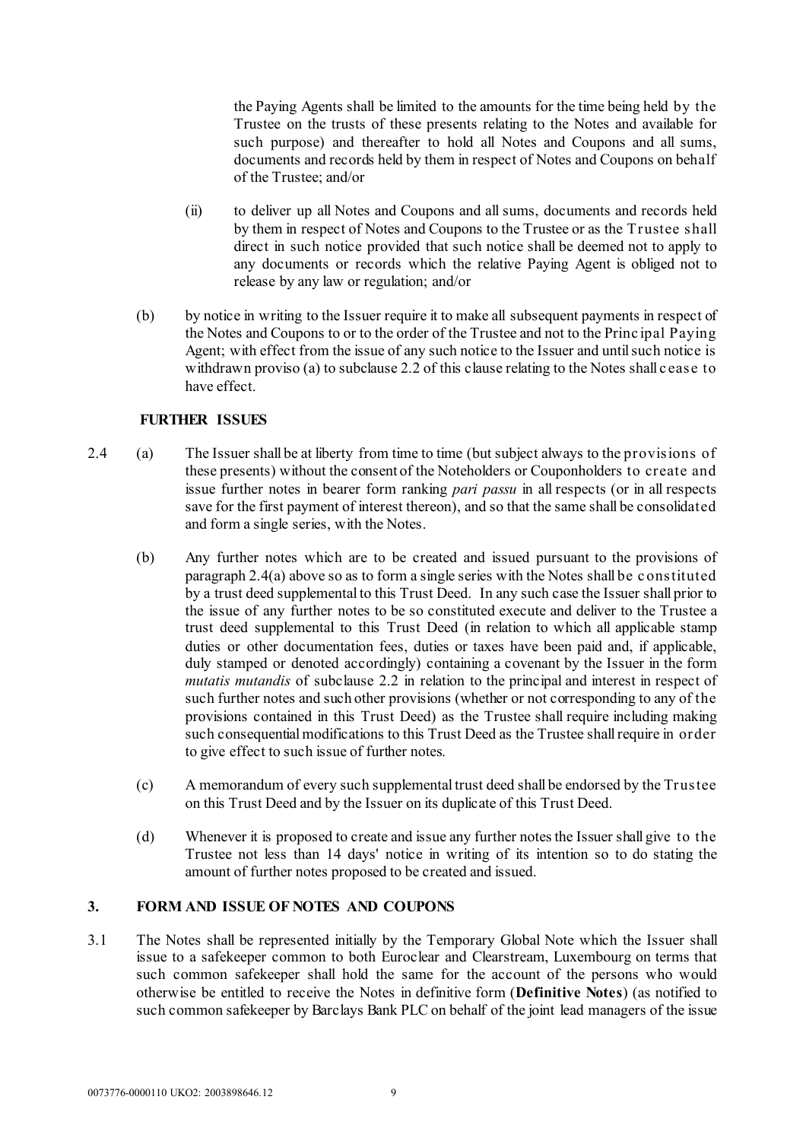the Paying Agents shall be limited to the amounts for the time being held by the Trustee on the trusts of these presents relating to the Notes and available for such purpose) and thereafter to hold all Notes and Coupons and all sums, documents and records held by them in respect of Notes and Coupons on behalf of the Trustee; and/or

- (ii) to deliver up all Notes and Coupons and all sums, documents and records held by them in respect of Notes and Coupons to the Trustee or as the Trustee shall direct in such notice provided that such notice shall be deemed not to apply to any documents or records which the relative Paying Agent is obliged not to release by any law or regulation; and/or
- (b) by notice in writing to the Issuer require it to make all subsequent payments in respect of the Notes and Coupons to or to the order of the Trustee and not to the Princ ipal Paying Agent; with effect from the issue of any such notice to the Issuer and until such notice is withdrawn provis[o \(a\)](#page-9-1) to subclause [2.2](#page-8-0) of this clause relating to the Notes shall c ease to have effect.

# **FURTHER ISSUES**

- <span id="page-10-2"></span>2.4 (a) The Issuer shall be at liberty from time to time (but subject always to the provisions of these presents) without the consent of the Noteholders or Couponholders to create and issue further notes in bearer form ranking *pari passu* in all respects (or in all respects save for the first payment of interest thereon), and so that the same shall be consolidated and form a single series, with the Notes.
	- (b) Any further notes which are to be created and issued pursuant to the provisions of paragraph [2.4\(](#page-10-2)a) above so as to form a single series with the Notes shall be c onstituted by a trust deed supplemental to this Trust Deed. In any such case the Issuer shall prior to the issue of any further notes to be so constituted execute and deliver to the Trustee a trust deed supplemental to this Trust Deed (in relation to which all applicable stamp duties or other documentation fees, duties or taxes have been paid and, if applicable, duly stamped or denoted accordingly) containing a covenant by the Issuer in the form *mutatis mutandis* of subclause [2.2](#page-8-0) in relation to the principal and interest in respect of such further notes and such other provisions (whether or not corresponding to any of the provisions contained in this Trust Deed) as the Trustee shall require including making such consequential modifications to this Trust Deed as the Trustee shall require in order to give effect to such issue of further notes.
	- (c) A memorandum of every such supplemental trust deed shall be endorsed by the Trustee on this Trust Deed and by the Issuer on its duplicate of this Trust Deed.
	- (d) Whenever it is proposed to create and issue any further notes the Issuer shall give to the Trustee not less than 14 days' notice in writing of its intention so to do stating the amount of further notes proposed to be created and issued.

# <span id="page-10-1"></span><span id="page-10-0"></span>**3. FORM AND ISSUE OF NOTES AND COUPONS**

3.1 The Notes shall be represented initially by the Temporary Global Note which the Issuer shall issue to a safekeeper common to both Euroclear and Clearstream, Luxembourg on terms that such common safekeeper shall hold the same for the account of the persons who would otherwise be entitled to receive the Notes in definitive form (**Definitive Notes**) (as notified to such common safekeeper by Barclays Bank PLC on behalf of the joint lead managers of the issue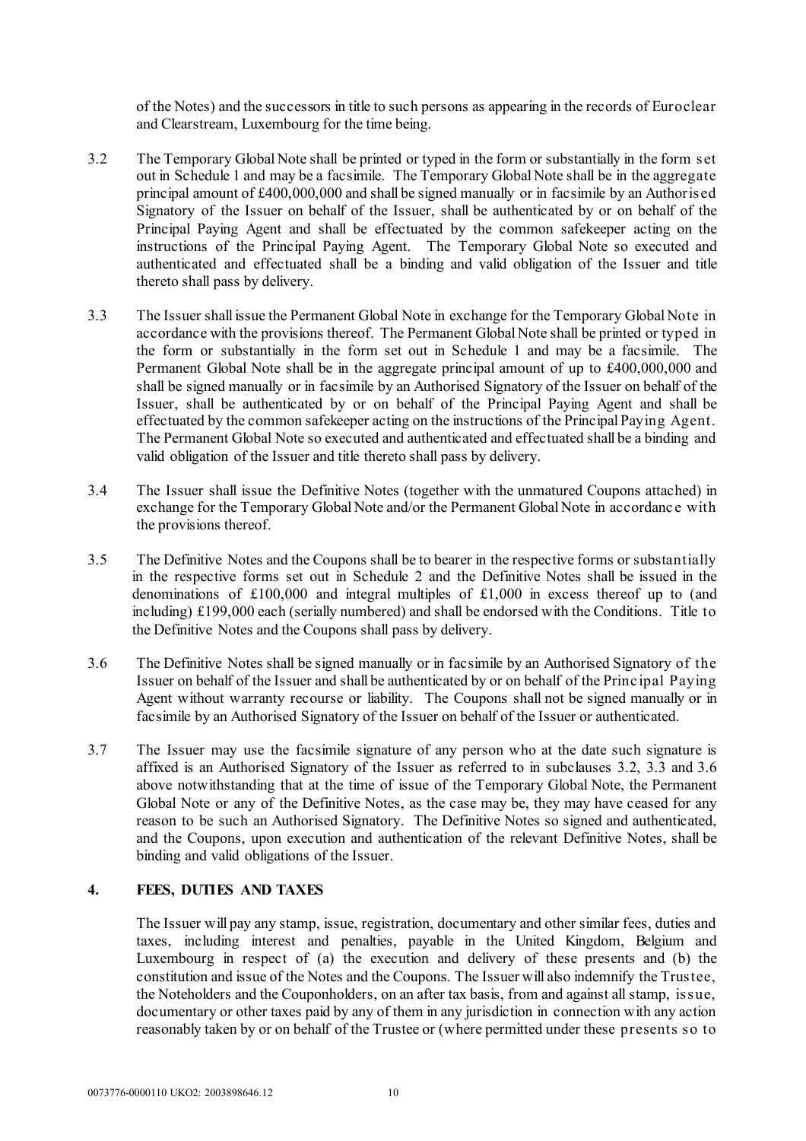of the Notes) and the successors in title to such persons as appearing in the records of Euroclear and Clearstream, Luxembourg for the time being.

- <span id="page-11-1"></span>3.2 The Temporary Global Note shall be printed or typed in the form or substantially in the form set out in [Schedule 1](#page-33-0) and may be a facsimile. The Temporary Global Note shall be in the aggregate principal amount of £400,000,000 and shall be signed manually or in facsimile by an Authorised Signatory of the Issuer on behalf of the Issuer, shall be authenticated by or on behalf of the Principal Paying Agent and shall be effectuated by the common safekeeper acting on the instructions of the Principal Paying Agent. The Temporary Global Note so executed and authenticated and effectuated shall be a binding and valid obligation of the Issuer and title thereto shall pass by delivery.
- <span id="page-11-0"></span>3.3 The Issuer shall issue the Permanent Global Note in exchange for the Temporary Global Note in accordance with the provisions thereof. The Permanent Global Note shall be printed or typed in the form or substantially in the form set out in [Schedule 1](#page-33-0) and may be a facsimile. The Permanent Global Note shall be in the aggregate principal amount of up to £400,000,000 and shall be signed manually or in facsimile by an Authorised Signatory of the Issuer on behalf of the Issuer, shall be authenticated by or on behalf of the Principal Paying Agent and shall be effectuated by the common safekeeper acting on the instructions of the Principal Paying Agent. The Permanent Global Note so executed and authenticated and effectuated shall be a binding and valid obligation of the Issuer and title thereto shall pass by delivery.
- 3.4 The Issuer shall issue the Definitive Notes (together with the unmatured Coupons attached) in exchange for the Temporary Global Note and/or the Permanent Global Note in accordanc e with the provisions thereof.
- 3.5 The Definitive Notes and the Coupons shall be to bearer in the respective forms or substantially in the respective forms set out i[n Schedule 2](#page-45-0) and the Definitive Notes shall be issued in the denominations of £100,000 and integral multiples of £1,000 in excess thereof up to (and including) £199,000 each (serially numbered) and shall be endorsed with the Conditions. Title to the Definitive Notes and the Coupons shall pass by delivery.
- <span id="page-11-2"></span>3.6 The Definitive Notes shall be signed manually or in facsimile by an Authorised Signatory of the Issuer on behalf of the Issuer and shall be authenticated by or on behalf of the Princ ipal Paying Agent without warranty recourse or liability. The Coupons shall not be signed manually or in facsimile by an Authorised Signatory of the Issuer on behalf of the Issuer or authenticated.
- 3.7 The Issuer may use the facsimile signature of any person who at the date such signature is affixed is an Authorised Signatory of the Issuer as referred to in subclauses [3.2,](#page-11-1) [3.3](#page-11-0) and [3.6](#page-11-2)  [above](#page-11-2) notwithstanding that at the time of issue of the Temporary Global Note, the Permanent Global Note or any of the Definitive Notes, as the case may be, they may have ceased for any reason to be such an Authorised Signatory. The Definitive Notes so signed and authenticated, and the Coupons, upon execution and authentication of the relevant Definitive Notes, shall be binding and valid obligations of the Issuer.

# **4. FEES, DUTIES AND TAXES**

The Issuer will pay any stamp, issue, registration, documentary and other similar fees, duties and taxes, including interest and penalties, payable in the United Kingdom, Belgium and Luxembourg in respect of (a) the execution and delivery of these presents and (b) the constitution and issue of the Notes and the Coupons. The Issuer will also indemnify the Trustee, the Noteholders and the Couponholders, on an after tax basis, from and against all stamp, issue, documentary or other taxes paid by any of them in any jurisdiction in connection with any action reasonably taken by or on behalf of the Trustee or (where permitted under these presents so to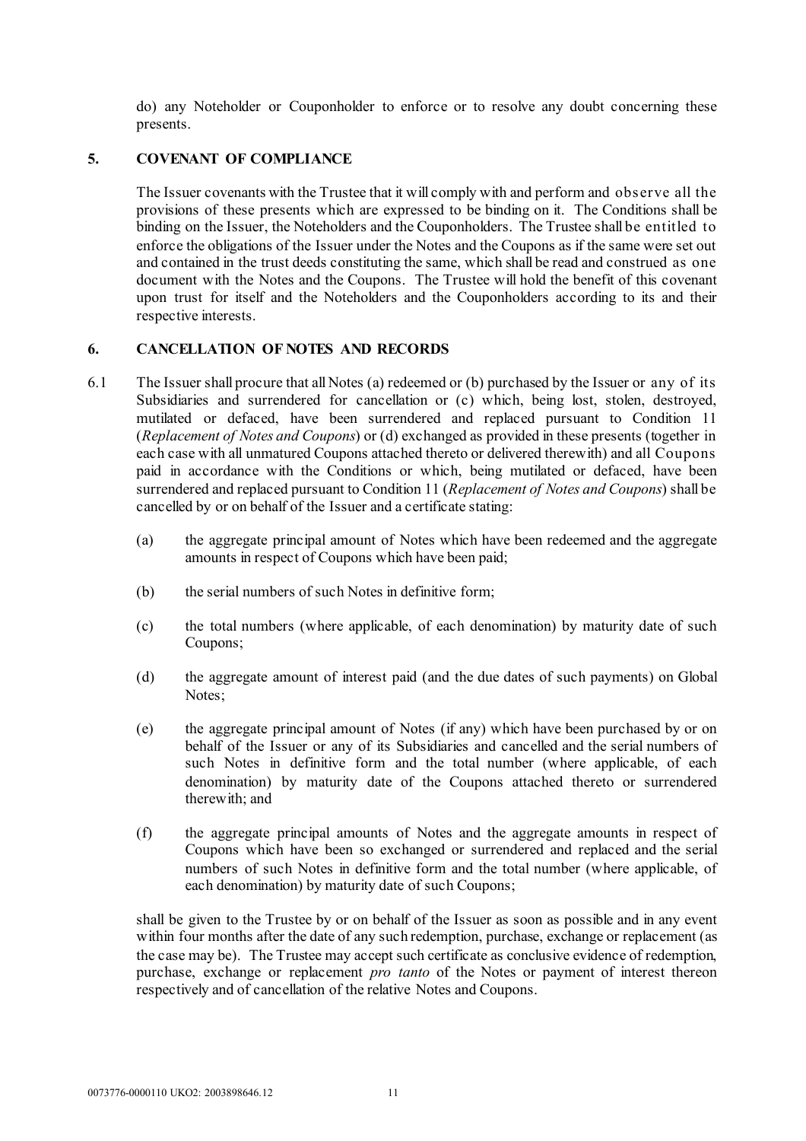do) any Noteholder or Couponholder to enforce or to resolve any doubt concerning these presents.

# **5. COVENANT OF COMPLIANCE**

The Issuer covenants with the Trustee that it will comply with and perform and observe all the provisions of these presents which are expressed to be binding on it. The Conditions shall be binding on the Issuer, the Noteholders and the Couponholders. The Trustee shall be entitled to enforce the obligations of the Issuer under the Notes and the Coupons as if the same were set out and contained in the trust deeds constituting the same, which shall be read and construed as one document with the Notes and the Coupons. The Trustee will hold the benefit of this covenant upon trust for itself and the Noteholders and the Couponholders according to its and their respective interests.

# **6. CANCELLATION OF NOTES AND RECORDS**

- 6.1 The Issuer shall procure that all Notes (a) redeemed or (b) purchased by the Issuer or any of its Subsidiaries and surrendered for cancellation or (c) which, being lost, stolen, destroyed, mutilated or defaced, have been surrendered and replaced pursuant to Condition 11 (*Replacement of Notes and Coupons*) or (d) exchanged as provided in these presents (together in each case with all unmatured Coupons attached thereto or delivered therewith) and all Coupons paid in accordance with the Conditions or which, being mutilated or defaced, have been surrendered and replaced pursuant to Condition 11 (*Replacement of Notes and Coupons*) shall be cancelled by or on behalf of the Issuer and a certificate stating:
	- (a) the aggregate principal amount of Notes which have been redeemed and the aggregate amounts in respect of Coupons which have been paid;
	- (b) the serial numbers of such Notes in definitive form;
	- (c) the total numbers (where applicable, of each denomination) by maturity date of such Coupons;
	- (d) the aggregate amount of interest paid (and the due dates of such payments) on Global Notes;
	- (e) the aggregate principal amount of Notes (if any) which have been purchased by or on behalf of the Issuer or any of its Subsidiaries and cancelled and the serial numbers of such Notes in definitive form and the total number (where applicable, of each denomination) by maturity date of the Coupons attached thereto or surrendered therewith; and
	- (f) the aggregate principal amounts of Notes and the aggregate amounts in respect of Coupons which have been so exchanged or surrendered and replaced and the serial numbers of such Notes in definitive form and the total number (where applicable, of each denomination) by maturity date of such Coupons;

shall be given to the Trustee by or on behalf of the Issuer as soon as possible and in any event within four months after the date of any such redemption, purchase, exchange or replacement (as the case may be). The Trustee may accept such certificate as conclusive evidence of redemption, purchase, exchange or replacement *pro tanto* of the Notes or payment of interest thereon respectively and of cancellation of the relative Notes and Coupons.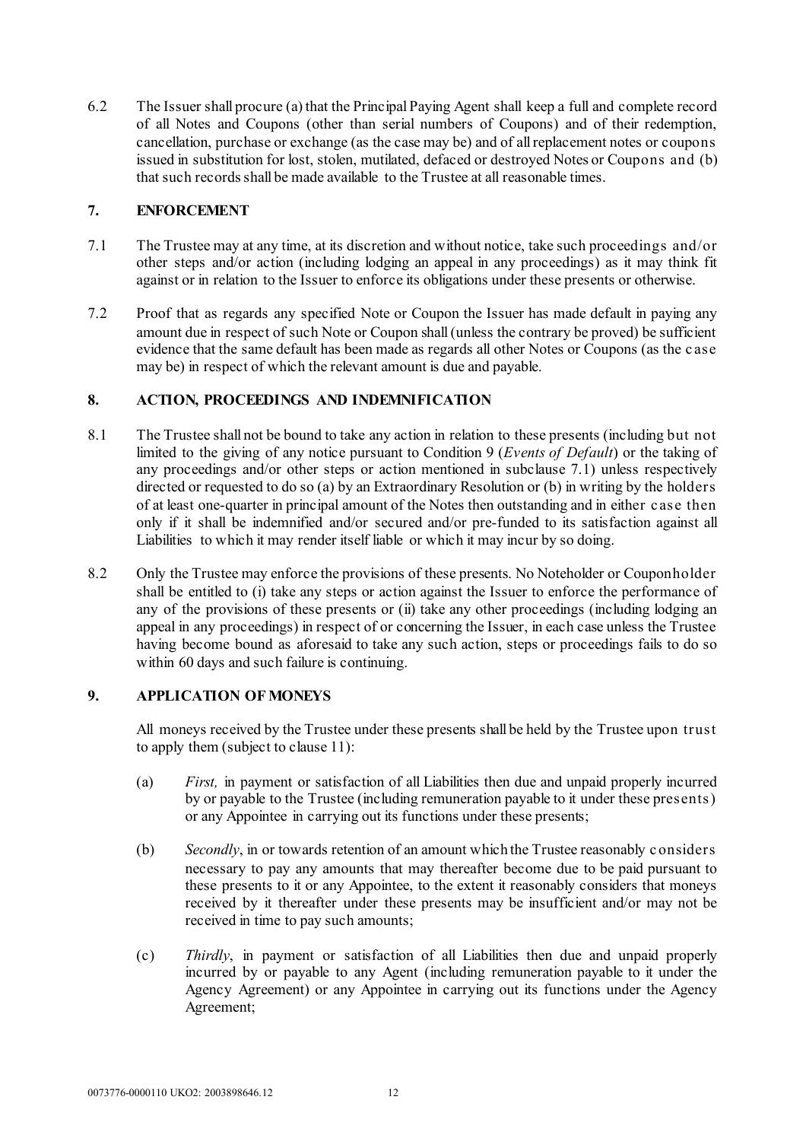6.2 The Issuer shall procure (a) that the Principal Paying Agent shall keep a full and complete record of all Notes and Coupons (other than serial numbers of Coupons) and of their redemption, cancellation, purchase or exchange (as the case may be) and of all replacement notes or coupons issued in substitution for lost, stolen, mutilated, defaced or destroyed Notes or Coupons and (b) that such records shall be made available to the Trustee at all reasonable times.

# <span id="page-13-2"></span>**7. ENFORCEMENT**

- 7.1 The Trustee may at any time, at its discretion and without notice, take such proceedings and/or other steps and/or action (including lodging an appeal in any proceedings) as it may think fit against or in relation to the Issuer to enforce its obligations under these presents or otherwise.
- 7.2 Proof that as regards any specified Note or Coupon the Issuer has made default in paying any amount due in respect of such Note or Coupon shall (unless the contrary be proved) be sufficient evidence that the same default has been made as regards all other Notes or Coupons (as the c ase may be) in respect of which the relevant amount is due and payable.

# <span id="page-13-0"></span>**8. ACTION, PROCEEDINGS AND INDEMNIFICATION**

- 8.1 The Trustee shall not be bound to take any action in relation to these presents (including but not limited to the giving of any notice pursuant to Condition 9 (*Events of Default*) or the taking of any proceedings and/or other steps or action mentioned in subclause [7.1\)](#page-13-2) unless respectively directed or requested to do so (a) by an Extraordinary Resolution or (b) in writing by the holders of at least one-quarter in principal amount of the Notes then outstanding and in either c ase then only if it shall be indemnified and/or secured and/or pre-funded to its satisfaction against all Liabilities to which it may render itself liable or which it may incur by so doing.
- 8.2 Only the Trustee may enforce the provisions of these presents. No Noteholder or Couponholder shall be entitled to (i) take any steps or action against the Issuer to enforce the performance of any of the provisions of these presents or (ii) take any other proceedings (including lodging an appeal in any proceedings) in respect of or concerning the Issuer, in each case unless the Trustee having become bound as aforesaid to take any such action, steps or proceedings fails to do so within 60 days and such failure is continuing.

# <span id="page-13-1"></span>**9. APPLICATION OF MONEYS**

All moneys received by the Trustee under these presents shall be held by the Trustee upon trust to apply them (subject to claus[e 11\)](#page-14-0):

- (a) *First,* in payment or satisfaction of all Liabilities then due and unpaid properly incurred by or payable to the Trustee (including remuneration payable to it under these presents) or any Appointee in carrying out its functions under these presents;
- (b) *Secondly*, in or towards retention of an amount which the Trustee reasonably considers necessary to pay any amounts that may thereafter become due to be paid pursuant to these presents to it or any Appointee, to the extent it reasonably considers that moneys received by it thereafter under these presents may be insufficient and/or may not be received in time to pay such amounts;
- (c) *Thirdly*, in payment or satisfaction of all Liabilities then due and unpaid properly incurred by or payable to any Agent (including remuneration payable to it under the Agency Agreement) or any Appointee in carrying out its functions under the Agency Agreement;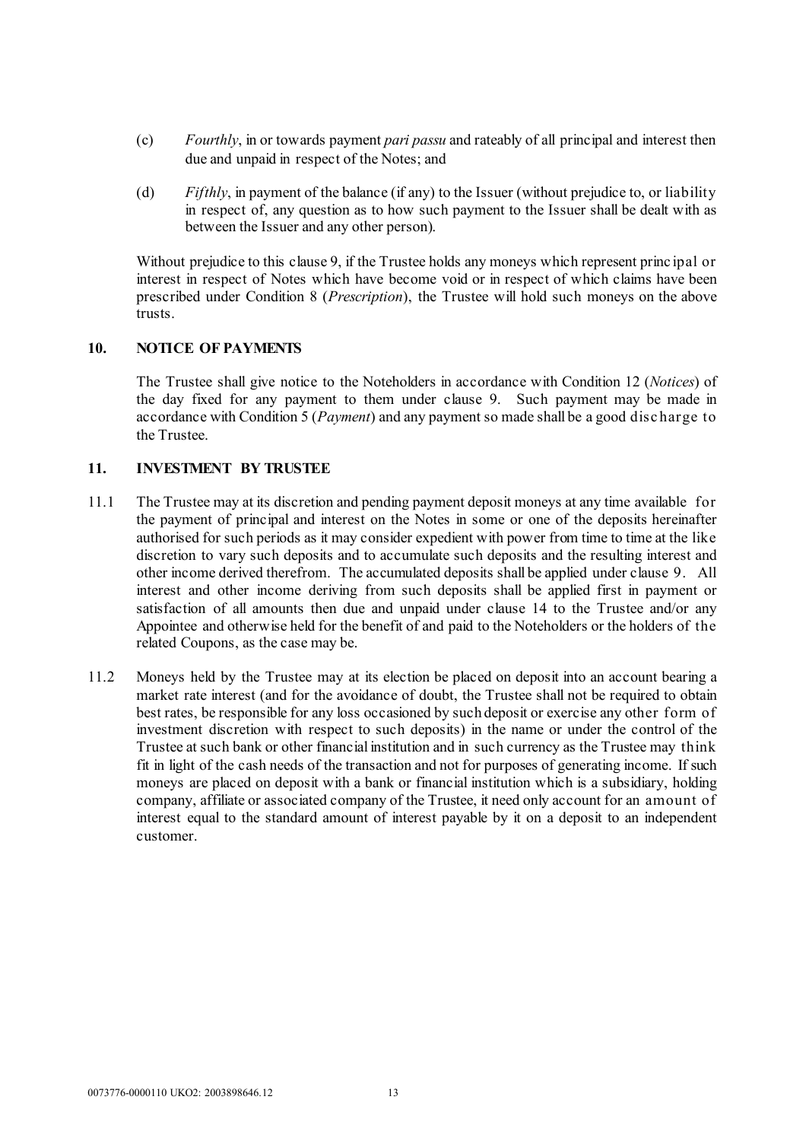- (c) *Fourthly*, in or towards payment *pari passu* and rateably of all principal and interest then due and unpaid in respect of the Notes; and
- (d) *Fifthly*, in payment of the balance (if any) to the Issuer (without prejudice to, or liability in respect of, any question as to how such payment to the Issuer shall be dealt with as between the Issuer and any other person).

Without prejudice to this clause [9,](#page-13-1) if the Trustee holds any moneys which represent princ ipal or interest in respect of Notes which have become void or in respect of which claims have been prescribed under Condition 8 (*Prescription*), the Trustee will hold such moneys on the above trusts.

# **10. NOTICE OF PAYMENTS**

The Trustee shall give notice to the Noteholders in accordance with Condition 12 (*Notices*) of the day fixed for any payment to them under clause [9.](#page-13-1) Such payment may be made in accordance with Condition 5 (*Payment*) and any payment so made shall be a good disc harge to the Trustee.

# <span id="page-14-0"></span>**11. INVESTMENT BY TRUSTEE**

- 11.1 The Trustee may at its discretion and pending payment deposit moneys at any time available for the payment of principal and interest on the Notes in some or one of the deposits hereinafter authorised for such periods as it may consider expedient with power from time to time at the like discretion to vary such deposits and to accumulate such deposits and the resulting interest and other income derived therefrom. The accumulated deposits shall be applied under clause [9.](#page-13-1) All interest and other income deriving from such deposits shall be applied first in payment or satisfaction of all amounts then due and unpaid under clause [14](#page-18-0) to the Trustee and/or any Appointee and otherwise held for the benefit of and paid to the Noteholders or the holders of the related Coupons, as the case may be.
- 11.2 Moneys held by the Trustee may at its election be placed on deposit into an account bearing a market rate interest (and for the avoidance of doubt, the Trustee shall not be required to obtain best rates, be responsible for any loss occasioned by such deposit or exercise any other form of investment discretion with respect to such deposits) in the name or under the control of the Trustee at such bank or other financial institution and in such currency as the Trustee may think fit in light of the cash needs of the transaction and not for purposes of generating income. If such moneys are placed on deposit with a bank or financial institution which is a subsidiary, holding company, affiliate or associated company of the Trustee, it need only account for an amount of interest equal to the standard amount of interest payable by it on a deposit to an independent customer.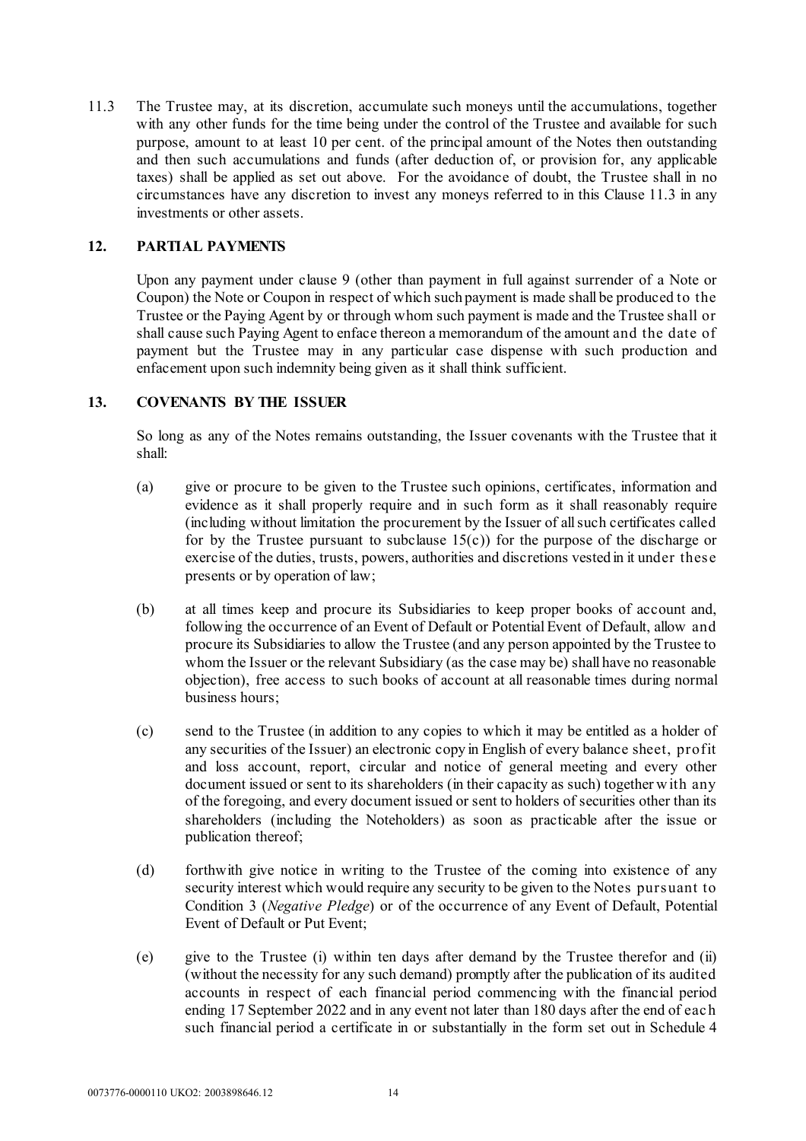<span id="page-15-0"></span>11.3 The Trustee may, at its discretion, accumulate such moneys until the accumulations, together with any other funds for the time being under the control of the Trustee and available for such purpose, amount to at least 10 per cent. of the principal amount of the Notes then outstanding and then such accumulations and funds (after deduction of, or provision for, any applicable taxes) shall be applied as set out above. For the avoidance of doubt, the Trustee shall in no circumstances have any discretion to invest any moneys referred to in this Claus[e 11.3](#page-15-0) in any investments or other assets.

# **12. PARTIAL PAYMENTS**

Upon any payment under clause [9](#page-13-1) (other than payment in full against surrender of a Note or Coupon) the Note or Coupon in respect of which such payment is made shall be produced to the Trustee or the Paying Agent by or through whom such payment is made and the Trustee shall or shall cause such Paying Agent to enface thereon a memorandum of the amount and the date of payment but the Trustee may in any particular case dispense with such production and enfacement upon such indemnity being given as it shall think sufficient.

# **13. COVENANTS BY THE ISSUER**

So long as any of the Notes remains outstanding, the Issuer covenants with the Trustee that it shall:

- (a) give or procure to be given to the Trustee such opinions, certificates, information and evidence as it shall properly require and in such form as it shall reasonably require (including without limitation the procurement by the Issuer of all such certificates called for by the Trustee pursuant to subclause  $15(c)$  for the purpose of the discharge or exercise of the duties, trusts, powers, authorities and discretions vested in it under these presents or by operation of law;
- (b) at all times keep and procure its Subsidiaries to keep proper books of account and, following the occurrence of an Event of Default or Potential Event of Default, allow and procure its Subsidiaries to allow the Trustee (and any person appointed by the Trustee to whom the Issuer or the relevant Subsidiary (as the case may be) shall have no reasonable objection), free access to such books of account at all reasonable times during normal business hours;
- (c) send to the Trustee (in addition to any copies to which it may be entitled as a holder of any securities of the Issuer) an electronic copy in English of every balance sheet, profit and loss account, report, circular and notice of general meeting and every other document issued or sent to its shareholders (in their capacity as such) together w ith any of the foregoing, and every document issued or sent to holders of securities other than its shareholders (including the Noteholders) as soon as practicable after the issue or publication thereof;
- (d) forthwith give notice in writing to the Trustee of the coming into existence of any security interest which would require any security to be given to the Notes pursuant to Condition 3 (*Negative Pledge*) or of the occurrence of any Event of Default, Potential Event of Default or Put Event;
- (e) give to the Trustee (i) within ten days after demand by the Trustee therefor and (ii) (without the necessity for any such demand) promptly after the publication of its audited accounts in respect of each financial period commencing with the financial period ending 17 September 2022 and in any event not later than 180 days after the end of eac h such financial period a certificate in or substantially in the form set out in [Schedule 4](#page-79-0)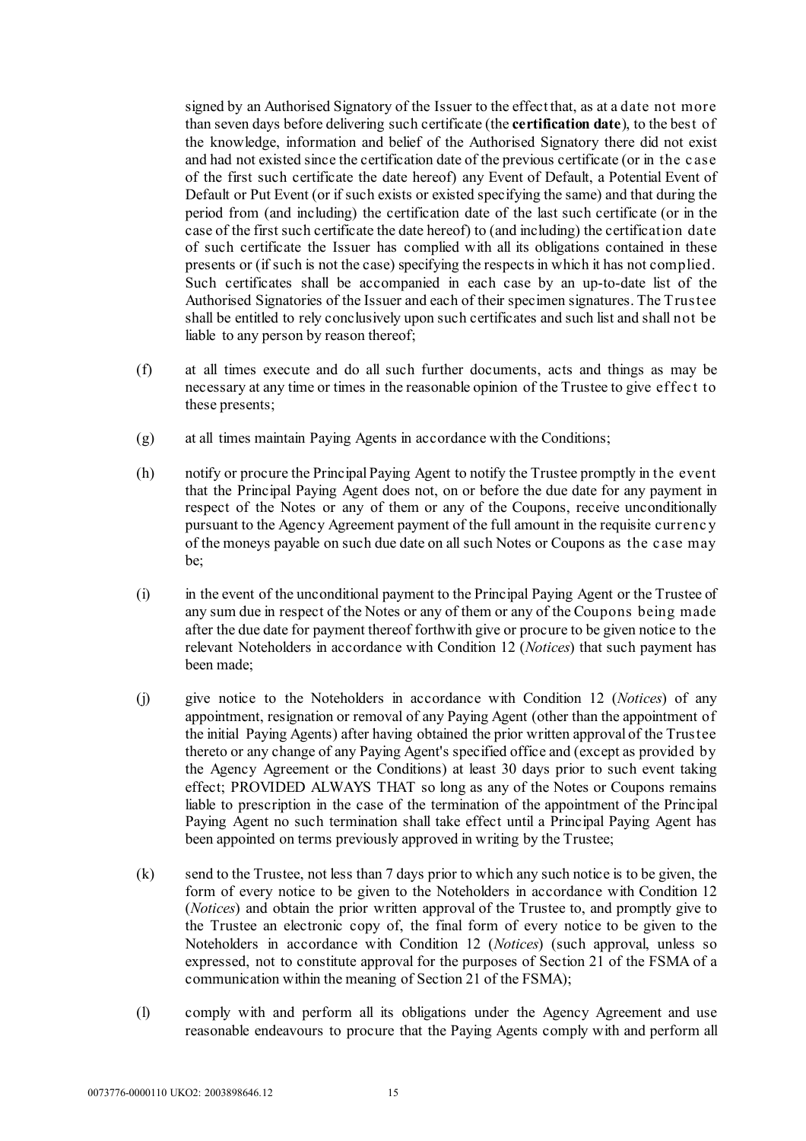signed by an Authorised Signatory of the Issuer to the effect that, as at a date not more than seven days before delivering such certificate (the **certification date**), to the best of the knowledge, information and belief of the Authorised Signatory there did not exist and had not existed since the certification date of the previous certificate (or in the c ase of the first such certificate the date hereof) any Event of Default, a Potential Event of Default or Put Event (or if such exists or existed specifying the same) and that during the period from (and including) the certification date of the last such certificate (or in the case of the first such certificate the date hereof) to (and including) the certification date of such certificate the Issuer has complied with all its obligations contained in these presents or (if such is not the case) specifying the respects in which it has not complied. Such certificates shall be accompanied in each case by an up-to-date list of the Authorised Signatories of the Issuer and each of their specimen signatures. The Trustee shall be entitled to rely conclusively upon such certificates and such list and shall not be liable to any person by reason thereof;

- (f) at all times execute and do all such further documents, acts and things as may be necessary at any time or times in the reasonable opinion of the Trustee to give effec t to these presents;
- (g) at all times maintain Paying Agents in accordance with the Conditions;
- (h) notify or procure the Principal Paying Agent to notify the Trustee promptly in the event that the Principal Paying Agent does not, on or before the due date for any payment in respect of the Notes or any of them or any of the Coupons, receive unconditionally pursuant to the Agency Agreement payment of the full amount in the requisite currenc y of the moneys payable on such due date on all such Notes or Coupons as the c ase may be;
- (i) in the event of the unconditional payment to the Principal Paying Agent or the Trustee of any sum due in respect of the Notes or any of them or any of the Coupons being made after the due date for payment thereof forthwith give or procure to be given notice to the relevant Noteholders in accordance with Condition 12 (*Notices*) that such payment has been made;
- <span id="page-16-0"></span>(j) give notice to the Noteholders in accordance with Condition 12 (*Notices*) of any appointment, resignation or removal of any Paying Agent (other than the appointment of the initial Paying Agents) after having obtained the prior written approval of the Trustee thereto or any change of any Paying Agent's specified office and (except as provided by the Agency Agreement or the Conditions) at least 30 days prior to such event taking effect; PROVIDED ALWAYS THAT so long as any of the Notes or Coupons remains liable to prescription in the case of the termination of the appointment of the Principal Paying Agent no such termination shall take effect until a Principal Paying Agent has been appointed on terms previously approved in writing by the Trustee;
- <span id="page-16-1"></span>(k) send to the Trustee, not less than 7 days prior to which any such notice is to be given, the form of every notice to be given to the Noteholders in accordance with Condition 12 (*Notices*) and obtain the prior written approval of the Trustee to, and promptly give to the Trustee an electronic copy of, the final form of every notice to be given to the Noteholders in accordance with Condition 12 (*Notices*) (such approval, unless so expressed, not to constitute approval for the purposes of Section 21 of the FSMA of a communication within the meaning of Section 21 of the FSMA);
- (l) comply with and perform all its obligations under the Agency Agreement and use reasonable endeavours to procure that the Paying Agents comply with and perform all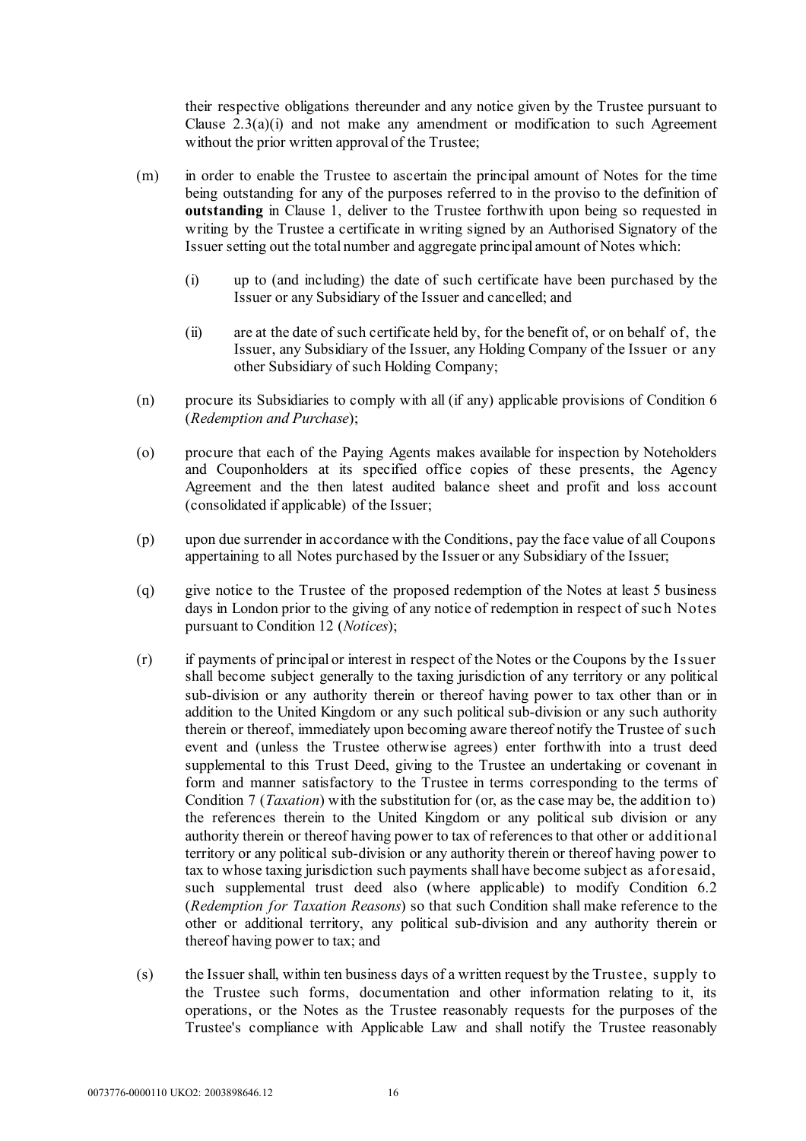their respective obligations thereunder and any notice given by the Trustee pursuant to Clause  $2.3(a)(i)$  and not make any amendment or modification to such Agreement without the prior written approval of the Trustee;

- <span id="page-17-1"></span>(m) in order to enable the Trustee to ascertain the principal amount of Notes for the time being outstanding for any of the purposes referred to in the proviso to the definition of **outstanding** in Clause [1,](#page-2-0) deliver to the Trustee forthwith upon being so requested in writing by the Trustee a certificate in writing signed by an Authorised Signatory of the Issuer setting out the total number and aggregate principal amount of Notes which:
	- (i) up to (and including) the date of such certificate have been purchased by the Issuer or any Subsidiary of the Issuer and cancelled; and
	- (ii) are at the date of such certificate held by, for the benefit of, or on behalf of, the Issuer, any Subsidiary of the Issuer, any Holding Company of the Issuer or any other Subsidiary of such Holding Company;
- (n) procure its Subsidiaries to comply with all (if any) applicable provisions of Condition 6 (*Redemption and Purchase*);
- (o) procure that each of the Paying Agents makes available for inspection by Noteholders and Couponholders at its specified office copies of these presents, the Agency Agreement and the then latest audited balance sheet and profit and loss account (consolidated if applicable) of the Issuer;
- (p) upon due surrender in accordance with the Conditions, pay the face value of all Coupons appertaining to all Notes purchased by the Issuer or any Subsidiary of the Issuer;
- (q) give notice to the Trustee of the proposed redemption of the Notes at least 5 business days in London prior to the giving of any notice of redemption in respect of suc h Notes pursuant to Condition 12 (*Notices*);
- (r) if payments of principal or interest in respect of the Notes or the Coupons by the Issuer shall become subject generally to the taxing jurisdiction of any territory or any political sub-division or any authority therein or thereof having power to tax other than or in addition to the United Kingdom or any such political sub-division or any such authority therein or thereof, immediately upon becoming aware thereof notify the Trustee of such event and (unless the Trustee otherwise agrees) enter forthwith into a trust deed supplemental to this Trust Deed, giving to the Trustee an undertaking or covenant in form and manner satisfactory to the Trustee in terms corresponding to the terms of Condition 7 (*Taxation*) with the substitution for (or, as the case may be, the addition to) the references therein to the United Kingdom or any political sub division or any authority therein or thereof having power to tax of references to that other or additional territory or any political sub-division or any authority therein or thereof having power to tax to whose taxing jurisdiction such payments shall have become subject as aforesaid, such supplemental trust deed also (where applicable) to modify Condition 6.2 (*Redemption for Taxation Reasons*) so that such Condition shall make reference to the other or additional territory, any political sub-division and any authority therein or thereof having power to tax; and
- <span id="page-17-0"></span>(s) the Issuer shall, within ten business days of a written request by the Trustee, supply to the Trustee such forms, documentation and other information relating to it, its operations, or the Notes as the Trustee reasonably requests for the purposes of the Trustee's compliance with Applicable Law and shall notify the Trustee reasonably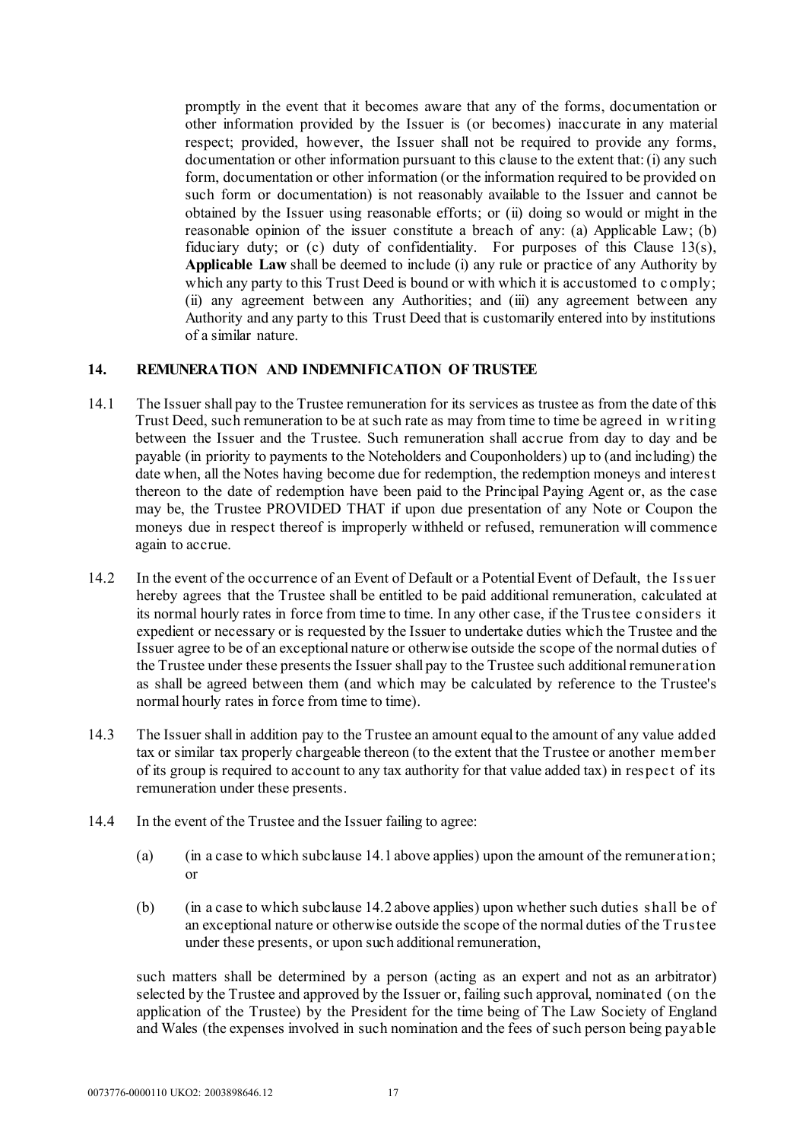promptly in the event that it becomes aware that any of the forms, documentation or other information provided by the Issuer is (or becomes) inaccurate in any material respect; provided, however, the Issuer shall not be required to provide any forms, documentation or other information pursuant to this clause to the extent that: (i) any such form, documentation or other information (or the information required to be provided on such form or documentation) is not reasonably available to the Issuer and cannot be obtained by the Issuer using reasonable efforts; or (ii) doing so would or might in the reasonable opinion of the issuer constitute a breach of any: (a) Applicable Law; (b) fiduciary duty; or (c) duty of confidentiality. For purposes of this Clause 13[\(s\),](#page-17-0)  **Applicable Law** shall be deemed to include (i) any rule or practice of any Authority by which any party to this Trust Deed is bound or with which it is accustomed to comply; (ii) any agreement between any Authorities; and (iii) any agreement between any Authority and any party to this Trust Deed that is customarily entered into by institutions of a similar nature.

#### <span id="page-18-1"></span><span id="page-18-0"></span>**14. REMUNERATION AND INDEMNIFICATION OF TRUSTEE**

- 14.1 The Issuer shall pay to the Trustee remuneration for its services as trustee as from the date of this Trust Deed, such remuneration to be at such rate as may from time to time be agreed in w riting between the Issuer and the Trustee. Such remuneration shall accrue from day to day and be payable (in priority to payments to the Noteholders and Couponholders) up to (and including) the date when, all the Notes having become due for redemption, the redemption moneys and interest thereon to the date of redemption have been paid to the Principal Paying Agent or, as the case may be, the Trustee PROVIDED THAT if upon due presentation of any Note or Coupon the moneys due in respect thereof is improperly withheld or refused, remuneration will commence again to accrue.
- <span id="page-18-2"></span>14.2 In the event of the occurrence of an Event of Default or a Potential Event of Default, the Issuer hereby agrees that the Trustee shall be entitled to be paid additional remuneration, calculated at its normal hourly rates in force from time to time. In any other case, if the Trustee considers it expedient or necessary or is requested by the Issuer to undertake duties which the Trustee and the Issuer agree to be of an exceptional nature or otherwise outside the scope of the normal duties of the Trustee under these presents the Issuer shall pay to the Trustee such additional remuneration as shall be agreed between them (and which may be calculated by reference to the Trustee's normal hourly rates in force from time to time).
- 14.3 The Issuer shall in addition pay to the Trustee an amount equal to the amount of any value added tax or similar tax properly chargeable thereon (to the extent that the Trustee or another member of its group is required to account to any tax authority for that value added tax) in respec t of its remuneration under these presents.
- 14.4 In the event of the Trustee and the Issuer failing to agree:
	- (a) (in a case to which subclause [14.1 above](#page-18-1) applies) upon the amount of the remuneration; or
	- (b) (in a case to which subclause [14.2 above](#page-18-2) applies) upon whether such duties shall be of an exceptional nature or otherwise outside the scope of the normal duties of the Trustee under these presents, or upon such additional remuneration,

such matters shall be determined by a person (acting as an expert and not as an arbitrator) selected by the Trustee and approved by the Issuer or, failing such approval, nominated (on the application of the Trustee) by the President for the time being of The Law Society of England and Wales (the expenses involved in such nomination and the fees of such person being payable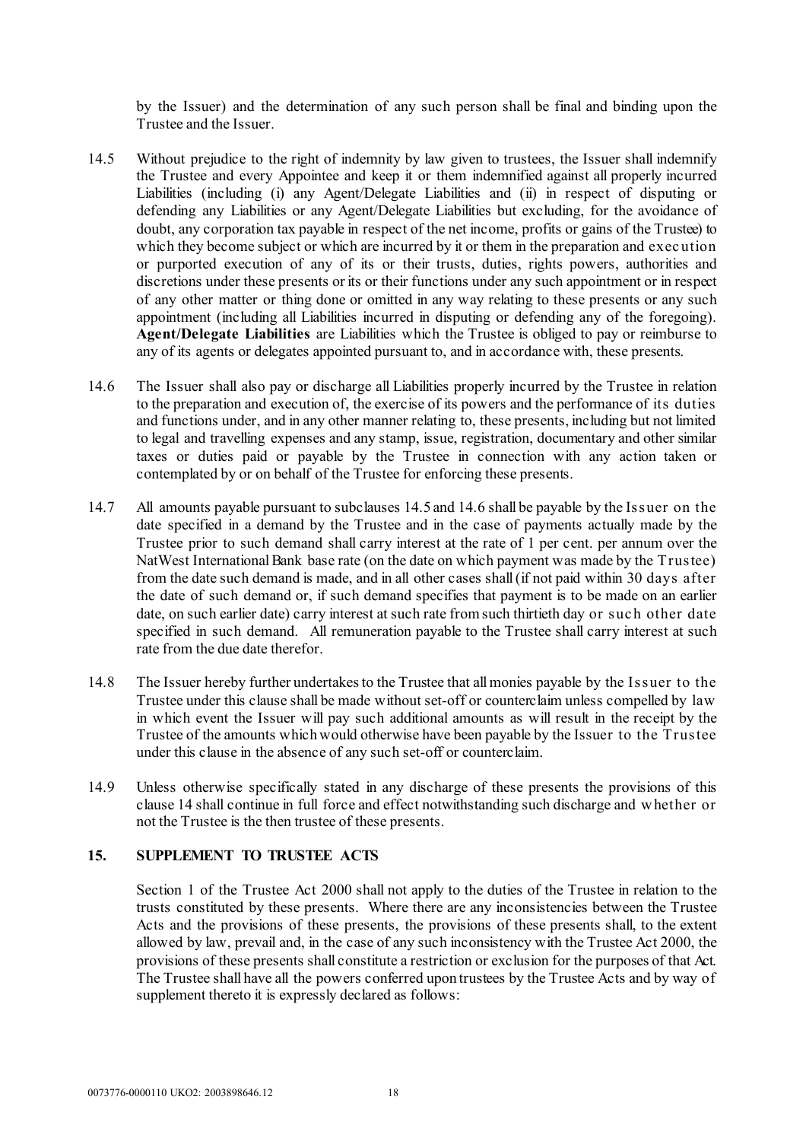by the Issuer) and the determination of any such person shall be final and binding upon the Trustee and the Issuer.

- <span id="page-19-0"></span>14.5 Without prejudice to the right of indemnity by law given to trustees, the Issuer shall indemnify the Trustee and every Appointee and keep it or them indemnified against all properly incurred Liabilities (including (i) any Agent/Delegate Liabilities and (ii) in respect of disputing or defending any Liabilities or any Agent/Delegate Liabilities but excluding, for the avoidance of doubt, any corporation tax payable in respect of the net income, profits or gains of the Trustee) to which they become subject or which are incurred by it or them in the preparation and exec ution or purported execution of any of its or their trusts, duties, rights powers, authorities and discretions under these presents or its or their functions under any such appointment or in respect of any other matter or thing done or omitted in any way relating to these presents or any such appointment (including all Liabilities incurred in disputing or defending any of the foregoing). **Agent/Delegate Liabilities** are Liabilities which the Trustee is obliged to pay or reimburse to any of its agents or delegates appointed pursuant to, and in accordance with, these presents.
- <span id="page-19-1"></span>14.6 The Issuer shall also pay or discharge all Liabilities properly incurred by the Trustee in relation to the preparation and execution of, the exercise of its powers and the performance of its duties and functions under, and in any other manner relating to, these presents, including but not limited to legal and travelling expenses and any stamp, issue, registration, documentary and other similar taxes or duties paid or payable by the Trustee in connection with any action taken or contemplated by or on behalf of the Trustee for enforcing these presents.
- 14.7 All amounts payable pursuant to subclauses [14.5](#page-19-0) and [14.6](#page-19-1) shall be payable by the Issuer on the date specified in a demand by the Trustee and in the case of payments actually made by the Trustee prior to such demand shall carry interest at the rate of 1 per cent. per annum over the NatWest International Bank base rate (on the date on which payment was made by the Trustee) from the date such demand is made, and in all other cases shall (if not paid within 30 days after the date of such demand or, if such demand specifies that payment is to be made on an earlier date, on such earlier date) carry interest at such rate from such thirtieth day or such other date specified in such demand. All remuneration payable to the Trustee shall carry interest at such rate from the due date therefor.
- 14.8 The Issuer hereby further undertakes to the Trustee that all monies payable by the Issuer to the Trustee under this clause shall be made without set-off or counterclaim unless compelled by law in which event the Issuer will pay such additional amounts as will result in the receipt by the Trustee of the amounts which would otherwise have been payable by the Issuer to the Trustee under this clause in the absence of any such set-off or counterclaim.
- 14.9 Unless otherwise specifically stated in any discharge of these presents the provisions of this clause [14](#page-18-0) shall continue in full force and effect notwithstanding such discharge and w hether or not the Trustee is the then trustee of these presents.

#### **15. SUPPLEMENT TO TRUSTEE ACTS**

Section 1 of the Trustee Act 2000 shall not apply to the duties of the Trustee in relation to the trusts constituted by these presents. Where there are any inconsistencies between the Trustee Acts and the provisions of these presents, the provisions of these presents shall, to the extent allowed by law, prevail and, in the case of any such inconsistency with the Trustee Act 2000, the provisions of these presents shall constitute a restriction or exclusion for the purposes of that Act. The Trustee shall have all the powers conferred upon trustees by the Trustee Acts and by way of supplement thereto it is expressly declared as follows: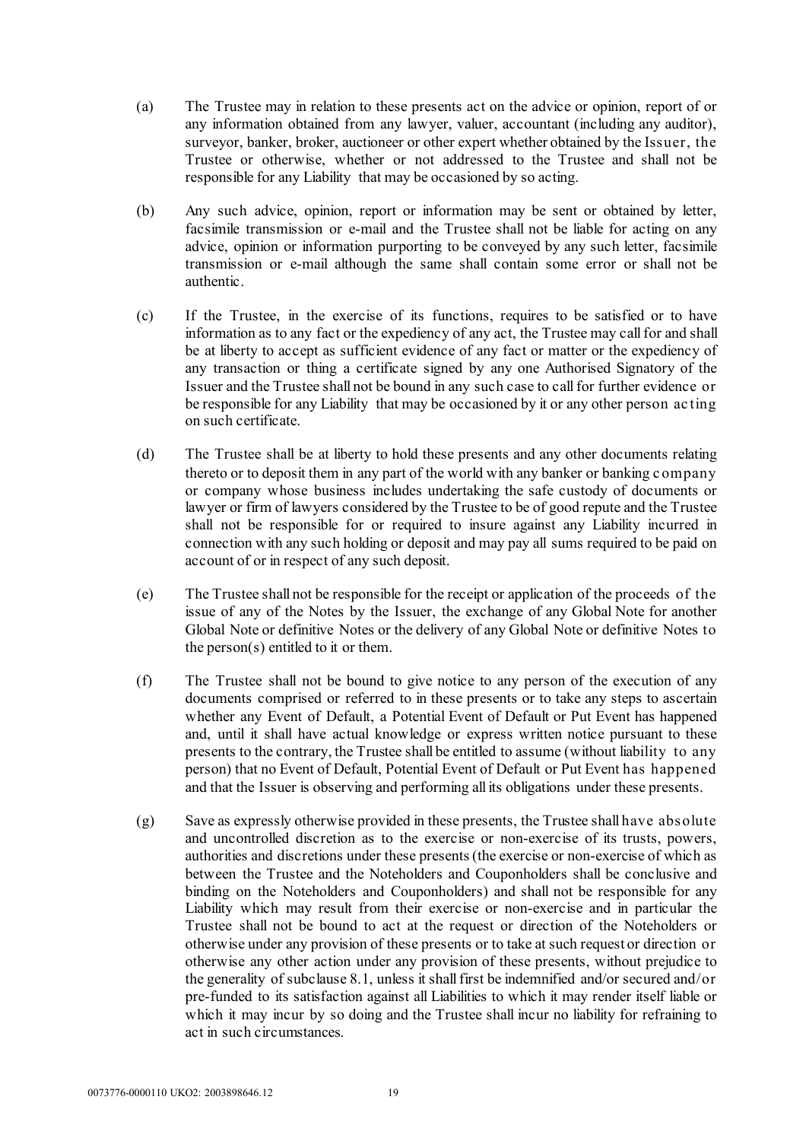- (a) The Trustee may in relation to these presents act on the advice or opinion, report of or any information obtained from any lawyer, valuer, accountant (including any auditor), surveyor, banker, broker, auctioneer or other expert whether obtained by the Issuer, the Trustee or otherwise, whether or not addressed to the Trustee and shall not be responsible for any Liability that may be occasioned by so acting.
- (b) Any such advice, opinion, report or information may be sent or obtained by letter, facsimile transmission or e-mail and the Trustee shall not be liable for acting on any advice, opinion or information purporting to be conveyed by any such letter, facsimile transmission or e-mail although the same shall contain some error or shall not be authentic.
- <span id="page-20-0"></span>(c) If the Trustee, in the exercise of its functions, requires to be satisfied or to have information as to any fact or the expediency of any act, the Trustee may call for and shall be at liberty to accept as sufficient evidence of any fact or matter or the expediency of any transaction or thing a certificate signed by any one Authorised Signatory of the Issuer and the Trustee shall not be bound in any such case to call for further evidence or be responsible for any Liability that may be occasioned by it or any other person ac ting on such certificate.
- (d) The Trustee shall be at liberty to hold these presents and any other documents relating thereto or to deposit them in any part of the world with any banker or banking c ompany or company whose business includes undertaking the safe custody of documents or lawyer or firm of lawyers considered by the Trustee to be of good repute and the Trustee shall not be responsible for or required to insure against any Liability incurred in connection with any such holding or deposit and may pay all sums required to be paid on account of or in respect of any such deposit.
- (e) The Trustee shall not be responsible for the receipt or application of the proceeds of the issue of any of the Notes by the Issuer, the exchange of any Global Note for another Global Note or definitive Notes or the delivery of any Global Note or definitive Notes to the person(s) entitled to it or them.
- (f) The Trustee shall not be bound to give notice to any person of the execution of any documents comprised or referred to in these presents or to take any steps to ascertain whether any Event of Default, a Potential Event of Default or Put Event has happened and, until it shall have actual knowledge or express written notice pursuant to these presents to the contrary, the Trustee shall be entitled to assume (without liability to any person) that no Event of Default, Potential Event of Default or Put Event has happened and that the Issuer is observing and performing all its obligations under these presents.
- (g) Save as expressly otherwise provided in these presents, the Trustee shall have absolute and uncontrolled discretion as to the exercise or non-exercise of its trusts, powers, authorities and discretions under these presents (the exercise or non-exercise of which as between the Trustee and the Noteholders and Couponholders shall be conclusive and binding on the Noteholders and Couponholders) and shall not be responsible for any Liability which may result from their exercise or non-exercise and in particular the Trustee shall not be bound to act at the request or direction of the Noteholders or otherwise under any provision of these presents or to take at such request or direction or otherwise any other action under any provision of these presents, without prejudice to the generality of subclause [8.1,](#page-13-0) unless it shall first be indemnified and/or secured and/or pre-funded to its satisfaction against all Liabilities to which it may render itself liable or which it may incur by so doing and the Trustee shall incur no liability for refraining to act in such circumstances.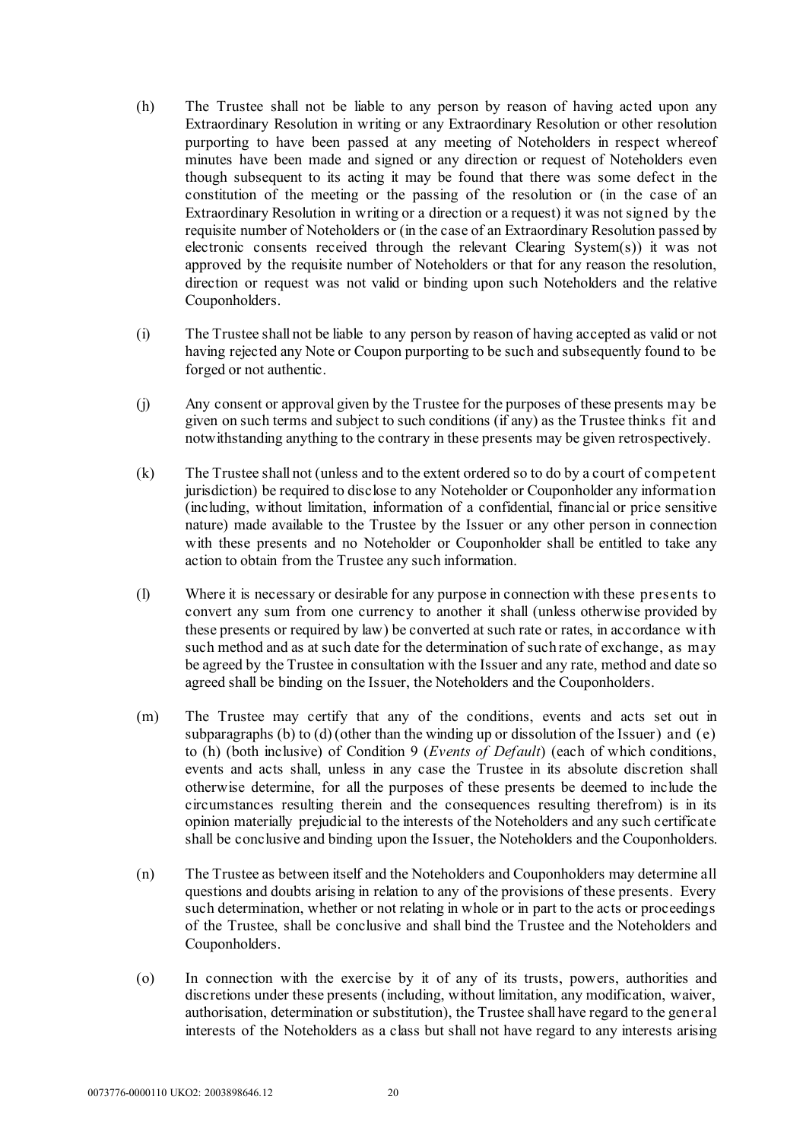- (h) The Trustee shall not be liable to any person by reason of having acted upon any Extraordinary Resolution in writing or any Extraordinary Resolution or other resolution purporting to have been passed at any meeting of Noteholders in respect whereof minutes have been made and signed or any direction or request of Noteholders even though subsequent to its acting it may be found that there was some defect in the constitution of the meeting or the passing of the resolution or (in the case of an Extraordinary Resolution in writing or a direction or a request) it was not signed by the requisite number of Noteholders or (in the case of an Extraordinary Resolution passed by electronic consents received through the relevant Clearing System(s)) it was not approved by the requisite number of Noteholders or that for any reason the resolution, direction or request was not valid or binding upon such Noteholders and the relative Couponholders.
- (i) The Trustee shall not be liable to any person by reason of having accepted as valid or not having rejected any Note or Coupon purporting to be such and subsequently found to be forged or not authentic.
- (j) Any consent or approval given by the Trustee for the purposes of these presents may be given on such terms and subject to such conditions (if any) as the Trustee thinks fit and notwithstanding anything to the contrary in these presents may be given retrospectively.
- (k) The Trustee shall not (unless and to the extent ordered so to do by a court of competent jurisdiction) be required to disclose to any Noteholder or Couponholder any information (including, without limitation, information of a confidential, financial or price sensitive nature) made available to the Trustee by the Issuer or any other person in connection with these presents and no Noteholder or Couponholder shall be entitled to take any action to obtain from the Trustee any such information.
- (l) Where it is necessary or desirable for any purpose in connection with these presents to convert any sum from one currency to another it shall (unless otherwise provided by these presents or required by law) be converted at such rate or rates, in accordance w ith such method and as at such date for the determination of such rate of exchange, as may be agreed by the Trustee in consultation with the Issuer and any rate, method and date so agreed shall be binding on the Issuer, the Noteholders and the Couponholders.
- (m) The Trustee may certify that any of the conditions, events and acts set out in subparagraphs (b) to (d) (other than the winding up or dissolution of the Issuer) and (e) to (h) (both inclusive) of Condition 9 (*Events of Default*) (each of which conditions, events and acts shall, unless in any case the Trustee in its absolute discretion shall otherwise determine, for all the purposes of these presents be deemed to include the circumstances resulting therein and the consequences resulting therefrom) is in its opinion materially prejudicial to the interests of the Noteholders and any such certificate shall be conclusive and binding upon the Issuer, the Noteholders and the Couponholders.
- (n) The Trustee as between itself and the Noteholders and Couponholders may determine all questions and doubts arising in relation to any of the provisions of these presents. Every such determination, whether or not relating in whole or in part to the acts or proceedings of the Trustee, shall be conclusive and shall bind the Trustee and the Noteholders and Couponholders.
- (o) In connection with the exercise by it of any of its trusts, powers, authorities and discretions under these presents (including, without limitation, any modification, waiver, authorisation, determination or substitution), the Trustee shall have regard to the general interests of the Noteholders as a class but shall not have regard to any interests arising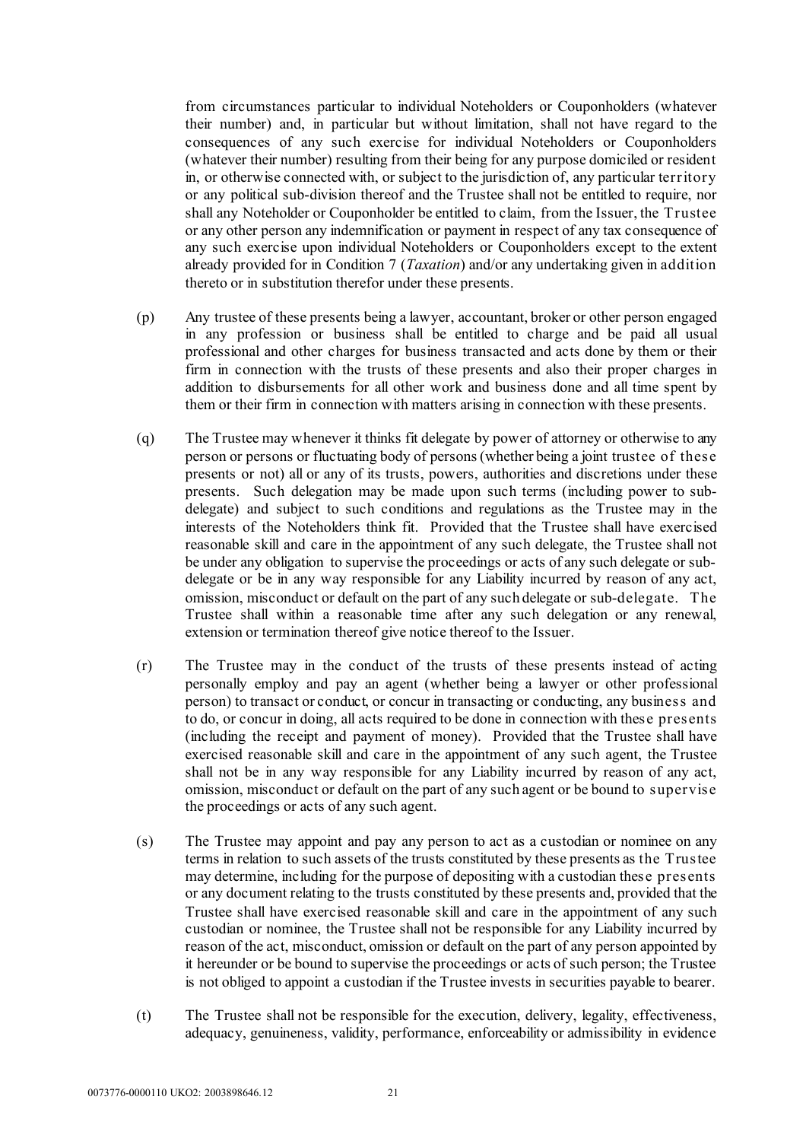from circumstances particular to individual Noteholders or Couponholders (whatever their number) and, in particular but without limitation, shall not have regard to the consequences of any such exercise for individual Noteholders or Couponholders (whatever their number) resulting from their being for any purpose domiciled or resident in, or otherwise connected with, or subject to the jurisdiction of, any particular territory or any political sub-division thereof and the Trustee shall not be entitled to require, nor shall any Noteholder or Couponholder be entitled to claim, from the Issuer, the Trustee or any other person any indemnification or payment in respect of any tax consequence of any such exercise upon individual Noteholders or Couponholders except to the extent already provided for in Condition 7 (*Taxation*) and/or any undertaking given in addition thereto or in substitution therefor under these presents.

- (p) Any trustee of these presents being a lawyer, accountant, broker or other person engaged in any profession or business shall be entitled to charge and be paid all usual professional and other charges for business transacted and acts done by them or their firm in connection with the trusts of these presents and also their proper charges in addition to disbursements for all other work and business done and all time spent by them or their firm in connection with matters arising in connection with these presents.
- <span id="page-22-0"></span>(q) The Trustee may whenever it thinks fit delegate by power of attorney or otherwise to any person or persons or fluctuating body of persons (whether being a joint trustee of these presents or not) all or any of its trusts, powers, authorities and discretions under these presents. Such delegation may be made upon such terms (including power to subdelegate) and subject to such conditions and regulations as the Trustee may in the interests of the Noteholders think fit. Provided that the Trustee shall have exercised reasonable skill and care in the appointment of any such delegate, the Trustee shall not be under any obligation to supervise the proceedings or acts of any such delegate or subdelegate or be in any way responsible for any Liability incurred by reason of any act, omission, misconduct or default on the part of any such delegate or sub-delegate. The Trustee shall within a reasonable time after any such delegation or any renewal, extension or termination thereof give notice thereof to the Issuer.
- <span id="page-22-1"></span>(r) The Trustee may in the conduct of the trusts of these presents instead of acting personally employ and pay an agent (whether being a lawyer or other professional person) to transact or conduct, or concur in transacting or conducting, any business and to do, or concur in doing, all acts required to be done in connection with these presents (including the receipt and payment of money). Provided that the Trustee shall have exercised reasonable skill and care in the appointment of any such agent, the Trustee shall not be in any way responsible for any Liability incurred by reason of any act, omission, misconduct or default on the part of any such agent or be bound to supervise the proceedings or acts of any such agent.
- <span id="page-22-2"></span>(s) The Trustee may appoint and pay any person to act as a custodian or nominee on any terms in relation to such assets of the trusts constituted by these presents as the Trustee may determine, including for the purpose of depositing with a custodian these presents or any document relating to the trusts constituted by these presents and, provided that the Trustee shall have exercised reasonable skill and care in the appointment of any such custodian or nominee, the Trustee shall not be responsible for any Liability incurred by reason of the act, misconduct, omission or default on the part of any person appointed by it hereunder or be bound to supervise the proceedings or acts of such person; the Trustee is not obliged to appoint a custodian if the Trustee invests in securities payable to bearer.
- (t) The Trustee shall not be responsible for the execution, delivery, legality, effectiveness, adequacy, genuineness, validity, performance, enforceability or admissibility in evidence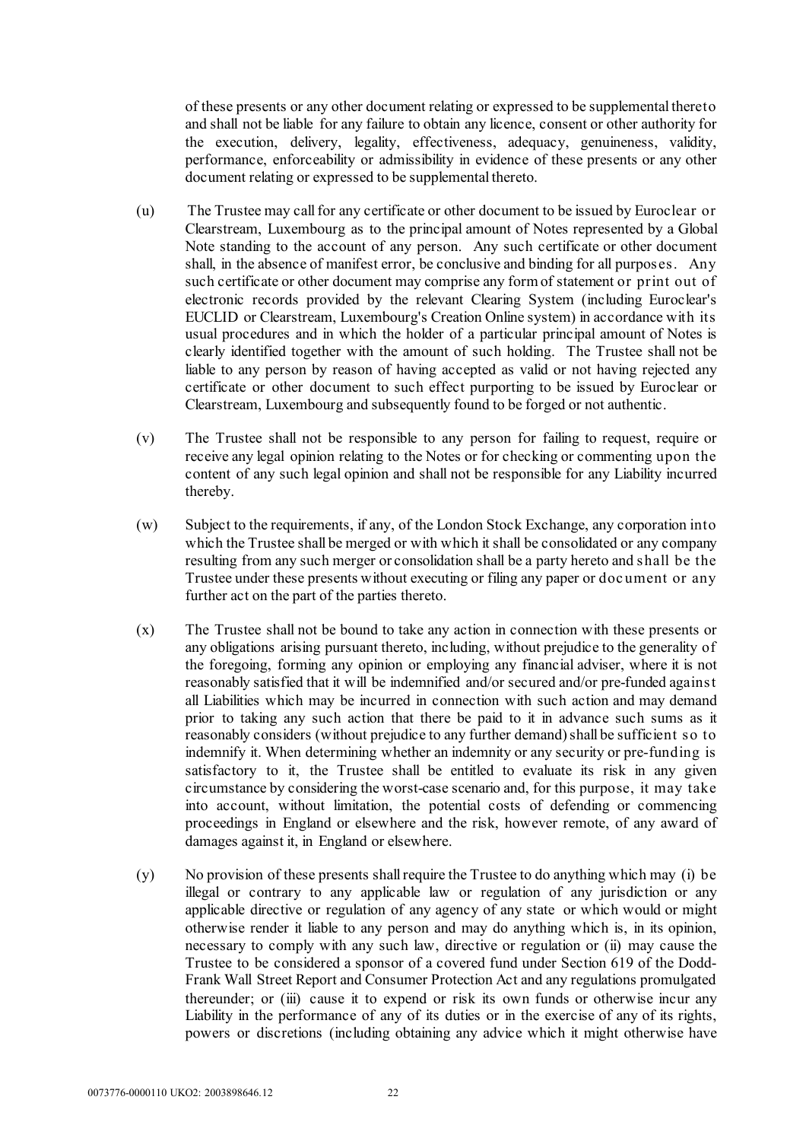of these presents or any other document relating or expressed to be supplemental thereto and shall not be liable for any failure to obtain any licence, consent or other authority for the execution, delivery, legality, effectiveness, adequacy, genuineness, validity, performance, enforceability or admissibility in evidence of these presents or any other document relating or expressed to be supplemental thereto.

- (u) The Trustee may call for any certificate or other document to be issued by Euroclear or Clearstream, Luxembourg as to the principal amount of Notes represented by a Global Note standing to the account of any person. Any such certificate or other document shall, in the absence of manifest error, be conclusive and binding for all purposes. Any such certificate or other document may comprise any form of statement or print out of electronic records provided by the relevant Clearing System (including Euroclear's EUCLID or Clearstream, Luxembourg's Creation Online system) in accordance with its usual procedures and in which the holder of a particular principal amount of Notes is clearly identified together with the amount of such holding. The Trustee shall not be liable to any person by reason of having accepted as valid or not having rejected any certificate or other document to such effect purporting to be issued by Euroclear or Clearstream, Luxembourg and subsequently found to be forged or not authentic.
- (v) The Trustee shall not be responsible to any person for failing to request, require or receive any legal opinion relating to the Notes or for checking or commenting upon the content of any such legal opinion and shall not be responsible for any Liability incurred thereby.
- (w) Subject to the requirements, if any, of the London Stock Exchange, any corporation into which the Trustee shall be merged or with which it shall be consolidated or any company resulting from any such merger or consolidation shall be a party hereto and shall be the Trustee under these presents without executing or filing any paper or doc ument or any further act on the part of the parties thereto.
- (x) The Trustee shall not be bound to take any action in connection with these presents or any obligations arising pursuant thereto, including, without prejudice to the generality of the foregoing, forming any opinion or employing any financial adviser, where it is not reasonably satisfied that it will be indemnified and/or secured and/or pre-funded against all Liabilities which may be incurred in connection with such action and may demand prior to taking any such action that there be paid to it in advance such sums as it reasonably considers (without prejudice to any further demand) shall be sufficient so to indemnify it. When determining whether an indemnity or any security or pre-funding is satisfactory to it, the Trustee shall be entitled to evaluate its risk in any given circumstance by considering the worst-case scenario and, for this purpose, it may take into account, without limitation, the potential costs of defending or commencing proceedings in England or elsewhere and the risk, however remote, of any award of damages against it, in England or elsewhere.
- (y) No provision of these presents shall require the Trustee to do anything which may (i) be illegal or contrary to any applicable law or regulation of any jurisdiction or any applicable directive or regulation of any agency of any state or which would or might otherwise render it liable to any person and may do anything which is, in its opinion, necessary to comply with any such law, directive or regulation or (ii) may cause the Trustee to be considered a sponsor of a covered fund under Section 619 of the Dodd-Frank Wall Street Report and Consumer Protection Act and any regulations promulgated thereunder; or (iii) cause it to expend or risk its own funds or otherwise incur any Liability in the performance of any of its duties or in the exercise of any of its rights, powers or discretions (including obtaining any advice which it might otherwise have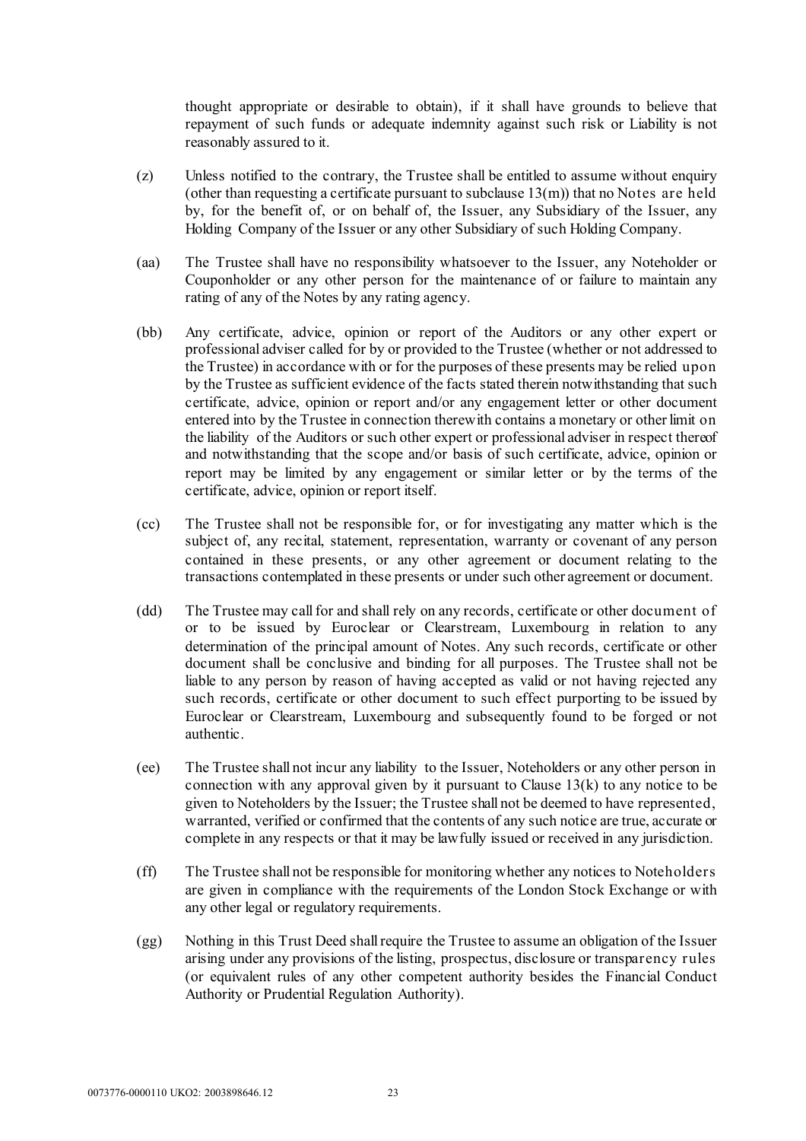thought appropriate or desirable to obtain), if it shall have grounds to believe that repayment of such funds or adequate indemnity against such risk or Liability is not reasonably assured to it.

- (z) Unless notified to the contrary, the Trustee shall be entitled to assume without enquiry (other than requesting a certificate pursuant to subclause  $13(m)$ ) that no Notes are held by, for the benefit of, or on behalf of, the Issuer, any Subsidiary of the Issuer, any Holding Company of the Issuer or any other Subsidiary of such Holding Company.
- (aa) The Trustee shall have no responsibility whatsoever to the Issuer, any Noteholder or Couponholder or any other person for the maintenance of or failure to maintain any rating of any of the Notes by any rating agency.
- (bb) Any certificate, advice, opinion or report of the Auditors or any other expert or professional adviser called for by or provided to the Trustee (whether or not addressed to the Trustee) in accordance with or for the purposes of these presents may be relied upon by the Trustee as sufficient evidence of the facts stated therein notwithstanding that such certificate, advice, opinion or report and/or any engagement letter or other document entered into by the Trustee in connection therewith contains a monetary or other limit on the liability of the Auditors or such other expert or professional adviser in respect thereof and notwithstanding that the scope and/or basis of such certificate, advice, opinion or report may be limited by any engagement or similar letter or by the terms of the certificate, advice, opinion or report itself.
- (cc) The Trustee shall not be responsible for, or for investigating any matter which is the subject of, any recital, statement, representation, warranty or covenant of any person contained in these presents, or any other agreement or document relating to the transactions contemplated in these presents or under such other agreement or document.
- (dd) The Trustee may call for and shall rely on any records, certificate or other document of or to be issued by Euroclear or Clearstream, Luxembourg in relation to any determination of the principal amount of Notes. Any such records, certificate or other document shall be conclusive and binding for all purposes. The Trustee shall not be liable to any person by reason of having accepted as valid or not having rejected any such records, certificate or other document to such effect purporting to be issued by Euroclear or Clearstream, Luxembourg and subsequently found to be forged or not authentic.
- (ee) The Trustee shall not incur any liability to the Issuer, Noteholders or any other person in connection with any approval given by it pursuant to Claus[e 13\(k\)](#page-16-1) to any notice to be given to Noteholders by the Issuer; the Trustee shall not be deemed to have represented, warranted, verified or confirmed that the contents of any such notice are true, accurate or complete in any respects or that it may be lawfully issued or received in any jurisdiction.
- (ff) The Trustee shall not be responsible for monitoring whether any notices to Noteholders are given in compliance with the requirements of the London Stock Exchange or with any other legal or regulatory requirements.
- (gg) Nothing in this Trust Deed shall require the Trustee to assume an obligation of the Issuer arising under any provisions of the listing, prospectus, disclosure or transparency rules (or equivalent rules of any other competent authority besides the Financial Conduct Authority or Prudential Regulation Authority).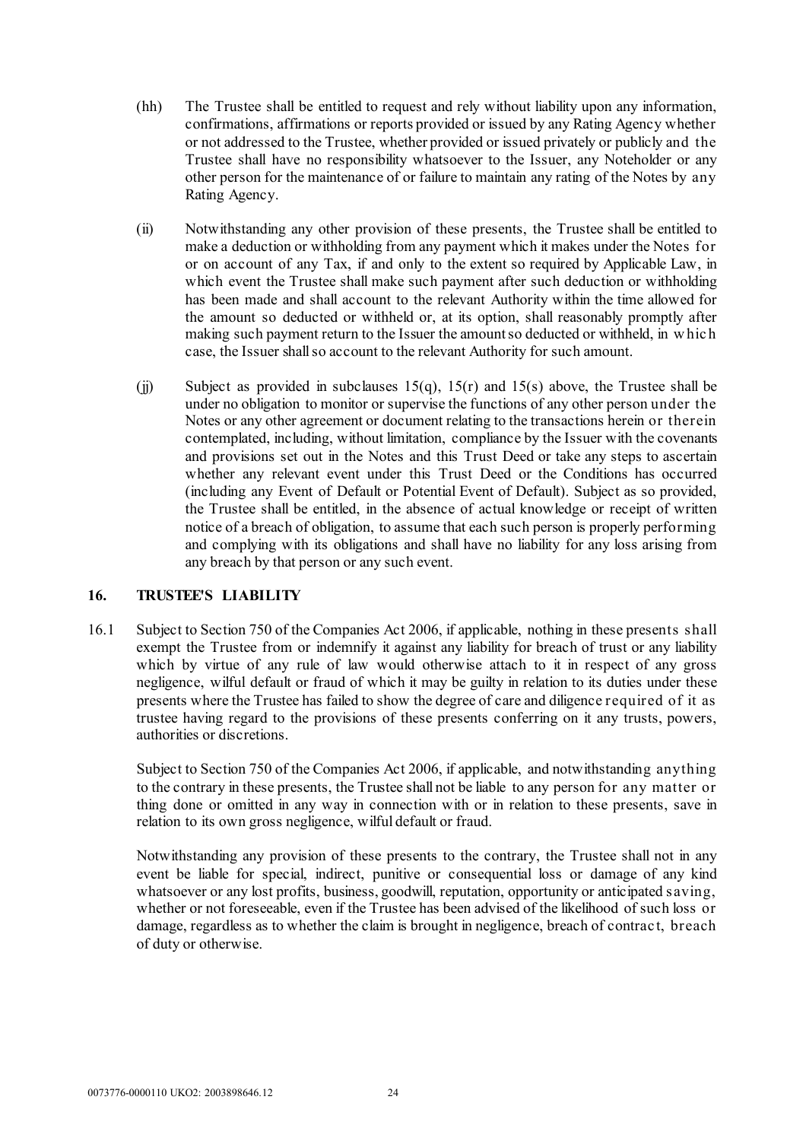- (hh) The Trustee shall be entitled to request and rely without liability upon any information, confirmations, affirmations or reports provided or issued by any Rating Agency whether or not addressed to the Trustee, whether provided or issued privately or publicly and the Trustee shall have no responsibility whatsoever to the Issuer, any Noteholder or any other person for the maintenance of or failure to maintain any rating of the Notes by any Rating Agency.
- (ii) Notwithstanding any other provision of these presents, the Trustee shall be entitled to make a deduction or withholding from any payment which it makes under the Notes for or on account of any Tax, if and only to the extent so required by Applicable Law, in which event the Trustee shall make such payment after such deduction or withholding has been made and shall account to the relevant Authority within the time allowed for the amount so deducted or withheld or, at its option, shall reasonably promptly after making such payment return to the Issuer the amount so deducted or withheld, in w hic h case, the Issuer shall so account to the relevant Authority for such amount.
- (ii) Subject as provided in subclauses  $15(q)$ ,  $15(r)$  and  $15(s)$  [above,](#page-22-2) the Trustee shall be under no obligation to monitor or supervise the functions of any other person under the Notes or any other agreement or document relating to the transactions herein or therein contemplated, including, without limitation, compliance by the Issuer with the covenants and provisions set out in the Notes and this Trust Deed or take any steps to ascertain whether any relevant event under this Trust Deed or the Conditions has occurred (including any Event of Default or Potential Event of Default). Subject as so provided, the Trustee shall be entitled, in the absence of actual knowledge or receipt of written notice of a breach of obligation, to assume that each such person is properly performing and complying with its obligations and shall have no liability for any loss arising from any breach by that person or any such event.

# **16. TRUSTEE'S LIABILITY**

16.1 Subject to Section 750 of the Companies Act 2006, if applicable, nothing in these presents shall exempt the Trustee from or indemnify it against any liability for breach of trust or any liability which by virtue of any rule of law would otherwise attach to it in respect of any gross negligence, wilful default or fraud of which it may be guilty in relation to its duties under these presents where the Trustee has failed to show the degree of care and diligence required of it as trustee having regard to the provisions of these presents conferring on it any trusts, powers, authorities or discretions.

Subject to Section 750 of the Companies Act 2006, if applicable, and notwithstanding anything to the contrary in these presents, the Trustee shall not be liable to any person for any matter or thing done or omitted in any way in connection with or in relation to these presents, save in relation to its own gross negligence, wilful default or fraud.

Notwithstanding any provision of these presents to the contrary, the Trustee shall not in any event be liable for special, indirect, punitive or consequential loss or damage of any kind whatsoever or any lost profits, business, goodwill, reputation, opportunity or anticipated saving, whether or not foreseeable, even if the Trustee has been advised of the likelihood of such loss or damage, regardless as to whether the claim is brought in negligence, breach of contrac t, breach of duty or otherwise.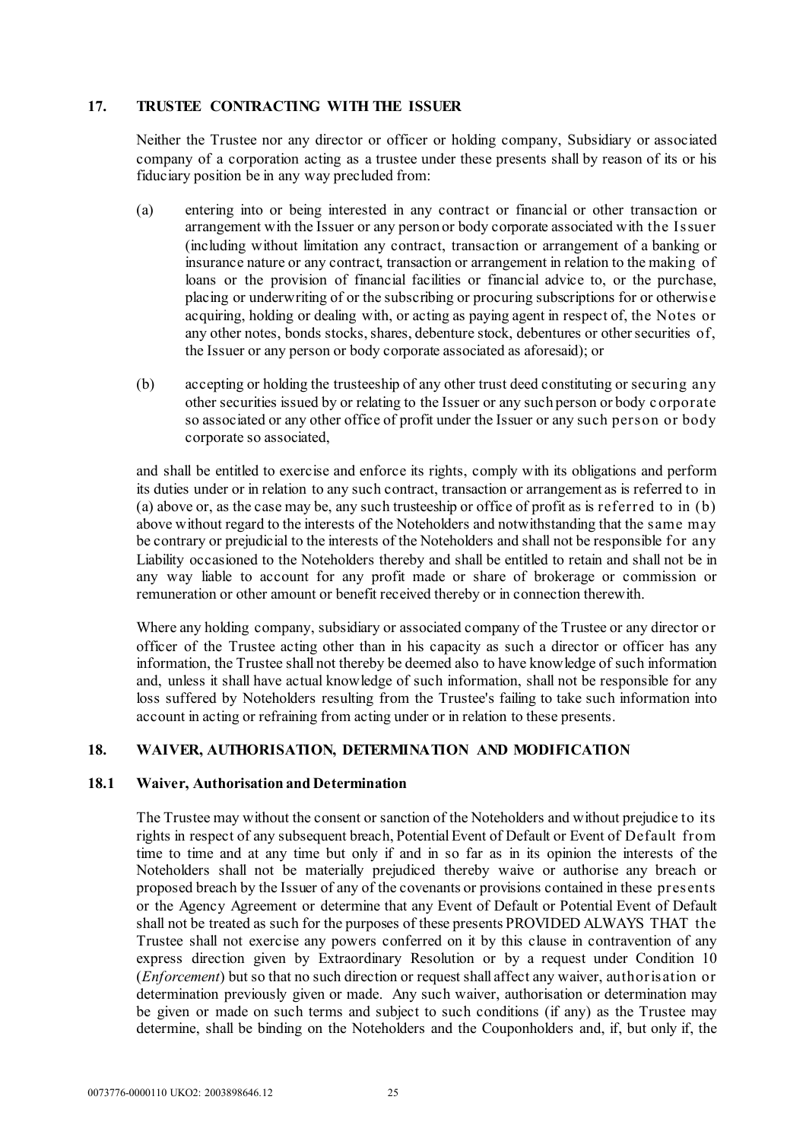# **17. TRUSTEE CONTRACTING WITH THE ISSUER**

Neither the Trustee nor any director or officer or holding company, Subsidiary or associated company of a corporation acting as a trustee under these presents shall by reason of its or his fiduciary position be in any way precluded from:

- <span id="page-26-0"></span>(a) entering into or being interested in any contract or financial or other transaction or arrangement with the Issuer or any person or body corporate associated with the Issuer (including without limitation any contract, transaction or arrangement of a banking or insurance nature or any contract, transaction or arrangement in relation to the making of loans or the provision of financial facilities or financial advice to, or the purchase, placing or underwriting of or the subscribing or procuring subscriptions for or otherwise acquiring, holding or dealing with, or acting as paying agent in respect of, the Notes or any other notes, bonds stocks, shares, debenture stock, debentures or other securities of, the Issuer or any person or body corporate associated as aforesaid); or
- <span id="page-26-1"></span>(b) accepting or holding the trusteeship of any other trust deed constituting or securing any other securities issued by or relating to the Issuer or any such person or body c orporate so associated or any other office of profit under the Issuer or any such person or body corporate so associated,

and shall be entitled to exercise and enforce its rights, comply with its obligations and perform its duties under or in relation to any such contract, transaction or arrangement as is referred to in [\(a\) above](#page-26-0) or, as the case may be, any such trusteeship or office of profit as is referred to in [\(b\)](#page-26-1)  [above](#page-26-1) without regard to the interests of the Noteholders and notwithstanding that the same may be contrary or prejudicial to the interests of the Noteholders and shall not be responsible for any Liability occasioned to the Noteholders thereby and shall be entitled to retain and shall not be in any way liable to account for any profit made or share of brokerage or commission or remuneration or other amount or benefit received thereby or in connection therewith.

Where any holding company, subsidiary or associated company of the Trustee or any director or officer of the Trustee acting other than in his capacity as such a director or officer has any information, the Trustee shall not thereby be deemed also to have knowledge of such information and, unless it shall have actual knowledge of such information, shall not be responsible for any loss suffered by Noteholders resulting from the Trustee's failing to take such information into account in acting or refraining from acting under or in relation to these presents.

# <span id="page-26-2"></span>**18. WAIVER, AUTHORISATION, DETERMINATION AND MODIFICATION**

#### **18.1 Waiver, Authorisation and Determination**

The Trustee may without the consent or sanction of the Noteholders and without prejudice to its rights in respect of any subsequent breach, Potential Event of Default or Event of Default from time to time and at any time but only if and in so far as in its opinion the interests of the Noteholders shall not be materially prejudiced thereby waive or authorise any breach or proposed breach by the Issuer of any of the covenants or provisions contained in these presents or the Agency Agreement or determine that any Event of Default or Potential Event of Default shall not be treated as such for the purposes of these presents PROVIDED ALWAYS THAT the Trustee shall not exercise any powers conferred on it by this clause in contravention of any express direction given by Extraordinary Resolution or by a request under Condition 10 (*Enforcement*) but so that no such direction or request shall affect any waiver, authorisation or determination previously given or made. Any such waiver, authorisation or determination may be given or made on such terms and subject to such conditions (if any) as the Trustee may determine, shall be binding on the Noteholders and the Couponholders and, if, but only if, the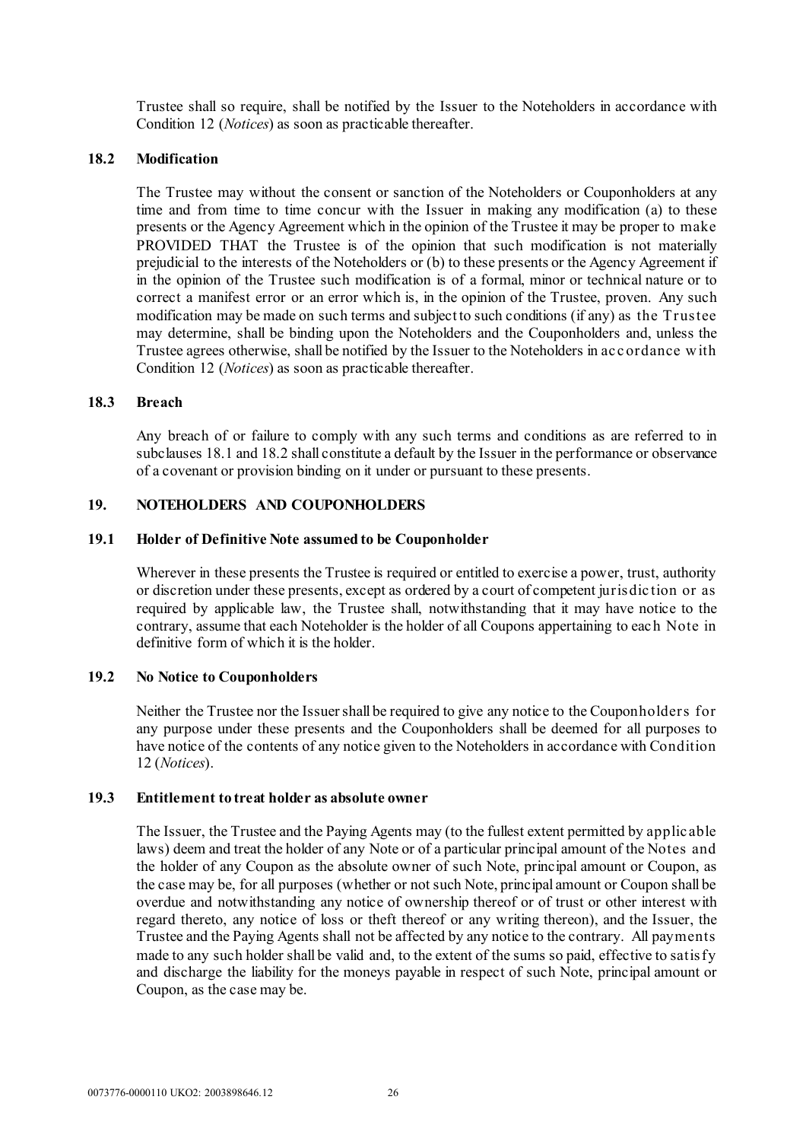Trustee shall so require, shall be notified by the Issuer to the Noteholders in accordance with Condition 12 (*Notices*) as soon as practicable thereafter.

#### <span id="page-27-0"></span>**18.2 Modification**

The Trustee may without the consent or sanction of the Noteholders or Couponholders at any time and from time to time concur with the Issuer in making any modification (a) to these presents or the Agency Agreement which in the opinion of the Trustee it may be proper to make PROVIDED THAT the Trustee is of the opinion that such modification is not materially prejudicial to the interests of the Noteholders or (b) to these presents or the Agency Agreement if in the opinion of the Trustee such modification is of a formal, minor or technical nature or to correct a manifest error or an error which is, in the opinion of the Trustee, proven. Any such modification may be made on such terms and subject to such conditions (if any) as the Trustee may determine, shall be binding upon the Noteholders and the Couponholders and, unless the Trustee agrees otherwise, shall be notified by the Issuer to the Noteholders in ac c ordance w ith Condition 12 (*Notices*) as soon as practicable thereafter.

#### **18.3 Breach**

Any breach of or failure to comply with any such terms and conditions as are referred to in subclause[s 18.1](#page-26-2) an[d 18.2](#page-27-0) shall constitute a default by the Issuer in the performance or observance of a covenant or provision binding on it under or pursuant to these presents.

#### **19. NOTEHOLDERS AND COUPONHOLDERS**

#### **19.1 Holder of Definitive Note assumed to be Couponholder**

Wherever in these presents the Trustee is required or entitled to exercise a power, trust, authority or discretion under these presents, except as ordered by a court of competent jurisdic tion or as required by applicable law, the Trustee shall, notwithstanding that it may have notice to the contrary, assume that each Noteholder is the holder of all Coupons appertaining to eac h Note in definitive form of which it is the holder.

#### **19.2 No Notice to Couponholders**

Neither the Trustee nor the Issuer shall be required to give any notice to the Couponholders for any purpose under these presents and the Couponholders shall be deemed for all purposes to have notice of the contents of any notice given to the Noteholders in accordance with Condition 12 (*Notices*).

#### **19.3 Entitlement to treat holder as absolute owner**

The Issuer, the Trustee and the Paying Agents may (to the fullest extent permitted by applic able laws) deem and treat the holder of any Note or of a particular principal amount of the Notes and the holder of any Coupon as the absolute owner of such Note, principal amount or Coupon, as the case may be, for all purposes (whether or not such Note, principal amount or Coupon shall be overdue and notwithstanding any notice of ownership thereof or of trust or other interest with regard thereto, any notice of loss or theft thereof or any writing thereon), and the Issuer, the Trustee and the Paying Agents shall not be affected by any notice to the contrary. All payments made to any such holder shall be valid and, to the extent of the sums so paid, effective to satisfy and discharge the liability for the moneys payable in respect of such Note, principal amount or Coupon, as the case may be.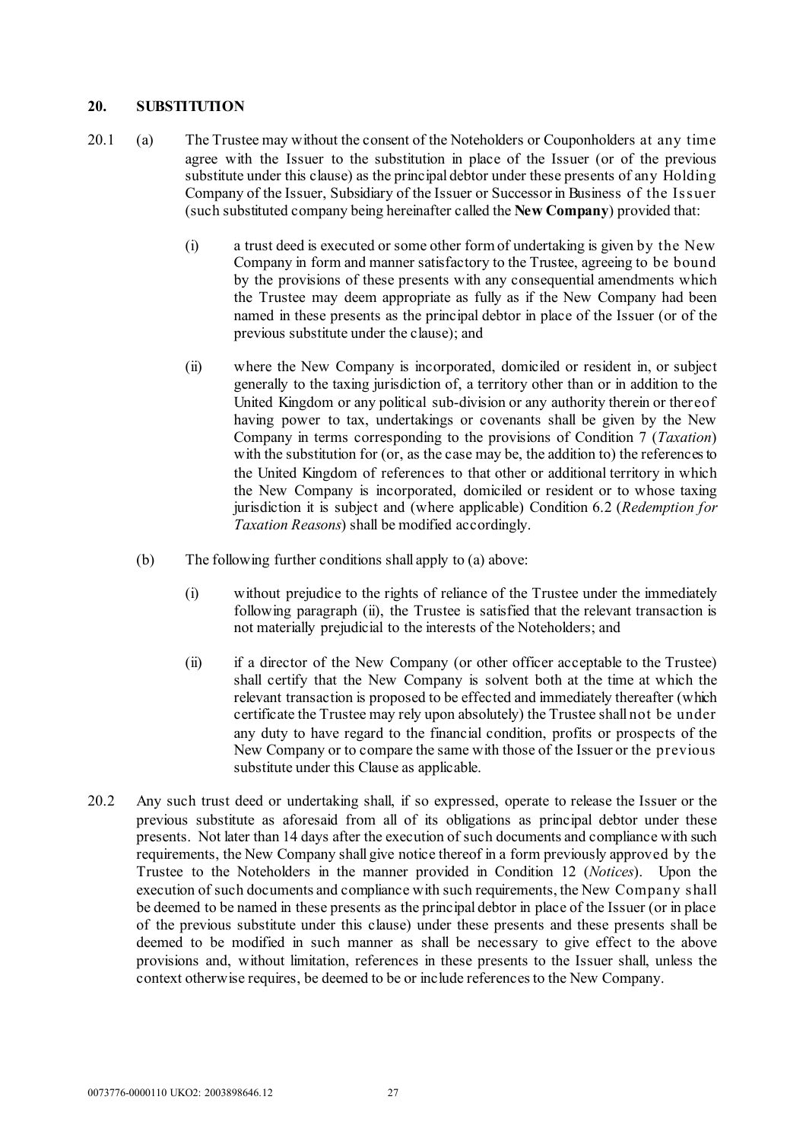#### **20. SUBSTITUTION**

- <span id="page-28-0"></span>20.1 (a) The Trustee may without the consent of the Noteholders or Couponholders at any time agree with the Issuer to the substitution in place of the Issuer (or of the previous substitute under this clause) as the principal debtor under these presents of any Holding Company of the Issuer, Subsidiary of the Issuer or Successor in Business of the Issuer (such substituted company being hereinafter called the **New Company**) provided that:
	- (i) a trust deed is executed or some other form of undertaking is given by the New Company in form and manner satisfactory to the Trustee, agreeing to be bound by the provisions of these presents with any consequential amendments which the Trustee may deem appropriate as fully as if the New Company had been named in these presents as the principal debtor in place of the Issuer (or of the previous substitute under the clause); and
	- (ii) where the New Company is incorporated, domiciled or resident in, or subject generally to the taxing jurisdiction of, a territory other than or in addition to the United Kingdom or any political sub-division or any authority therein or thereof having power to tax, undertakings or covenants shall be given by the New Company in terms corresponding to the provisions of Condition 7 (*Taxation*) with the substitution for (or, as the case may be, the addition to) the references to the United Kingdom of references to that other or additional territory in which the New Company is incorporated, domiciled or resident or to whose taxing jurisdiction it is subject and (where applicable) Condition 6.2 (*Redemption for Taxation Reasons*) shall be modified accordingly.
	- (b) The following further conditions shall apply to [\(a\) above:](#page-28-0)
		- (i) without prejudice to the rights of reliance of the Trustee under the immediately following paragraph [\(ii\),](#page-28-1) the Trustee is satisfied that the relevant transaction is not materially prejudicial to the interests of the Noteholders; and
		- (ii) if a director of the New Company (or other officer acceptable to the Trustee) shall certify that the New Company is solvent both at the time at which the relevant transaction is proposed to be effected and immediately thereafter (which certificate the Trustee may rely upon absolutely) the Trustee shall not be under any duty to have regard to the financial condition, profits or prospects of the New Company or to compare the same with those of the Issuer or the previous substitute under this Clause as applicable.
- <span id="page-28-1"></span>20.2 Any such trust deed or undertaking shall, if so expressed, operate to release the Issuer or the previous substitute as aforesaid from all of its obligations as principal debtor under these presents. Not later than 14 days after the execution of such documents and compliance with such requirements, the New Company shall give notice thereof in a form previously approved by the Trustee to the Noteholders in the manner provided in Condition 12 (*Notices*). Upon the execution of such documents and compliance with such requirements, the New Company shall be deemed to be named in these presents as the principal debtor in place of the Issuer (or in place of the previous substitute under this clause) under these presents and these presents shall be deemed to be modified in such manner as shall be necessary to give effect to the above provisions and, without limitation, references in these presents to the Issuer shall, unless the context otherwise requires, be deemed to be or include referencesto the New Company.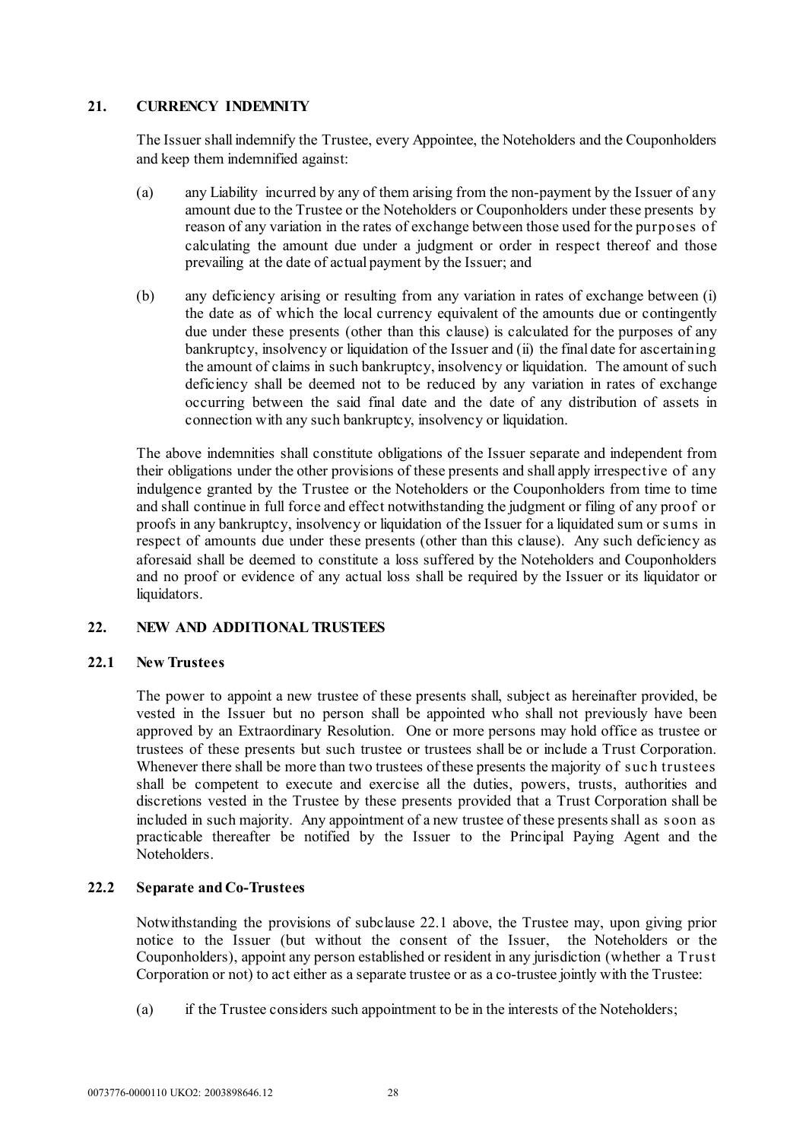# **21. CURRENCY INDEMNITY**

The Issuer shall indemnify the Trustee, every Appointee, the Noteholders and the Couponholders and keep them indemnified against:

- (a) any Liability incurred by any of them arising from the non-payment by the Issuer of any amount due to the Trustee or the Noteholders or Couponholders under these presents by reason of any variation in the rates of exchange between those used for the purposes of calculating the amount due under a judgment or order in respect thereof and those prevailing at the date of actual payment by the Issuer; and
- (b) any deficiency arising or resulting from any variation in rates of exchange between (i) the date as of which the local currency equivalent of the amounts due or contingently due under these presents (other than this clause) is calculated for the purposes of any bankruptcy, insolvency or liquidation of the Issuer and (ii) the final date for ascertaining the amount of claims in such bankruptcy, insolvency or liquidation. The amount of such deficiency shall be deemed not to be reduced by any variation in rates of exchange occurring between the said final date and the date of any distribution of assets in connection with any such bankruptcy, insolvency or liquidation.

The above indemnities shall constitute obligations of the Issuer separate and independent from their obligations under the other provisions of these presents and shall apply irrespective of any indulgence granted by the Trustee or the Noteholders or the Couponholders from time to time and shall continue in full force and effect notwithstanding the judgment or filing of any proof or proofs in any bankruptcy, insolvency or liquidation of the Issuer for a liquidated sum or sums in respect of amounts due under these presents (other than this clause). Any such deficiency as aforesaid shall be deemed to constitute a loss suffered by the Noteholders and Couponholders and no proof or evidence of any actual loss shall be required by the Issuer or its liquidator or liquidators.

#### <span id="page-29-0"></span>**22. NEW AND ADDITIONAL TRUSTEES**

#### **22.1 New Trustees**

The power to appoint a new trustee of these presents shall, subject as hereinafter provided, be vested in the Issuer but no person shall be appointed who shall not previously have been approved by an Extraordinary Resolution. One or more persons may hold office as trustee or trustees of these presents but such trustee or trustees shall be or include a Trust Corporation. Whenever there shall be more than two trustees of these presents the majority of suc h trustees shall be competent to execute and exercise all the duties, powers, trusts, authorities and discretions vested in the Trustee by these presents provided that a Trust Corporation shall be included in such majority. Any appointment of a new trustee of these presents shall as soon as practicable thereafter be notified by the Issuer to the Principal Paying Agent and the Noteholders.

# <span id="page-29-1"></span>**22.2 Separate and Co-Trustees**

Notwithstanding the provisions of subclause [22.1 above,](#page-29-0) the Trustee may, upon giving prior notice to the Issuer (but without the consent of the Issuer, the Noteholders or the Couponholders), appoint any person established or resident in any jurisdiction (whether a Trust Corporation or not) to act either as a separate trustee or as a co-trustee jointly with the Trustee:

(a) if the Trustee considers such appointment to be in the interests of the Noteholders;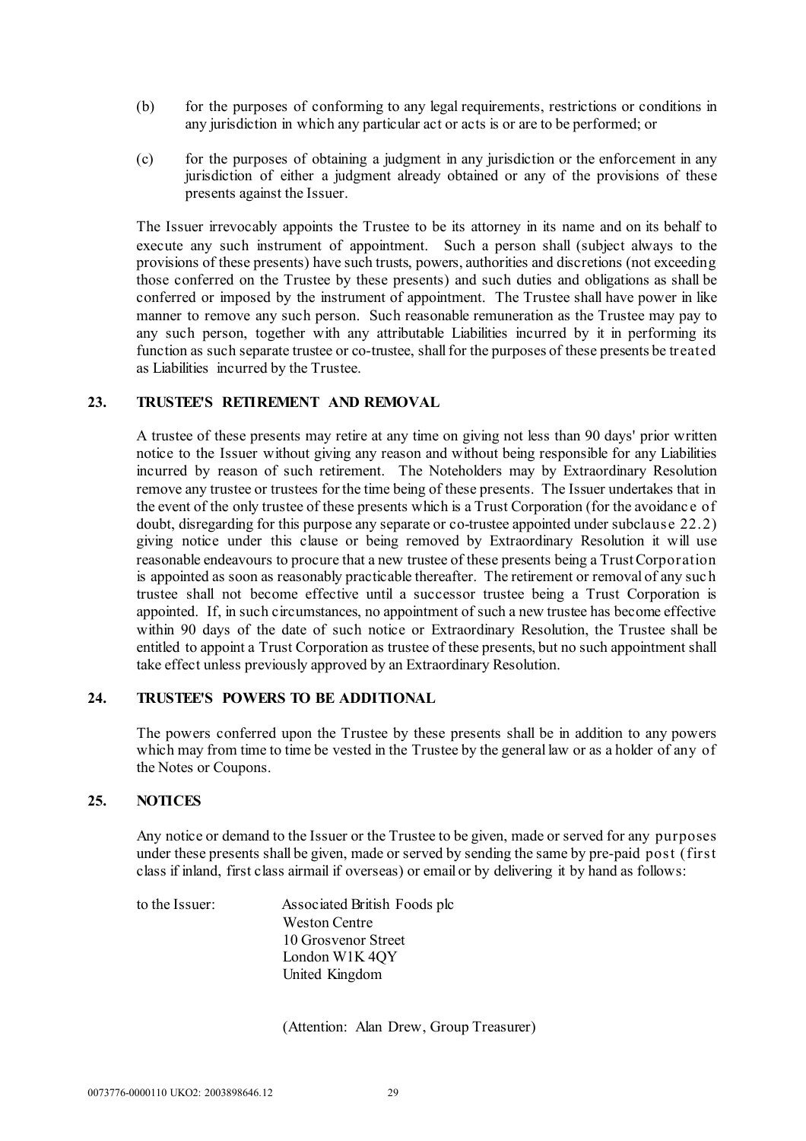- (b) for the purposes of conforming to any legal requirements, restrictions or conditions in any jurisdiction in which any particular act or acts is or are to be performed; or
- (c) for the purposes of obtaining a judgment in any jurisdiction or the enforcement in any jurisdiction of either a judgment already obtained or any of the provisions of these presents against the Issuer.

The Issuer irrevocably appoints the Trustee to be its attorney in its name and on its behalf to execute any such instrument of appointment. Such a person shall (subject always to the provisions of these presents) have such trusts, powers, authorities and discretions (not exceeding those conferred on the Trustee by these presents) and such duties and obligations as shall be conferred or imposed by the instrument of appointment. The Trustee shall have power in like manner to remove any such person. Such reasonable remuneration as the Trustee may pay to any such person, together with any attributable Liabilities incurred by it in performing its function as such separate trustee or co-trustee, shall for the purposes of these presents be treated as Liabilities incurred by the Trustee.

# **23. TRUSTEE'S RETIREMENT AND REMOVAL**

A trustee of these presents may retire at any time on giving not less than 90 days' prior written notice to the Issuer without giving any reason and without being responsible for any Liabilities incurred by reason of such retirement. The Noteholders may by Extraordinary Resolution remove any trustee or trustees for the time being of these presents. The Issuer undertakes that in the event of the only trustee of these presents which is a Trust Corporation (for the avoidanc e of doubt, disregarding for this purpose any separate or co-trustee appointed under subclause [22.2\)](#page-29-1) giving notice under this clause or being removed by Extraordinary Resolution it will use reasonable endeavours to procure that a new trustee of these presents being a Trust Corporation is appointed as soon as reasonably practicable thereafter. The retirement or removal of any suc h trustee shall not become effective until a successor trustee being a Trust Corporation is appointed. If, in such circumstances, no appointment of such a new trustee has become effective within 90 days of the date of such notice or Extraordinary Resolution, the Trustee shall be entitled to appoint a Trust Corporation as trustee of these presents, but no such appointment shall take effect unless previously approved by an Extraordinary Resolution.

# **24. TRUSTEE'S POWERS TO BE ADDITIONAL**

The powers conferred upon the Trustee by these presents shall be in addition to any powers which may from time to time be vested in the Trustee by the general law or as a holder of any of the Notes or Coupons.

#### **25. NOTICES**

Any notice or demand to the Issuer or the Trustee to be given, made or served for any purposes under these presents shall be given, made or served by sending the same by pre-paid post (first class if inland, first class airmail if overseas) or email or by delivering it by hand as follows:

to the Issuer: Associated British Foods plc Weston Centre 10 Grosvenor Street London W1K 4QY United Kingdom

(Attention: Alan Drew, Group Treasurer)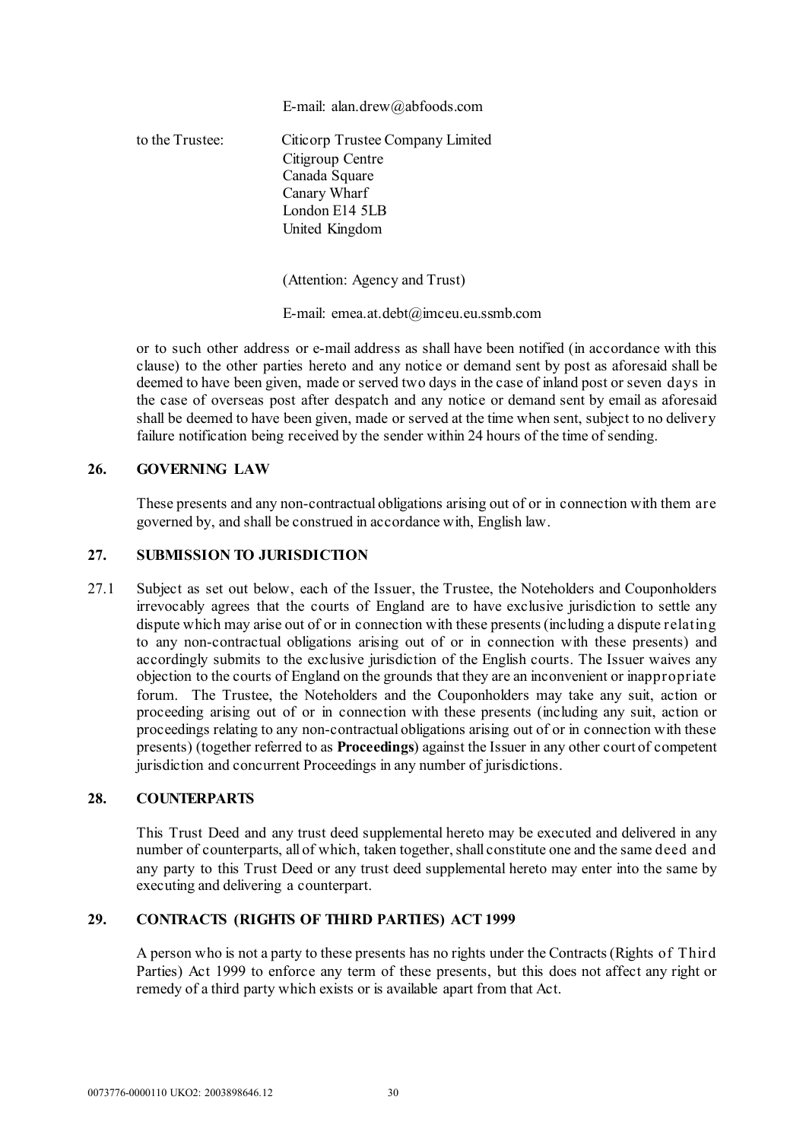#### E-mail: alan.drew@abfoods.com

to the Trustee: Citicorp Trustee Company Limited Citigroup Centre Canada Square Canary Wharf London E14 5LB United Kingdom

(Attention: Agency and Trust)

E-mail: emea.at.debt@imceu.eu.ssmb.com

or to such other address or e-mail address as shall have been notified (in accordance with this clause) to the other parties hereto and any notice or demand sent by post as aforesaid shall be deemed to have been given, made or served two days in the case of inland post or seven days in the case of overseas post after despatch and any notice or demand sent by email as aforesaid shall be deemed to have been given, made or served at the time when sent, subject to no delivery failure notification being received by the sender within 24 hours of the time of sending.

# **26. GOVERNING LAW**

These presents and any non-contractual obligations arising out of or in connection with them are governed by, and shall be construed in accordance with, English law.

#### **27. SUBMISSION TO JURISDICTION**

27.1 Subject as set out below, each of the Issuer, the Trustee, the Noteholders and Couponholders irrevocably agrees that the courts of England are to have exclusive jurisdiction to settle any dispute which may arise out of or in connection with these presents(including a dispute relating to any non-contractual obligations arising out of or in connection with these presents) and accordingly submits to the exclusive jurisdiction of the English courts. The Issuer waives any objection to the courts of England on the grounds that they are an inconvenient or inappropriate forum. The Trustee, the Noteholders and the Couponholders may take any suit, action or proceeding arising out of or in connection with these presents (including any suit, action or proceedings relating to any non-contractual obligations arising out of or in connection with these presents) (together referred to as **Proceedings**) against the Issuer in any other court of competent jurisdiction and concurrent Proceedings in any number of jurisdictions.

#### **28. COUNTERPARTS**

This Trust Deed and any trust deed supplemental hereto may be executed and delivered in any number of counterparts, all of which, taken together, shall constitute one and the same deed and any party to this Trust Deed or any trust deed supplemental hereto may enter into the same by executing and delivering a counterpart.

# **29. CONTRACTS (RIGHTS OF THIRD PARTIES) ACT 1999**

A person who is not a party to these presents has no rights under the Contracts (Rights of Third Parties) Act 1999 to enforce any term of these presents, but this does not affect any right or remedy of a third party which exists or is available apart from that Act.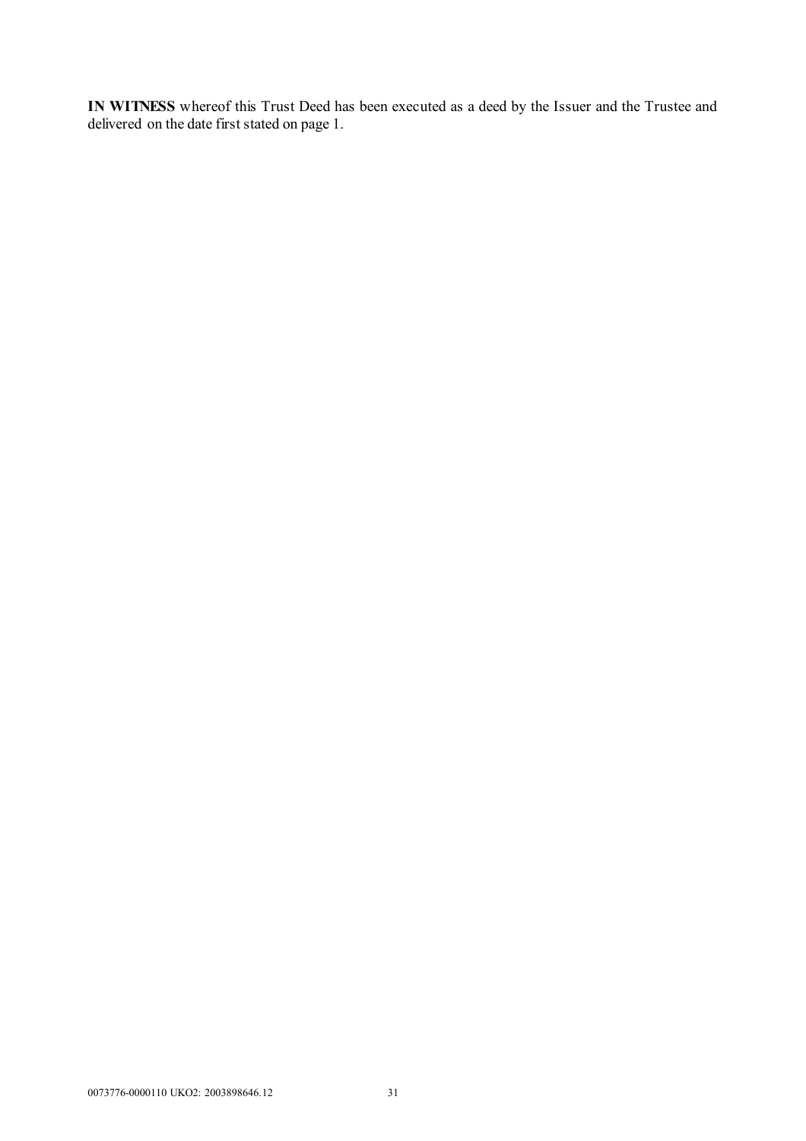**IN WITNESS** whereof this Trust Deed has been executed as a deed by the Issuer and the Trustee and delivered on the date first stated on page 1.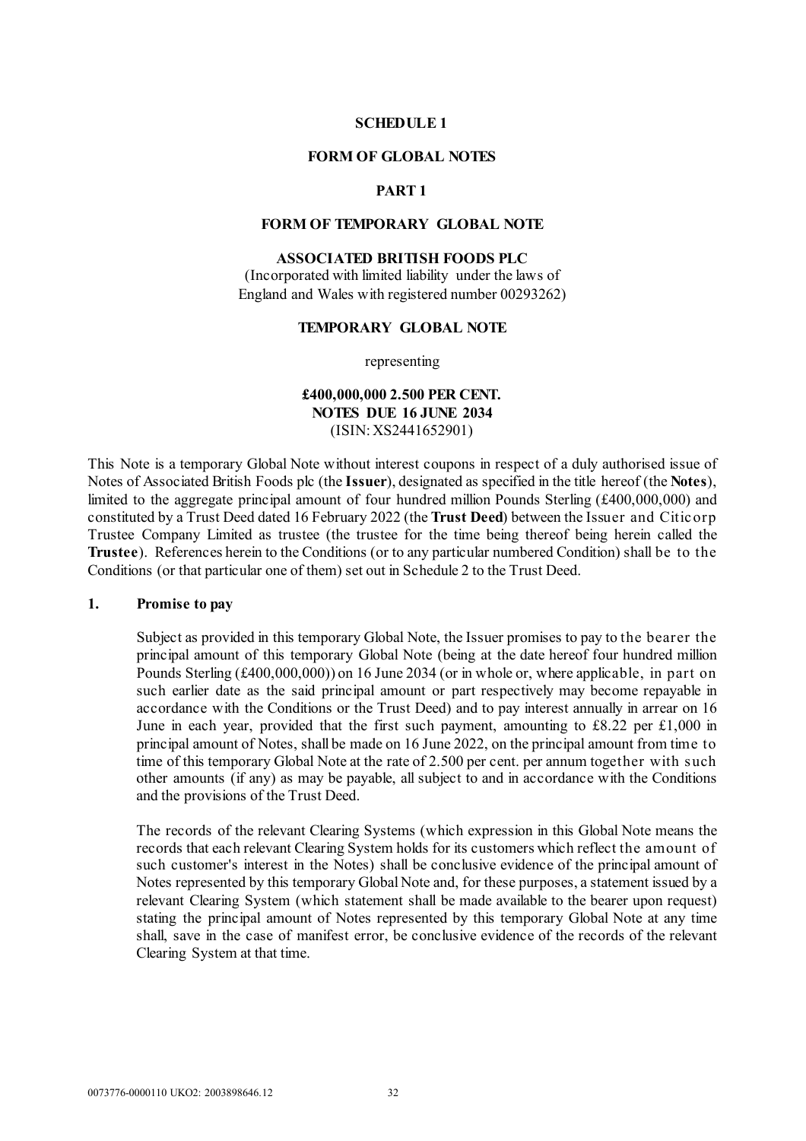#### **SCHEDULE 1**

#### **FORM OF GLOBAL NOTES**

# **PART 1**

#### <span id="page-33-0"></span>**FORM OF TEMPORARY GLOBAL NOTE**

# **ASSOCIATED BRITISH FOODS PLC**

(Incorporated with limited liability under the laws of England and Wales with registered number 00293262)

#### **TEMPORARY GLOBAL NOTE**

representing

# **£400,000,000 2.500 PER CENT. NOTES DUE 16 JUNE 2034** (ISIN: XS2441652901)

This Note is a temporary Global Note without interest coupons in respect of a duly authorised issue of Notes of Associated British Foods plc (the **Issuer**), designated as specified in the title hereof (the **Notes**), limited to the aggregate principal amount of four hundred million Pounds Sterling (£400,000,000) and constituted by a Trust Deed dated 16 February 2022 (the **Trust Deed**) between the Issuer and Citicorp Trustee Company Limited as trustee (the trustee for the time being thereof being herein called the **Trustee**). References herein to the Conditions (or to any particular numbered Condition) shall be to the Conditions (or that particular one of them) set out in [Schedule 2](#page-45-0) to the Trust Deed.

#### **1. Promise to pay**

Subject as provided in this temporary Global Note, the Issuer promises to pay to the bearer the principal amount of this temporary Global Note (being at the date hereof four hundred million Pounds Sterling (£400,000,000)) on 16 June 2034 (or in whole or, where applicable, in part on such earlier date as the said principal amount or part respectively may become repayable in accordance with the Conditions or the Trust Deed) and to pay interest annually in arrear on 16 June in each year, provided that the first such payment, amounting to £8.22 per £1,000 in principal amount of Notes, shall be made on 16 June 2022, on the principal amount from time to time of this temporary Global Note at the rate of 2.500 per cent. per annum together with such other amounts (if any) as may be payable, all subject to and in accordance with the Conditions and the provisions of the Trust Deed.

The records of the relevant Clearing Systems (which expression in this Global Note means the records that each relevant Clearing System holds for its customers which reflect the amount of such customer's interest in the Notes) shall be conclusive evidence of the principal amount of Notes represented by this temporary Global Note and, for these purposes, a statement issued by a relevant Clearing System (which statement shall be made available to the bearer upon request) stating the principal amount of Notes represented by this temporary Global Note at any time shall, save in the case of manifest error, be conclusive evidence of the records of the relevant Clearing System at that time.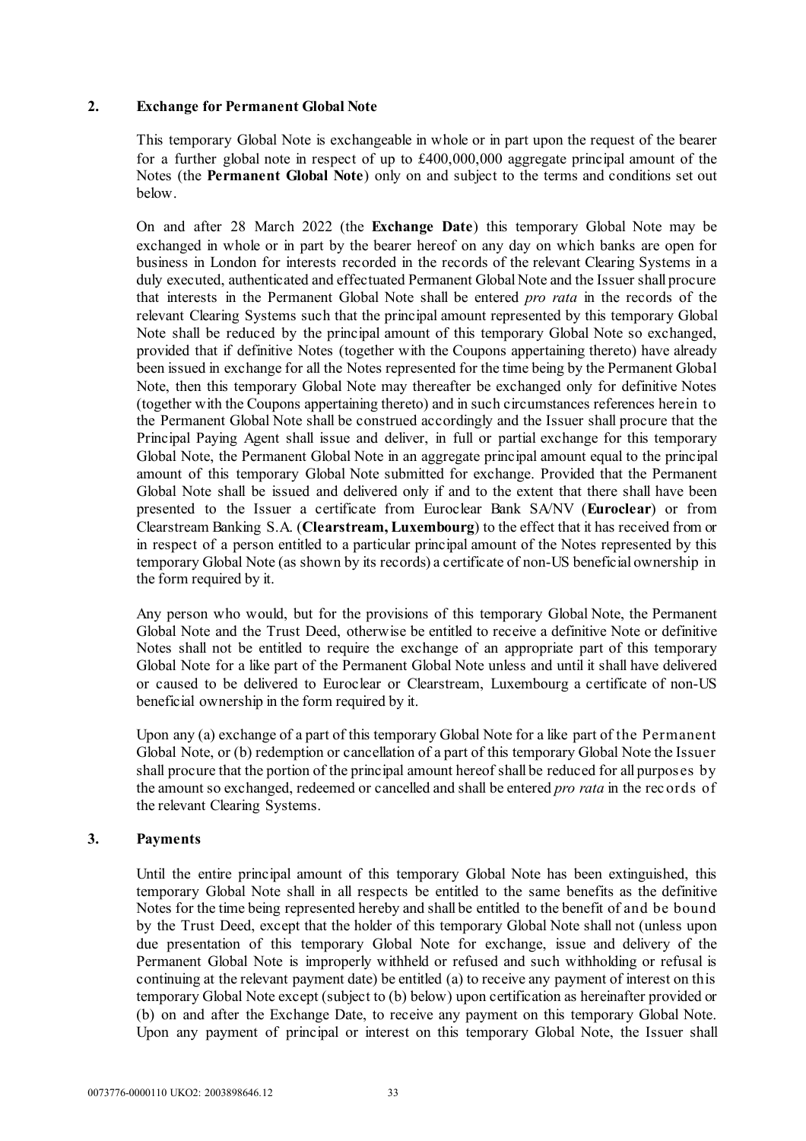# **2. Exchange for Permanent Global Note**

This temporary Global Note is exchangeable in whole or in part upon the request of the bearer for a further global note in respect of up to £400,000,000 aggregate principal amount of the Notes (the **Permanent Global Note**) only on and subject to the terms and conditions set out below.

On and after 28 March 2022 (the **Exchange Date**) this temporary Global Note may be exchanged in whole or in part by the bearer hereof on any day on which banks are open for business in London for interests recorded in the records of the relevant Clearing Systems in a duly executed, authenticated and effectuated Permanent Global Note and the Issuer shall procure that interests in the Permanent Global Note shall be entered *pro rata* in the records of the relevant Clearing Systems such that the principal amount represented by this temporary Global Note shall be reduced by the principal amount of this temporary Global Note so exchanged, provided that if definitive Notes (together with the Coupons appertaining thereto) have already been issued in exchange for all the Notes represented for the time being by the Permanent Global Note, then this temporary Global Note may thereafter be exchanged only for definitive Notes (together with the Coupons appertaining thereto) and in such circumstances references herein to the Permanent Global Note shall be construed accordingly and the Issuer shall procure that the Principal Paying Agent shall issue and deliver, in full or partial exchange for this temporary Global Note, the Permanent Global Note in an aggregate principal amount equal to the principal amount of this temporary Global Note submitted for exchange. Provided that the Permanent Global Note shall be issued and delivered only if and to the extent that there shall have been presented to the Issuer a certificate from Euroclear Bank SA/NV (**Euroclear**) or from Clearstream Banking S.A. (**Clearstream, Luxembourg**) to the effect that it has received from or in respect of a person entitled to a particular principal amount of the Notes represented by this temporary Global Note (as shown by its records) a certificate of non-US beneficial ownership in the form required by it.

Any person who would, but for the provisions of this temporary Global Note, the Permanent Global Note and the Trust Deed, otherwise be entitled to receive a definitive Note or definitive Notes shall not be entitled to require the exchange of an appropriate part of this temporary Global Note for a like part of the Permanent Global Note unless and until it shall have delivered or caused to be delivered to Euroclear or Clearstream, Luxembourg a certificate of non-US beneficial ownership in the form required by it.

Upon any (a) exchange of a part of this temporary Global Note for a like part of the Permanent Global Note, or (b) redemption or cancellation of a part of this temporary Global Note the Issuer shall procure that the portion of the principal amount hereof shall be reduced for all purposes by the amount so exchanged, redeemed or cancelled and shall be entered *pro rata* in the rec ords of the relevant Clearing Systems.

# **3. Payments**

Until the entire principal amount of this temporary Global Note has been extinguished, this temporary Global Note shall in all respects be entitled to the same benefits as the definitive Notes for the time being represented hereby and shall be entitled to the benefit of and be bound by the Trust Deed, except that the holder of this temporary Global Note shall not (unless upon due presentation of this temporary Global Note for exchange, issue and delivery of the Permanent Global Note is improperly withheld or refused and such withholding or refusal is continuing at the relevant payment date) be entitled (a) to receive any payment of interest on this temporary Global Note except (subject to (b) below) upon certification as hereinafter provided or (b) on and after the Exchange Date, to receive any payment on this temporary Global Note. Upon any payment of principal or interest on this temporary Global Note, the Issuer shall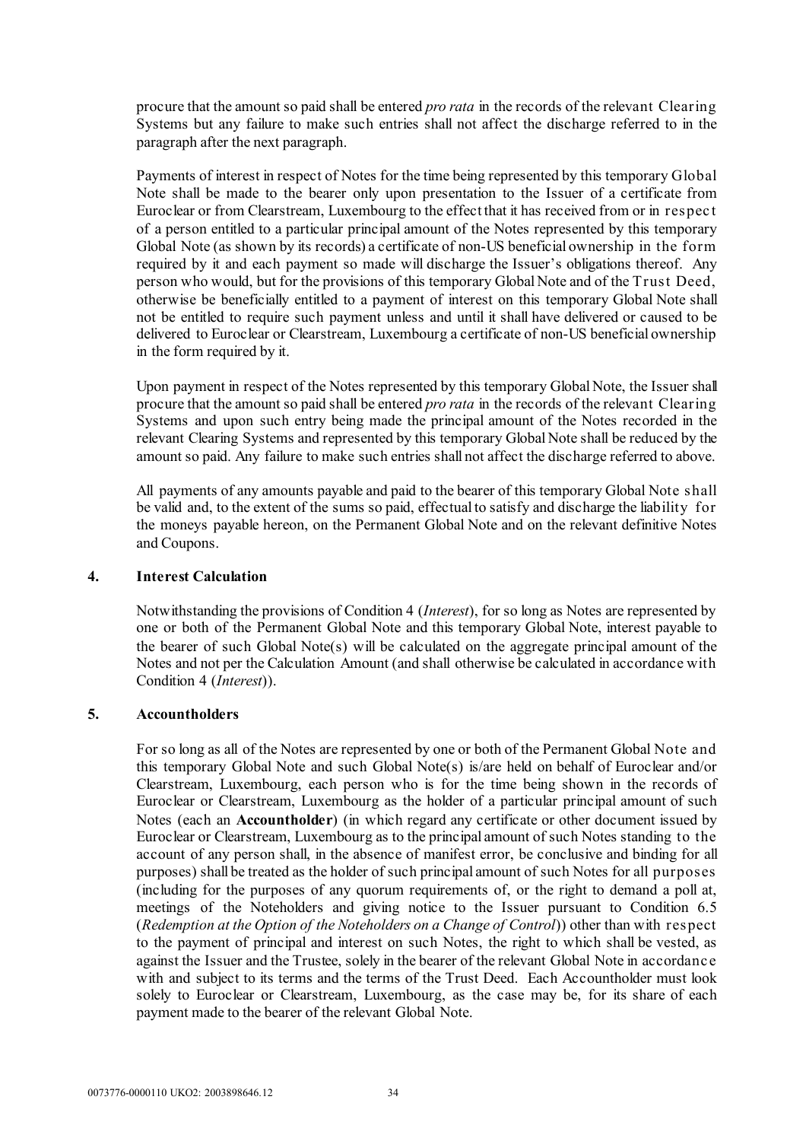procure that the amount so paid shall be entered *pro rata* in the records of the relevant Clearing Systems but any failure to make such entries shall not affect the discharge referred to in the paragraph after the next paragraph.

Payments of interest in respect of Notes for the time being represented by this temporary Global Note shall be made to the bearer only upon presentation to the Issuer of a certificate from Euroclear or from Clearstream, Luxembourg to the effect that it has received from or in respec t of a person entitled to a particular principal amount of the Notes represented by this temporary Global Note (as shown by its records) a certificate of non-US beneficial ownership in the form required by it and each payment so made will discharge the Issuer's obligations thereof. Any person who would, but for the provisions of this temporary Global Note and of the Trust Deed, otherwise be beneficially entitled to a payment of interest on this temporary Global Note shall not be entitled to require such payment unless and until it shall have delivered or caused to be delivered to Euroclear or Clearstream, Luxembourg a certificate of non-US beneficial ownership in the form required by it.

Upon payment in respect of the Notes represented by this temporary Global Note, the Issuer shall procure that the amount so paid shall be entered *pro rata* in the records of the relevant Clearing Systems and upon such entry being made the principal amount of the Notes recorded in the relevant Clearing Systems and represented by this temporary Global Note shall be reduced by the amount so paid. Any failure to make such entries shall not affect the discharge referred to above.

All payments of any amounts payable and paid to the bearer of this temporary Global Note shall be valid and, to the extent of the sums so paid, effectual to satisfy and discharge the liability for the moneys payable hereon, on the Permanent Global Note and on the relevant definitive Notes and Coupons.

# **4. Interest Calculation**

Notwithstanding the provisions of Condition 4 (*Interest*), for so long as Notes are represented by one or both of the Permanent Global Note and this temporary Global Note, interest payable to the bearer of such Global Note(s) will be calculated on the aggregate principal amount of the Notes and not per the Calculation Amount (and shall otherwise be calculated in accordance with Condition 4 (*Interest*)).

# **5. Accountholders**

For so long as all of the Notes are represented by one or both of the Permanent Global Note and this temporary Global Note and such Global Note(s) is/are held on behalf of Euroclear and/or Clearstream, Luxembourg, each person who is for the time being shown in the records of Euroclear or Clearstream, Luxembourg as the holder of a particular principal amount of such Notes (each an **Accountholder**) (in which regard any certificate or other document issued by Euroclear or Clearstream, Luxembourg as to the principal amount of such Notes standing to the account of any person shall, in the absence of manifest error, be conclusive and binding for all purposes) shall be treated as the holder of such principal amount of such Notes for all purposes (including for the purposes of any quorum requirements of, or the right to demand a poll at, meetings of the Noteholders and giving notice to the Issuer pursuant to Condition 6.5 (*Redemption at the Option of the Noteholders on a Change of Control*)) other than with respect to the payment of principal and interest on such Notes, the right to which shall be vested, as against the Issuer and the Trustee, solely in the bearer of the relevant Global Note in accordanc e with and subject to its terms and the terms of the Trust Deed. Each Accountholder must look solely to Euroclear or Clearstream, Luxembourg, as the case may be, for its share of each payment made to the bearer of the relevant Global Note.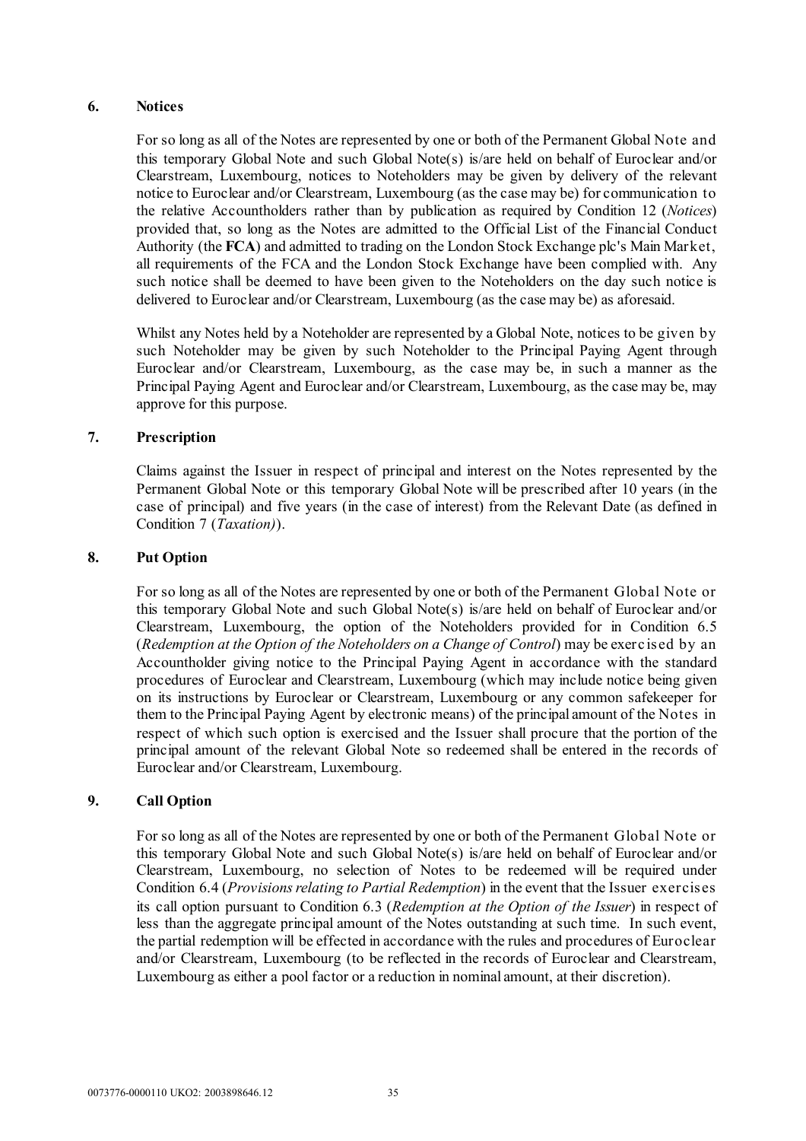# **6. Notices**

For so long as all of the Notes are represented by one or both of the Permanent Global Note and this temporary Global Note and such Global Note(s) is/are held on behalf of Euroclear and/or Clearstream, Luxembourg, notices to Noteholders may be given by delivery of the relevant notice to Euroclear and/or Clearstream, Luxembourg (as the case may be) for communication to the relative Accountholders rather than by publication as required by Condition 12 (*Notices*) provided that, so long as the Notes are admitted to the Official List of the Financial Conduct Authority (the **FCA**) and admitted to trading on the London Stock Exchange plc's Main Market, all requirements of the FCA and the London Stock Exchange have been complied with. Any such notice shall be deemed to have been given to the Noteholders on the day such notice is delivered to Euroclear and/or Clearstream, Luxembourg (as the case may be) as aforesaid.

Whilst any Notes held by a Noteholder are represented by a Global Note, notices to be given by such Noteholder may be given by such Noteholder to the Principal Paying Agent through Euroclear and/or Clearstream, Luxembourg, as the case may be, in such a manner as the Principal Paying Agent and Euroclear and/or Clearstream, Luxembourg, as the case may be, may approve for this purpose.

# **7. Prescription**

Claims against the Issuer in respect of principal and interest on the Notes represented by the Permanent Global Note or this temporary Global Note will be prescribed after 10 years (in the case of principal) and five years (in the case of interest) from the Relevant Date (as defined in Condition 7 (*Taxation)*).

# **8. Put Option**

For so long as all of the Notes are represented by one or both of the Permanent Global Note or this temporary Global Note and such Global Note(s) is/are held on behalf of Euroclear and/or Clearstream, Luxembourg, the option of the Noteholders provided for in Condition 6.5 (*Redemption at the Option of the Noteholders on a Change of Control*) may be exerc ised by an Accountholder giving notice to the Principal Paying Agent in accordance with the standard procedures of Euroclear and Clearstream, Luxembourg (which may include notice being given on its instructions by Euroclear or Clearstream, Luxembourg or any common safekeeper for them to the Principal Paying Agent by electronic means) of the principal amount of the Notes in respect of which such option is exercised and the Issuer shall procure that the portion of the principal amount of the relevant Global Note so redeemed shall be entered in the records of Euroclear and/or Clearstream, Luxembourg.

# **9. Call Option**

For so long as all of the Notes are represented by one or both of the Permanent Global Note or this temporary Global Note and such Global Note(s) is/are held on behalf of Euroclear and/or Clearstream, Luxembourg, no selection of Notes to be redeemed will be required under Condition 6.4 (*Provisions relating to Partial Redemption*) in the event that the Issuer exercises its call option pursuant to Condition 6.3 (*Redemption at the Option of the Issuer*) in respect of less than the aggregate principal amount of the Notes outstanding at such time. In such event, the partial redemption will be effected in accordance with the rules and procedures of Euroclear and/or Clearstream, Luxembourg (to be reflected in the records of Euroclear and Clearstream, Luxembourg as either a pool factor or a reduction in nominal amount, at their discretion).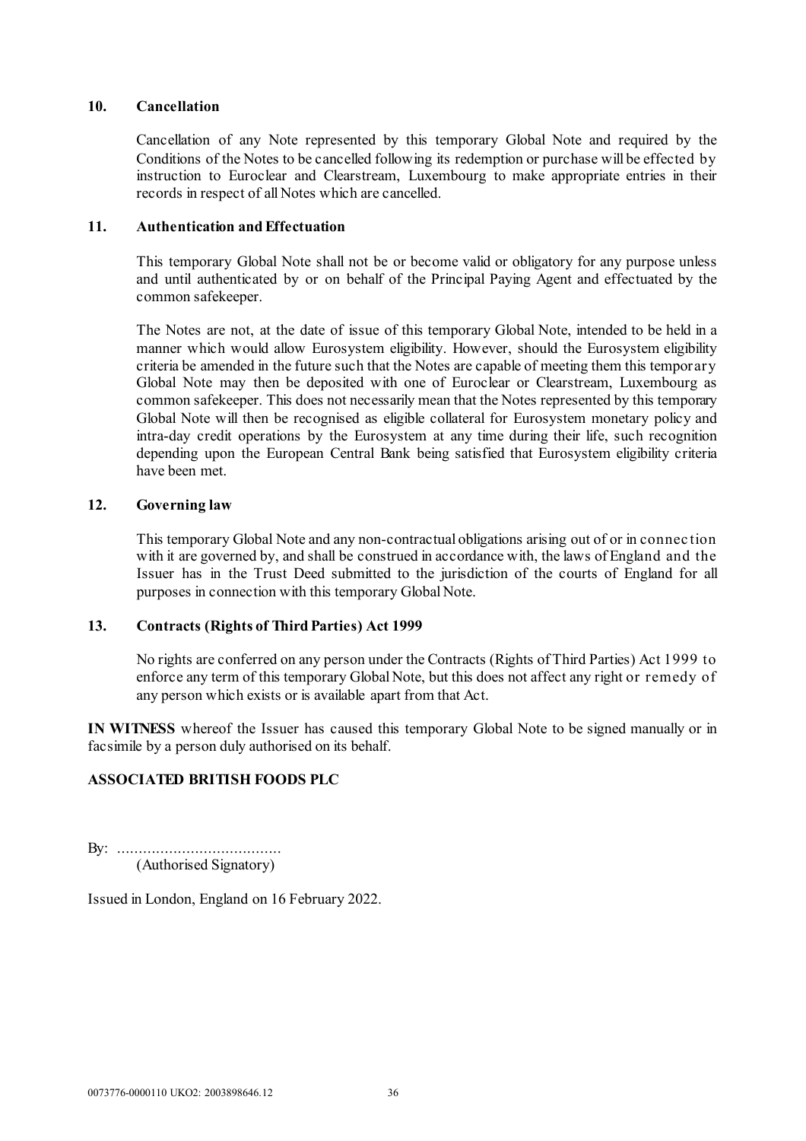### **10. Cancellation**

Cancellation of any Note represented by this temporary Global Note and required by the Conditions of the Notes to be cancelled following its redemption or purchase will be effected by instruction to Euroclear and Clearstream, Luxembourg to make appropriate entries in their records in respect of all Notes which are cancelled.

### **11. Authentication and Effectuation**

This temporary Global Note shall not be or become valid or obligatory for any purpose unless and until authenticated by or on behalf of the Principal Paying Agent and effectuated by the common safekeeper.

The Notes are not, at the date of issue of this temporary Global Note, intended to be held in a manner which would allow Eurosystem eligibility. However, should the Eurosystem eligibility criteria be amended in the future such that the Notes are capable of meeting them this temporary Global Note may then be deposited with one of Euroclear or Clearstream, Luxembourg as common safekeeper. This does not necessarily mean that the Notes represented by this temporary Global Note will then be recognised as eligible collateral for Eurosystem monetary policy and intra-day credit operations by the Eurosystem at any time during their life, such recognition depending upon the European Central Bank being satisfied that Eurosystem eligibility criteria have been met.

### **12. Governing law**

This temporary Global Note and any non-contractual obligations arising out of or in connec tion with it are governed by, and shall be construed in accordance with, the laws of England and the Issuer has in the Trust Deed submitted to the jurisdiction of the courts of England for all purposes in connection with this temporary Global Note.

### **13. Contracts (Rights of Third Parties) Act 1999**

No rights are conferred on any person under the Contracts (Rights of Third Parties) Act 1999 to enforce any term of this temporary Global Note, but this does not affect any right or remedy of any person which exists or is available apart from that Act.

**IN WITNESS** whereof the Issuer has caused this temporary Global Note to be signed manually or in facsimile by a person duly authorised on its behalf.

### **ASSOCIATED BRITISH FOODS PLC**

By: ...................................... (Authorised Signatory)

Issued in London, England on 16 February 2022.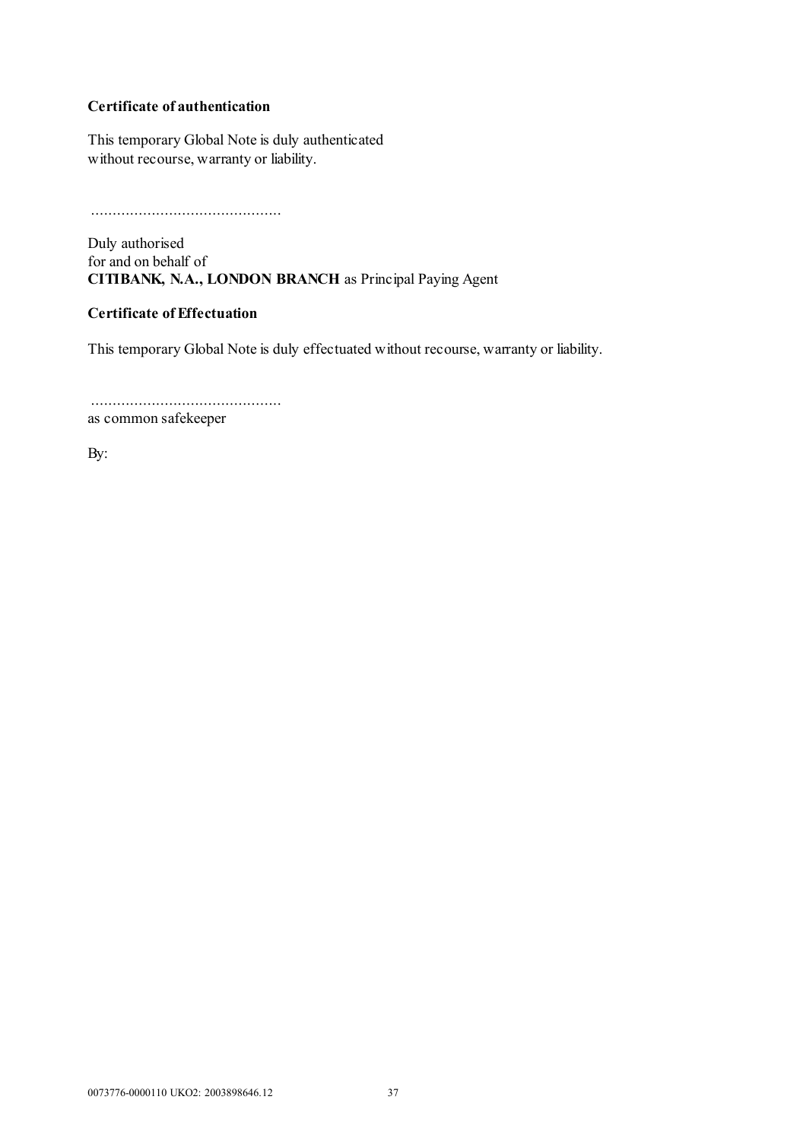# **Certificate of authentication**

This temporary Global Note is duly authenticated without recourse, warranty or liability.

............................................

Duly authorised for and on behalf of **CITIBANK, N.A., LONDON BRANCH** as Principal Paying Agent

# **Certificate of Effectuation**

This temporary Global Note is duly effectuated without recourse, warranty or liability.

............................................ as common safekeeper

By: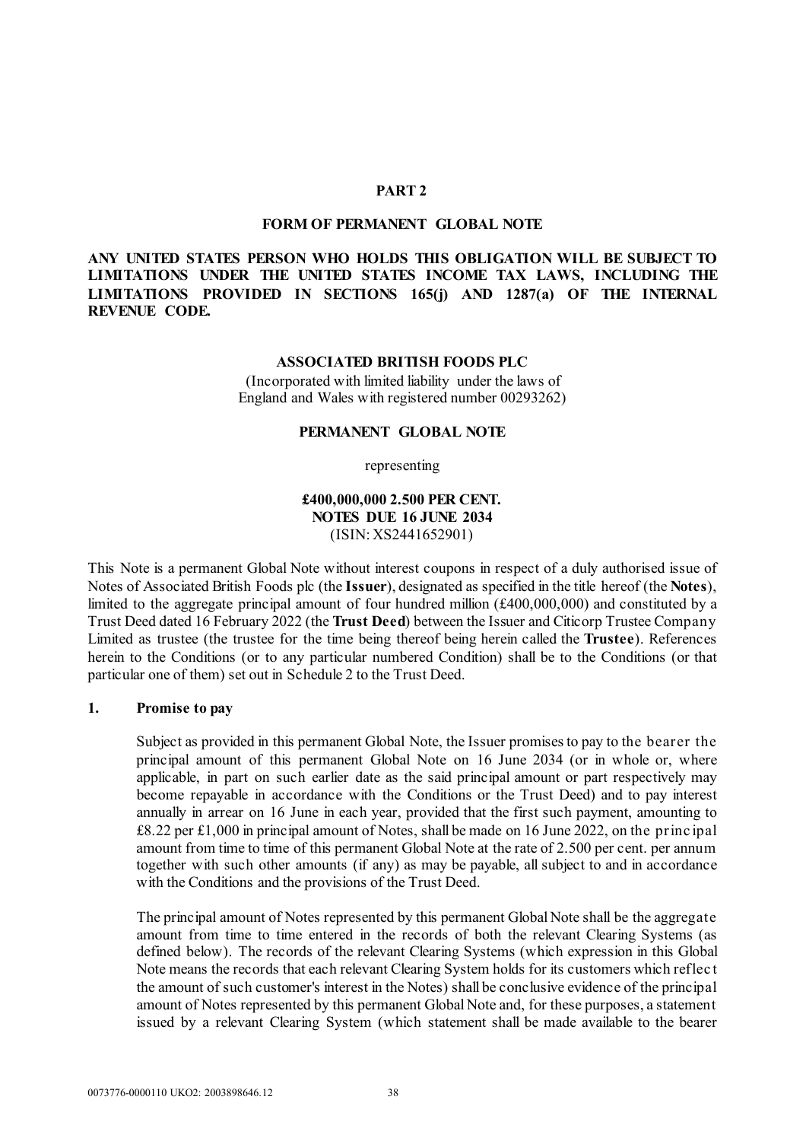### **PART 2**

#### **FORM OF PERMANENT GLOBAL NOTE**

# **ANY UNITED STATES PERSON WHO HOLDS THIS OBLIGATION WILL BE SUBJECT TO LIMITATIONS UNDER THE UNITED STATES INCOME TAX LAWS, INCLUDING THE LIMITATIONS PROVIDED IN SECTIONS 165(j) AND 1287(a) OF THE INTERNAL REVENUE CODE.**

#### **ASSOCIATED BRITISH FOODS PLC**

(Incorporated with limited liability under the laws of England and Wales with registered number 00293262)

#### **PERMANENT GLOBAL NOTE**

representing

## **£400,000,000 2.500 PER CENT. NOTES DUE 16 JUNE 2034** (ISIN: XS2441652901)

This Note is a permanent Global Note without interest coupons in respect of a duly authorised issue of Notes of Associated British Foods plc (the **Issuer**), designated as specified in the title hereof (the **Notes**), limited to the aggregate principal amount of four hundred million (£400,000,000) and constituted by a Trust Deed dated 16 February 2022 (the **Trust Deed**) between the Issuer and Citicorp Trustee Company Limited as trustee (the trustee for the time being thereof being herein called the **Trustee**). References herein to the Conditions (or to any particular numbered Condition) shall be to the Conditions (or that particular one of them) set out in [Schedule 2](#page-45-0) to the Trust Deed.

#### **1. Promise to pay**

Subject as provided in this permanent Global Note, the Issuer promises to pay to the bearer the principal amount of this permanent Global Note on 16 June 2034 (or in whole or, where applicable, in part on such earlier date as the said principal amount or part respectively may become repayable in accordance with the Conditions or the Trust Deed) and to pay interest annually in arrear on 16 June in each year, provided that the first such payment, amounting to £8.22 per £1,000 in principal amount of Notes, shall be made on 16 June 2022, on the principal amount from time to time of this permanent Global Note at the rate of 2.500 per cent. per annum together with such other amounts (if any) as may be payable, all subject to and in accordance with the Conditions and the provisions of the Trust Deed.

The principal amount of Notes represented by this permanent Global Note shall be the aggregate amount from time to time entered in the records of both the relevant Clearing Systems (as defined below). The records of the relevant Clearing Systems (which expression in this Global Note means the records that each relevant Clearing System holds for its customers which reflec t the amount of such customer's interest in the Notes) shall be conclusive evidence of the principal amount of Notes represented by this permanent Global Note and, for these purposes, a statement issued by a relevant Clearing System (which statement shall be made available to the bearer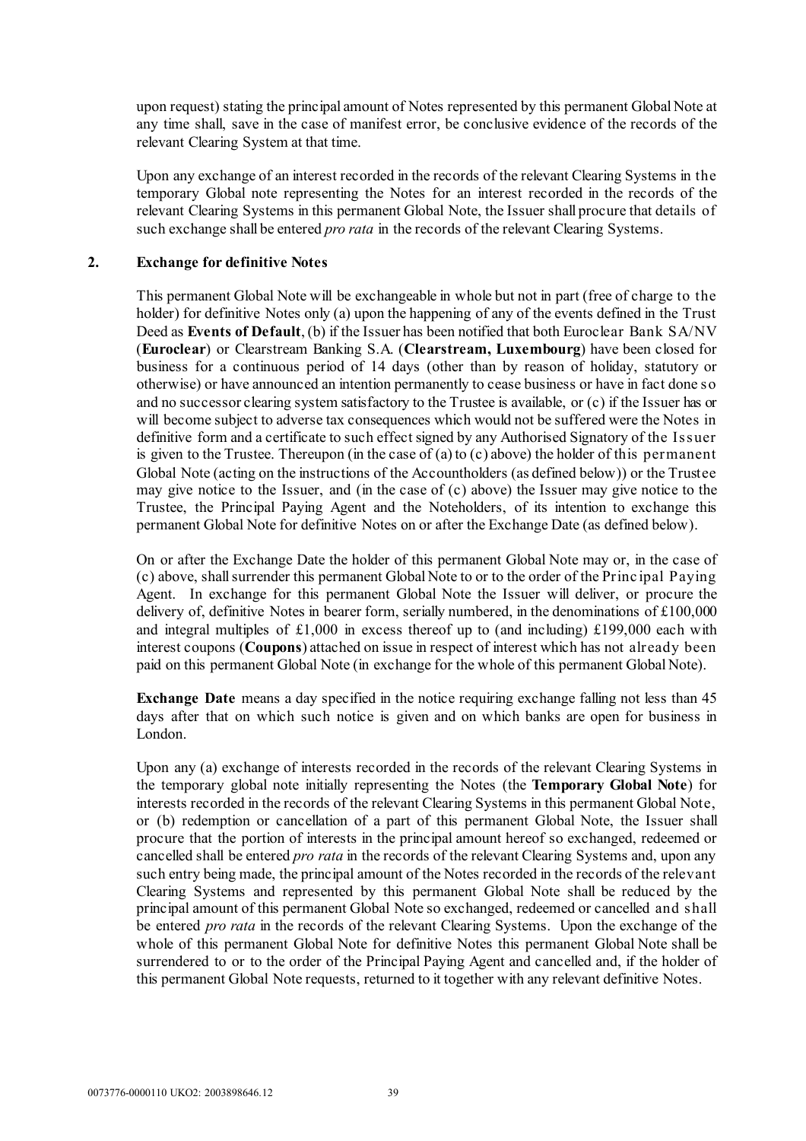upon request) stating the principal amount of Notes represented by this permanent Global Note at any time shall, save in the case of manifest error, be conclusive evidence of the records of the relevant Clearing System at that time.

Upon any exchange of an interest recorded in the records of the relevant Clearing Systems in the temporary Global note representing the Notes for an interest recorded in the records of the relevant Clearing Systems in this permanent Global Note, the Issuer shall procure that details of such exchange shall be entered *pro rata* in the records of the relevant Clearing Systems.

### **2. Exchange for definitive Notes**

This permanent Global Note will be exchangeable in whole but not in part (free of charge to the holder) for definitive Notes only (a) upon the happening of any of the events defined in the Trust Deed as **Events of Default**, (b) if the Issuer has been notified that both Euroclear Bank SA/NV (**Euroclear**) or Clearstream Banking S.A. (**Clearstream, Luxembourg**) have been closed for business for a continuous period of 14 days (other than by reason of holiday, statutory or otherwise) or have announced an intention permanently to cease business or have in fact done so and no successor clearing system satisfactory to the Trustee is available, or (c) if the Issuer has or will become subject to adverse tax consequences which would not be suffered were the Notes in definitive form and a certificate to such effect signed by any Authorised Signatory of the Issuer is given to the Trustee. Thereupon (in the case of (a) to (c) above) the holder of this permanent Global Note (acting on the instructions of the Accountholders (as defined below)) or the Trustee may give notice to the Issuer, and (in the case of (c) above) the Issuer may give notice to the Trustee, the Principal Paying Agent and the Noteholders, of its intention to exchange this permanent Global Note for definitive Notes on or after the Exchange Date (as defined below).

On or after the Exchange Date the holder of this permanent Global Note may or, in the case of (c) above, shall surrender this permanent Global Note to or to the order of the Princ ipal Paying Agent. In exchange for this permanent Global Note the Issuer will deliver, or procure the delivery of, definitive Notes in bearer form, serially numbered, in the denominations of £100,000 and integral multiples of £1,000 in excess thereof up to (and including) £199,000 each with interest coupons (**Coupons**) attached on issue in respect of interest which has not already been paid on this permanent Global Note (in exchange for the whole of this permanent Global Note).

**Exchange Date** means a day specified in the notice requiring exchange falling not less than 45 days after that on which such notice is given and on which banks are open for business in London.

Upon any (a) exchange of interests recorded in the records of the relevant Clearing Systems in the temporary global note initially representing the Notes (the **Temporary Global Note**) for interests recorded in the records of the relevant Clearing Systems in this permanent Global Note, or (b) redemption or cancellation of a part of this permanent Global Note, the Issuer shall procure that the portion of interests in the principal amount hereof so exchanged, redeemed or cancelled shall be entered *pro rata* in the records of the relevant Clearing Systems and, upon any such entry being made, the principal amount of the Notes recorded in the records of the relevant Clearing Systems and represented by this permanent Global Note shall be reduced by the principal amount of this permanent Global Note so exchanged, redeemed or cancelled and shall be entered *pro rata* in the records of the relevant Clearing Systems. Upon the exchange of the whole of this permanent Global Note for definitive Notes this permanent Global Note shall be surrendered to or to the order of the Principal Paying Agent and cancelled and, if the holder of this permanent Global Note requests, returned to it together with any relevant definitive Notes.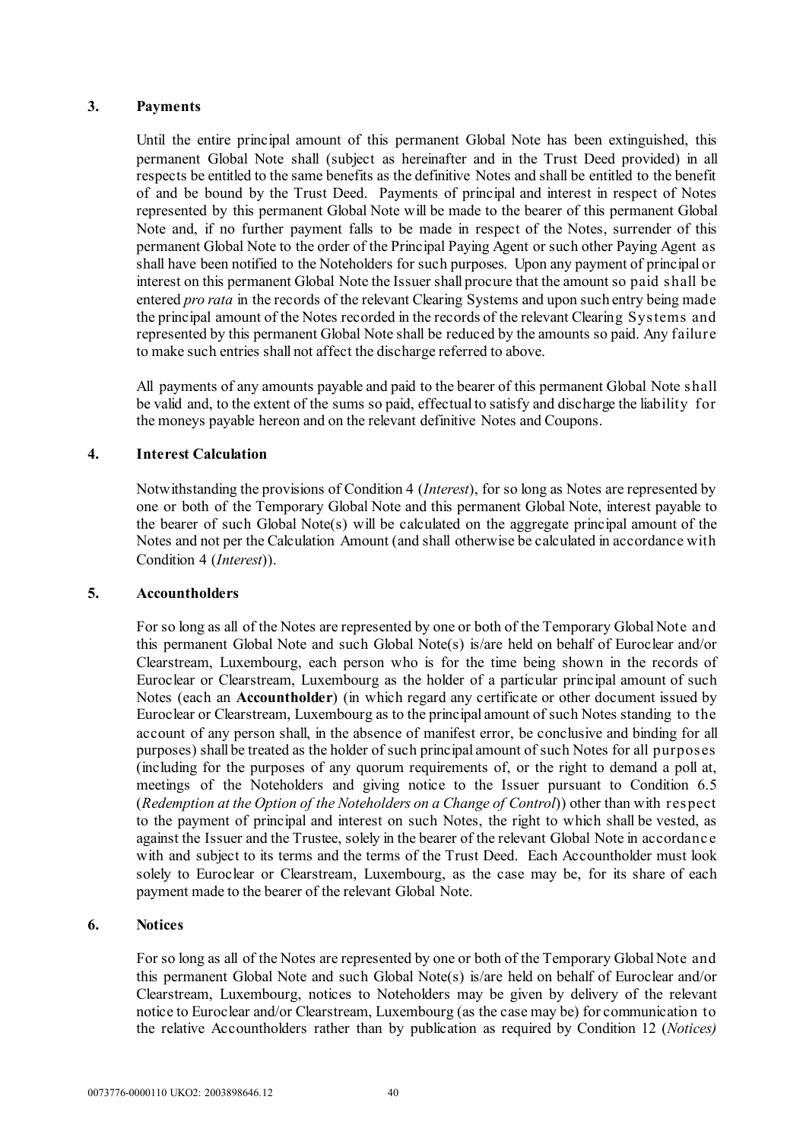# **3. Payments**

Until the entire principal amount of this permanent Global Note has been extinguished, this permanent Global Note shall (subject as hereinafter and in the Trust Deed provided) in all respects be entitled to the same benefits as the definitive Notes and shall be entitled to the benefit of and be bound by the Trust Deed. Payments of principal and interest in respect of Notes represented by this permanent Global Note will be made to the bearer of this permanent Global Note and, if no further payment falls to be made in respect of the Notes, surrender of this permanent Global Note to the order of the Principal Paying Agent or such other Paying Agent as shall have been notified to the Noteholders for such purposes. Upon any payment of principal or interest on this permanent Global Note the Issuer shall procure that the amount so paid shall be entered *pro rata* in the records of the relevant Clearing Systems and upon such entry being made the principal amount of the Notes recorded in the records of the relevant Clearing Systems and represented by this permanent Global Note shall be reduced by the amounts so paid. Any failure to make such entries shall not affect the discharge referred to above.

All payments of any amounts payable and paid to the bearer of this permanent Global Note shall be valid and, to the extent of the sums so paid, effectual to satisfy and discharge the liability for the moneys payable hereon and on the relevant definitive Notes and Coupons.

# **4. Interest Calculation**

Notwithstanding the provisions of Condition 4 (*Interest*), for so long as Notes are represented by one or both of the Temporary Global Note and this permanent Global Note, interest payable to the bearer of such Global Note(s) will be calculated on the aggregate principal amount of the Notes and not per the Calculation Amount (and shall otherwise be calculated in accordance with Condition 4 (*Interest*)).

### **5. Accountholders**

For so long as all of the Notes are represented by one or both of the Temporary Global Note and this permanent Global Note and such Global Note(s) is/are held on behalf of Euroclear and/or Clearstream, Luxembourg, each person who is for the time being shown in the records of Euroclear or Clearstream, Luxembourg as the holder of a particular principal amount of such Notes (each an **Accountholder**) (in which regard any certificate or other document issued by Euroclear or Clearstream, Luxembourg as to the principal amount of such Notes standing to the account of any person shall, in the absence of manifest error, be conclusive and binding for all purposes) shall be treated as the holder of such principal amount of such Notes for all purposes (including for the purposes of any quorum requirements of, or the right to demand a poll at, meetings of the Noteholders and giving notice to the Issuer pursuant to Condition 6.5 (*Redemption at the Option of the Noteholders on a Change of Control*)) other than with respect to the payment of principal and interest on such Notes, the right to which shall be vested, as against the Issuer and the Trustee, solely in the bearer of the relevant Global Note in accordanc e with and subject to its terms and the terms of the Trust Deed. Each Accountholder must look solely to Euroclear or Clearstream, Luxembourg, as the case may be, for its share of each payment made to the bearer of the relevant Global Note.

## **6. Notices**

For so long as all of the Notes are represented by one or both of the Temporary Global Note and this permanent Global Note and such Global Note(s) is/are held on behalf of Euroclear and/or Clearstream, Luxembourg, notices to Noteholders may be given by delivery of the relevant notice to Euroclear and/or Clearstream, Luxembourg (as the case may be) for communication to the relative Accountholders rather than by publication as required by Condition 12 (*Notices)*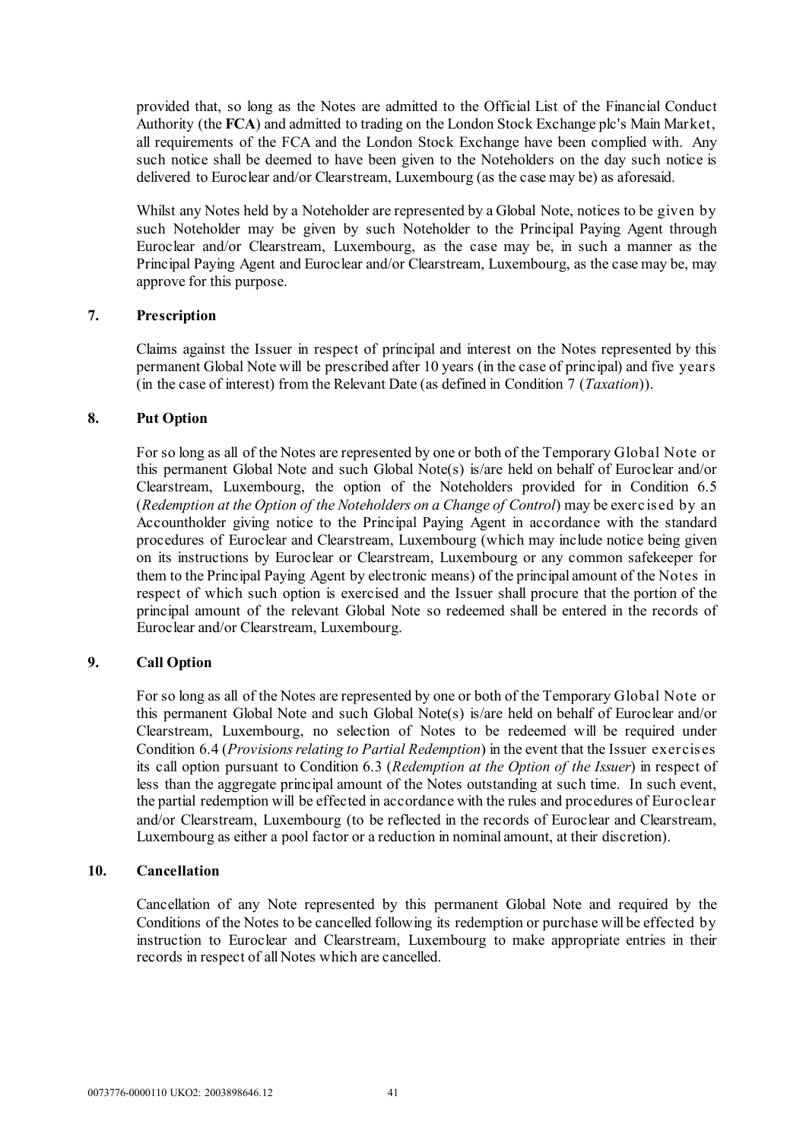provided that, so long as the Notes are admitted to the Official List of the Financial Conduct Authority (the **FCA**) and admitted to trading on the London Stock Exchange plc's Main Market, all requirements of the FCA and the London Stock Exchange have been complied with. Any such notice shall be deemed to have been given to the Noteholders on the day such notice is delivered to Euroclear and/or Clearstream, Luxembourg (as the case may be) as aforesaid.

Whilst any Notes held by a Noteholder are represented by a Global Note, notices to be given by such Noteholder may be given by such Noteholder to the Principal Paying Agent through Euroclear and/or Clearstream, Luxembourg, as the case may be, in such a manner as the Principal Paying Agent and Euroclear and/or Clearstream, Luxembourg, as the case may be, may approve for this purpose.

### **7. Prescription**

Claims against the Issuer in respect of principal and interest on the Notes represented by this permanent Global Note will be prescribed after 10 years (in the case of principal) and five years (in the case of interest) from the Relevant Date (as defined in Condition 7 (*Taxation*)).

# **8. Put Option**

For so long as all of the Notes are represented by one or both of the Temporary Global Note or this permanent Global Note and such Global Note(s) is/are held on behalf of Euroclear and/or Clearstream, Luxembourg, the option of the Noteholders provided for in Condition 6.5 (*Redemption at the Option of the Noteholders on a Change of Control*) may be exerc ised by an Accountholder giving notice to the Principal Paying Agent in accordance with the standard procedures of Euroclear and Clearstream, Luxembourg (which may include notice being given on its instructions by Euroclear or Clearstream, Luxembourg or any common safekeeper for them to the Principal Paying Agent by electronic means) of the principal amount of the Notes in respect of which such option is exercised and the Issuer shall procure that the portion of the principal amount of the relevant Global Note so redeemed shall be entered in the records of Euroclear and/or Clearstream, Luxembourg.

# **9. Call Option**

For so long as all of the Notes are represented by one or both of the Temporary Global Note or this permanent Global Note and such Global Note(s) is/are held on behalf of Euroclear and/or Clearstream, Luxembourg, no selection of Notes to be redeemed will be required under Condition 6.4 (*Provisions relating to Partial Redemption*) in the event that the Issuer exercises its call option pursuant to Condition 6.3 (*Redemption at the Option of the Issuer*) in respect of less than the aggregate principal amount of the Notes outstanding at such time. In such event, the partial redemption will be effected in accordance with the rules and procedures of Euroclear and/or Clearstream, Luxembourg (to be reflected in the records of Euroclear and Clearstream, Luxembourg as either a pool factor or a reduction in nominal amount, at their discretion).

### **10. Cancellation**

Cancellation of any Note represented by this permanent Global Note and required by the Conditions of the Notes to be cancelled following its redemption or purchase will be effected by instruction to Euroclear and Clearstream, Luxembourg to make appropriate entries in their records in respect of all Notes which are cancelled.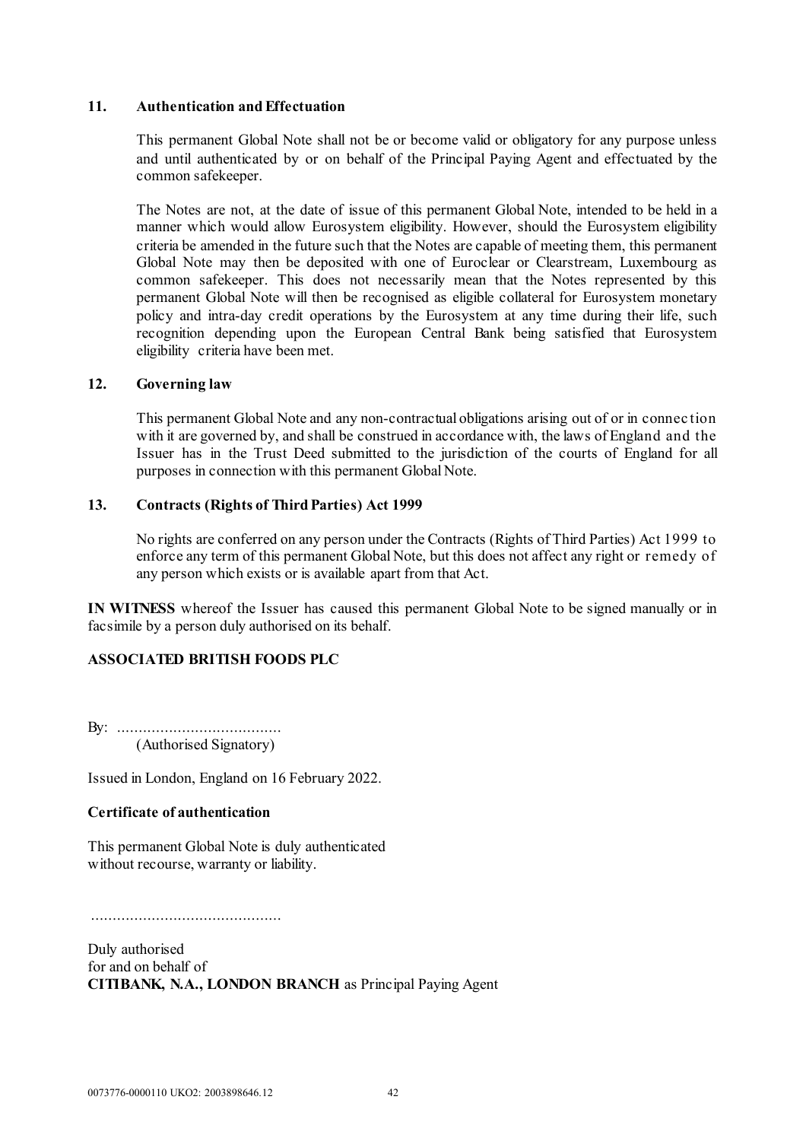#### **11. Authentication and Effectuation**

This permanent Global Note shall not be or become valid or obligatory for any purpose unless and until authenticated by or on behalf of the Principal Paying Agent and effectuated by the common safekeeper.

The Notes are not, at the date of issue of this permanent Global Note, intended to be held in a manner which would allow Eurosystem eligibility. However, should the Eurosystem eligibility criteria be amended in the future such that the Notes are capable of meeting them, this permanent Global Note may then be deposited with one of Euroclear or Clearstream, Luxembourg as common safekeeper. This does not necessarily mean that the Notes represented by this permanent Global Note will then be recognised as eligible collateral for Eurosystem monetary policy and intra-day credit operations by the Eurosystem at any time during their life, such recognition depending upon the European Central Bank being satisfied that Eurosystem eligibility criteria have been met.

### **12. Governing law**

This permanent Global Note and any non-contractual obligations arising out of or in connec tion with it are governed by, and shall be construed in accordance with, the laws of England and the Issuer has in the Trust Deed submitted to the jurisdiction of the courts of England for all purposes in connection with this permanent Global Note.

### **13. Contracts (Rights of Third Parties) Act 1999**

No rights are conferred on any person under the Contracts (Rights of Third Parties) Act 1999 to enforce any term of this permanent Global Note, but this does not affect any right or remedy of any person which exists or is available apart from that Act.

**IN WITNESS** whereof the Issuer has caused this permanent Global Note to be signed manually or in facsimile by a person duly authorised on its behalf.

# **ASSOCIATED BRITISH FOODS PLC**

By: ...................................... (Authorised Signatory)

Issued in London, England on 16 February 2022.

### **Certificate of authentication**

This permanent Global Note is duly authenticated without recourse, warranty or liability.

............................................

Duly authorised for and on behalf of **CITIBANK, N.A., LONDON BRANCH** as Principal Paying Agent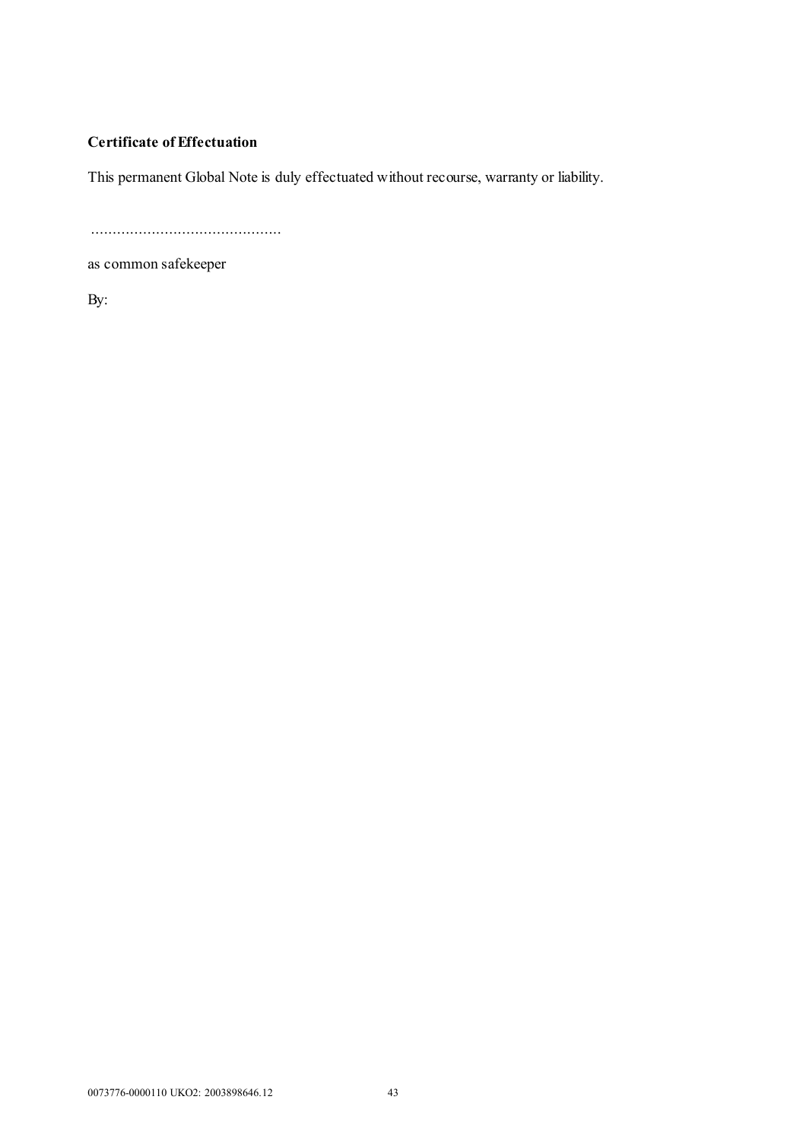# **Certificate of Effectuation**

This permanent Global Note is duly effectuated without recourse, warranty or liability.

............................................

as common safekeeper

By: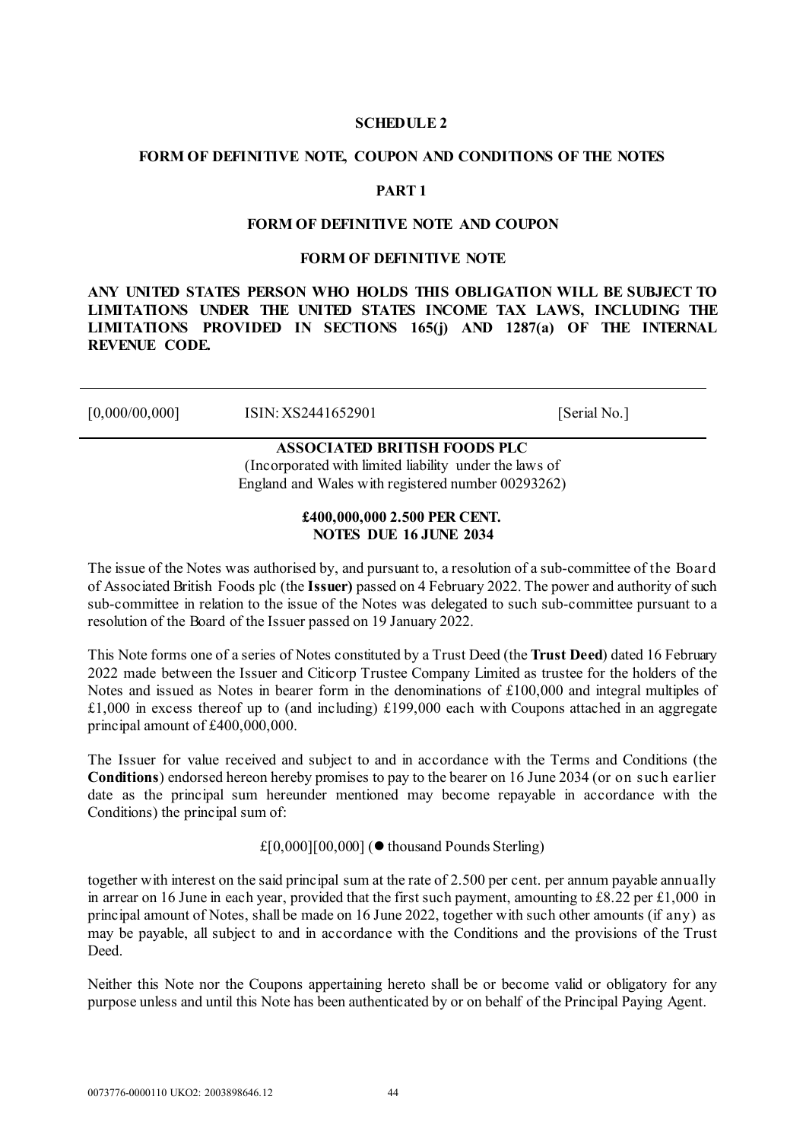#### **SCHEDULE 2**

#### <span id="page-45-0"></span>**FORM OF DEFINITIVE NOTE, COUPON AND CONDITIONS OF THE NOTES**

# **PART 1**

#### **FORM OF DEFINITIVE NOTE AND COUPON**

#### **FORM OF DEFINITIVE NOTE**

**ANY UNITED STATES PERSON WHO HOLDS THIS OBLIGATION WILL BE SUBJECT TO LIMITATIONS UNDER THE UNITED STATES INCOME TAX LAWS, INCLUDING THE LIMITATIONS PROVIDED IN SECTIONS 165(j) AND 1287(a) OF THE INTERNAL REVENUE CODE.**

| [0,000/00,000] | ISIN: XS2441652901 | <b>Serial No.</b> |
|----------------|--------------------|-------------------|
|----------------|--------------------|-------------------|

# **ASSOCIATED BRITISH FOODS PLC**

(Incorporated with limited liability under the laws of England and Wales with registered number 00293262)

#### **£400,000,000 2.500 PER CENT. NOTES DUE 16 JUNE 2034**

The issue of the Notes was authorised by, and pursuant to, a resolution of a sub-committee of the Board of Associated British Foods plc (the **Issuer)** passed on 4 February 2022. The power and authority of such sub-committee in relation to the issue of the Notes was delegated to such sub-committee pursuant to a resolution of the Board of the Issuer passed on 19 January 2022.

This Note forms one of a series of Notes constituted by a Trust Deed (the **Trust Deed**) dated 16 February 2022 made between the Issuer and Citicorp Trustee Company Limited as trustee for the holders of the Notes and issued as Notes in bearer form in the denominations of £100,000 and integral multiples of £1,000 in excess thereof up to (and including) £199,000 each with Coupons attached in an aggregate principal amount of £400,000,000.

The Issuer for value received and subject to and in accordance with the Terms and Conditions (the **Conditions**) endorsed hereon hereby promises to pay to the bearer on 16 June 2034 (or on suc h earlier date as the principal sum hereunder mentioned may become repayable in accordance with the Conditions) the principal sum of:

£[0,000][00,000] ( $\bullet$  thousand Pounds Sterling)

together with interest on the said principal sum at the rate of 2.500 per cent. per annum payable annually in arrear on 16 June in each year, provided that the first such payment, amounting to £8.22 per £1,000 in principal amount of Notes, shall be made on 16 June 2022, together with such other amounts (if any) as may be payable, all subject to and in accordance with the Conditions and the provisions of the Trust Deed.

Neither this Note nor the Coupons appertaining hereto shall be or become valid or obligatory for any purpose unless and until this Note has been authenticated by or on behalf of the Principal Paying Agent.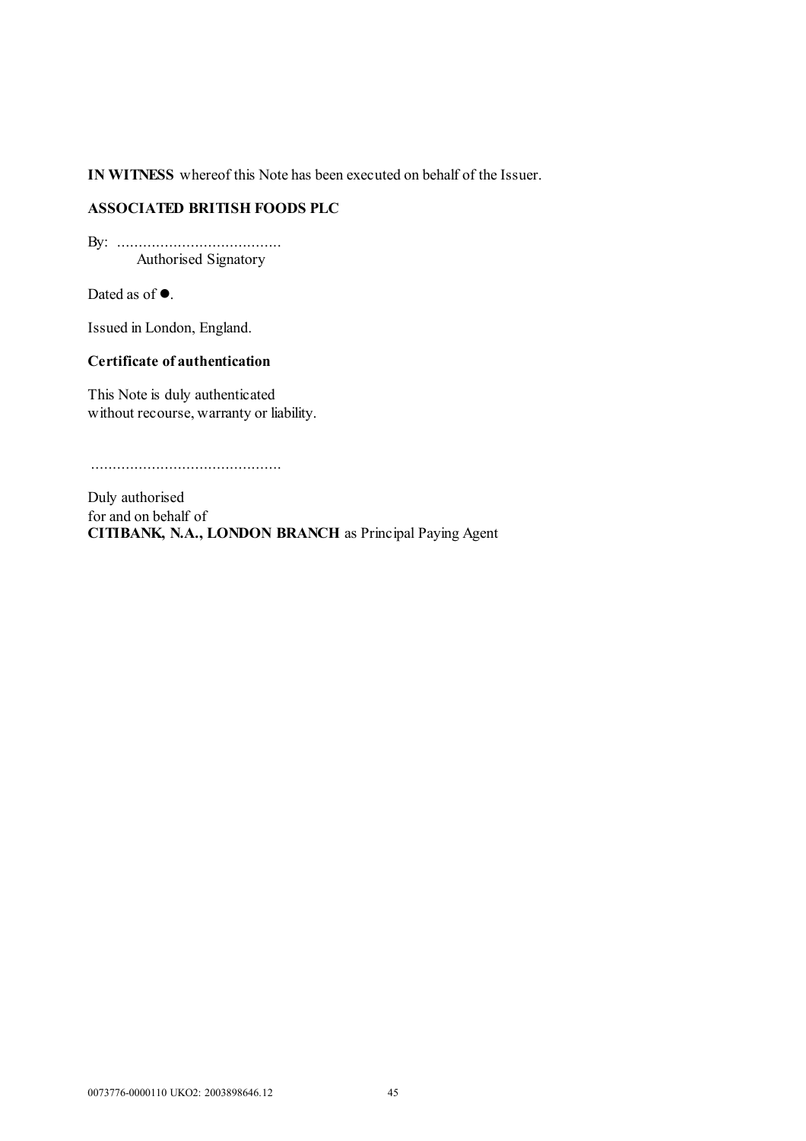**IN WITNESS** whereof this Note has been executed on behalf of the Issuer.

# **ASSOCIATED BRITISH FOODS PLC**

By: ...................................... Authorised Signatory

Dated as of  $\bullet$ .

Issued in London, England.

# **Certificate of authentication**

This Note is duly authenticated without recourse, warranty or liability.

............................................

Duly authorised for and on behalf of **CITIBANK, N.A., LONDON BRANCH** as Principal Paying Agent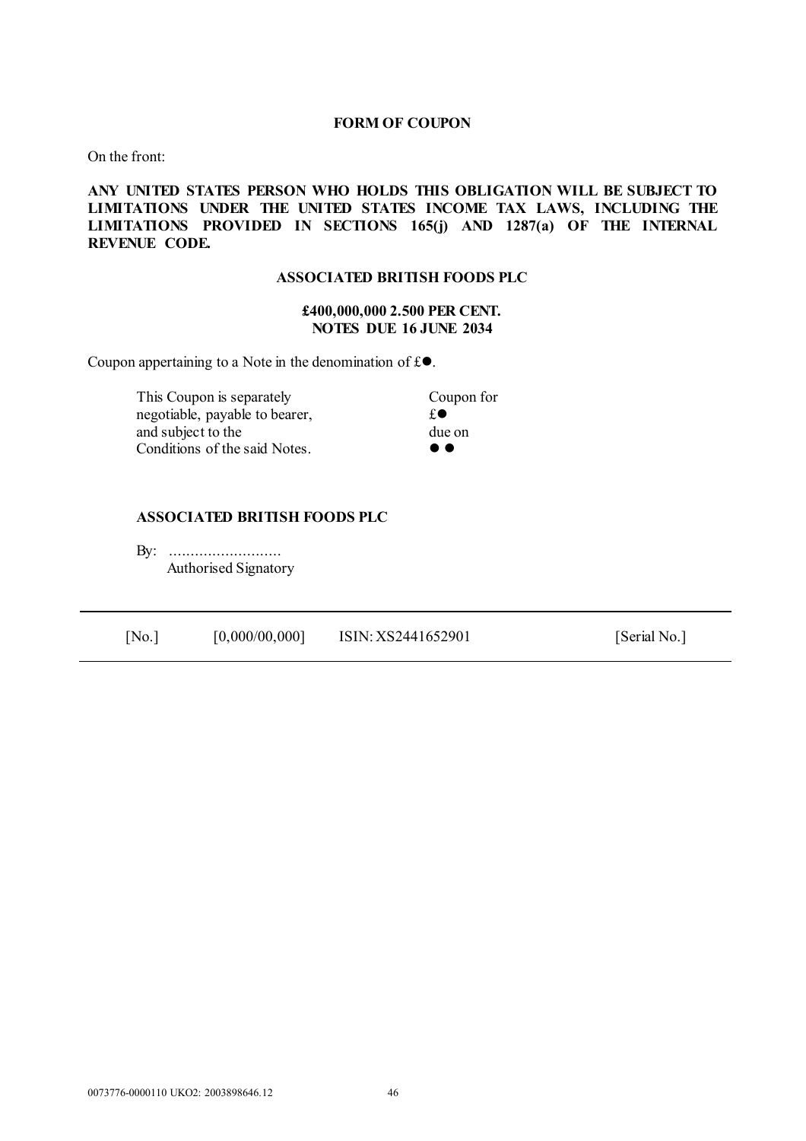#### **FORM OF COUPON**

On the front:

## **ANY UNITED STATES PERSON WHO HOLDS THIS OBLIGATION WILL BE SUBJECT TO LIMITATIONS UNDER THE UNITED STATES INCOME TAX LAWS, INCLUDING THE LIMITATIONS PROVIDED IN SECTIONS 165(j) AND 1287(a) OF THE INTERNAL REVENUE CODE.**

#### **ASSOCIATED BRITISH FOODS PLC**

#### **£400,000,000 2.500 PER CENT. NOTES DUE 16 JUNE 2034**

Coupon appertaining to a Note in the denomination of  $f \odot$ .

This Coupon is separately Coupon for negotiable, payable to bearer,  $f \cdot \mathbf{r}$  and subject to the due on and subject to the due on  $\alpha$  due on  $\alpha$  due on  $\alpha$ Conditions of the said Notes.

# **ASSOCIATED BRITISH FOODS PLC**

By: .......................... Authorised Signatory

| [0,000/00,000]<br>ISIN: XS2441652901<br>[No.] | [Serial No.] |
|-----------------------------------------------|--------------|
|-----------------------------------------------|--------------|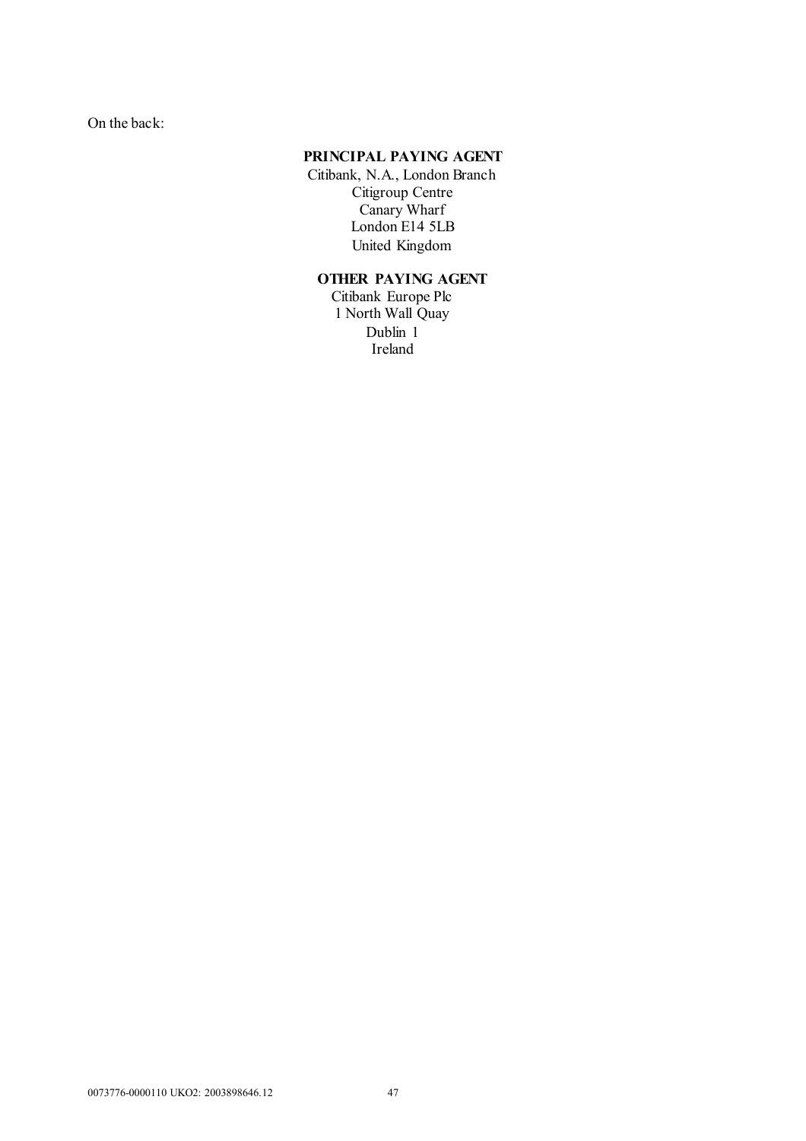On the back:

# **PRINCIPAL PAYING AGENT**

Citibank, N.A., London Branch Citigroup Centre Canary Wharf London E14 5LB United Kingdom

# **OTHER PAYING AGENT**

Citibank Europe Plc 1 North Wall Quay Dublin 1 Ireland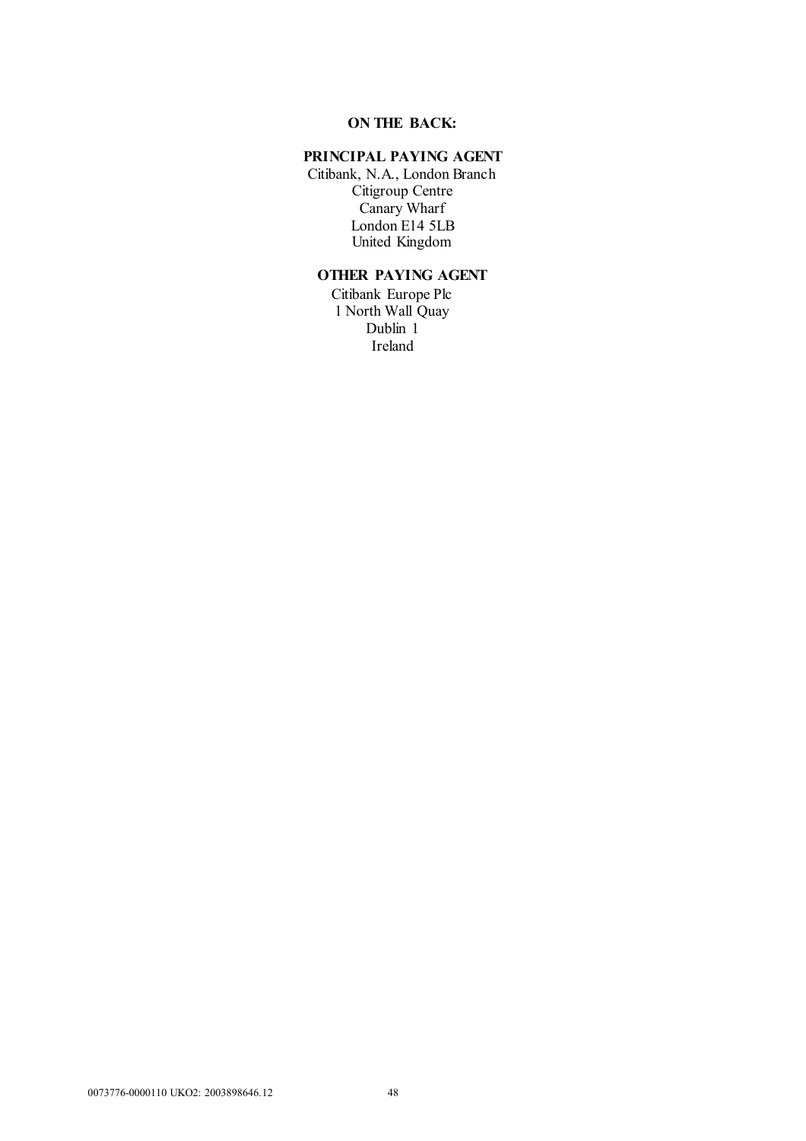# **ON THE BACK:**

# **PRINCIPAL PAYING AGENT**

Citibank, N.A., London Branch Citigroup Centre Canary Wharf London E14 5LB United Kingdom

# **OTHER PAYING AGENT**

Citibank Europe Plc 1 North Wall Quay Dublin 1 Ireland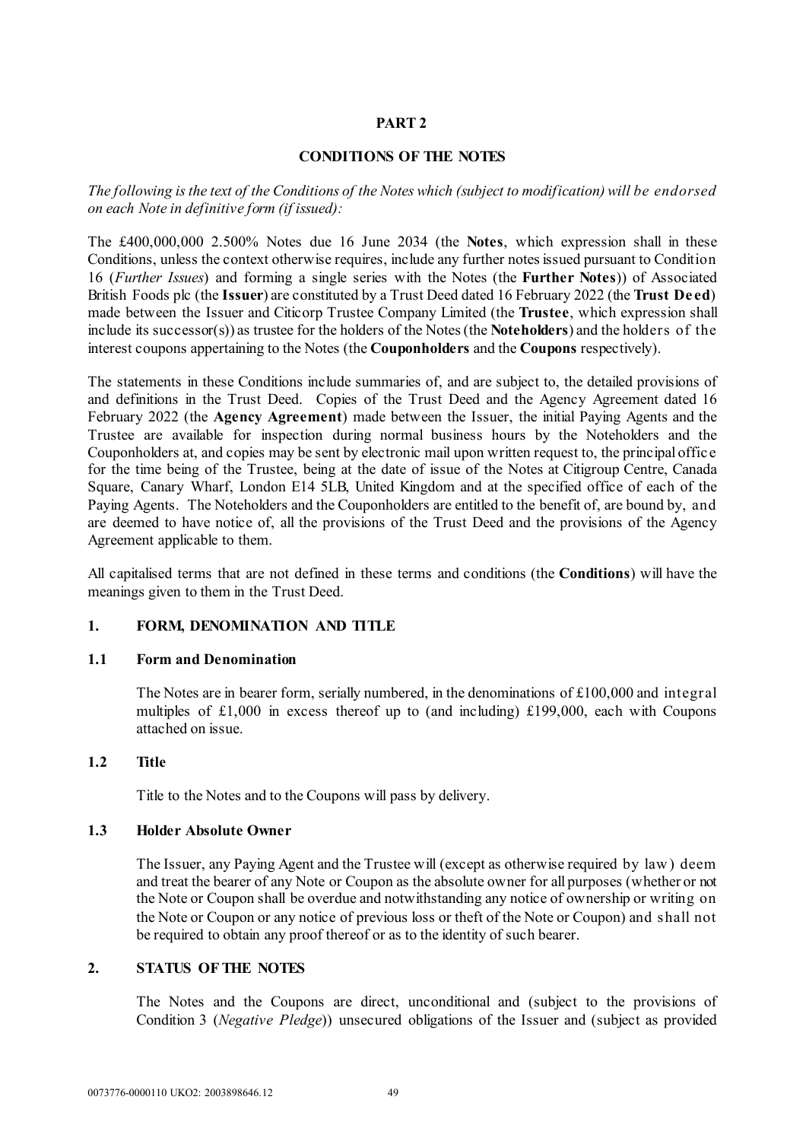# **PART 2**

#### **CONDITIONS OF THE NOTES**

*The following is the text of the Conditions of the Notes which (subject to modification) will be endorsed on each Note in definitive form (if issued):*

The £400,000,000 2.500% Notes due 16 June 2034 (the **Notes**, which expression shall in these Conditions, unless the context otherwise requires, include any further notes issued pursuant to Condition [16](#page-65-0) (*[Further Issues](#page-65-0)*) and forming a single series with the Notes (the **Further Notes**)) of Associated British Foods plc (the **Issuer**) are constituted by a Trust Deed dated 16 February 2022 (the **Trust Deed**) made between the Issuer and Citicorp Trustee Company Limited (the **Trustee**, which expression shall include its successor(s)) as trustee for the holders of the Notes (the **Noteholders**) and the holders of the interest coupons appertaining to the Notes (the **Couponholders** and the **Coupons** respectively).

The statements in these Conditions include summaries of, and are subject to, the detailed provisions of and definitions in the Trust Deed. Copies of the Trust Deed and the Agency Agreement dated 16 February 2022 (the **Agency Agreement**) made between the Issuer, the initial Paying Agents and the Trustee are available for inspection during normal business hours by the Noteholders and the Couponholders at, and copies may be sent by electronic mail upon written request to, the principal offic e for the time being of the Trustee, being at the date of issue of the Notes at Citigroup Centre, Canada Square, Canary Wharf, London E14 5LB, United Kingdom and at the specified office of each of the Paying Agents. The Noteholders and the Couponholders are entitled to the benefit of, are bound by, and are deemed to have notice of, all the provisions of the Trust Deed and the provisions of the Agency Agreement applicable to them.

All capitalised terms that are not defined in these terms and conditions (the **Conditions**) will have the meanings given to them in the Trust Deed.

### **1. FORM, DENOMINATION AND TITLE**

#### **1.1 Form and Denomination**

The Notes are in bearer form, serially numbered, in the denominations of £100,000 and integral multiples of £1,000 in excess thereof up to (and including) £199,000, each with Coupons attached on issue.

#### **1.2 Title**

Title to the Notes and to the Coupons will pass by delivery.

#### **1.3 Holder Absolute Owner**

The Issuer, any Paying Agent and the Trustee will (except as otherwise required by law ) deem and treat the bearer of any Note or Coupon as the absolute owner for all purposes (whether or not the Note or Coupon shall be overdue and notwithstanding any notice of ownership or writing on the Note or Coupon or any notice of previous loss or theft of the Note or Coupon) and shall not be required to obtain any proof thereof or as to the identity of such bearer.

# **2. STATUS OF THE NOTES**

The Notes and the Coupons are direct, unconditional and (subject to the provisions of Condition [3](#page-51-0) (*[Negative Pledge](#page-51-0)*)) unsecured obligations of the Issuer and (subject as provided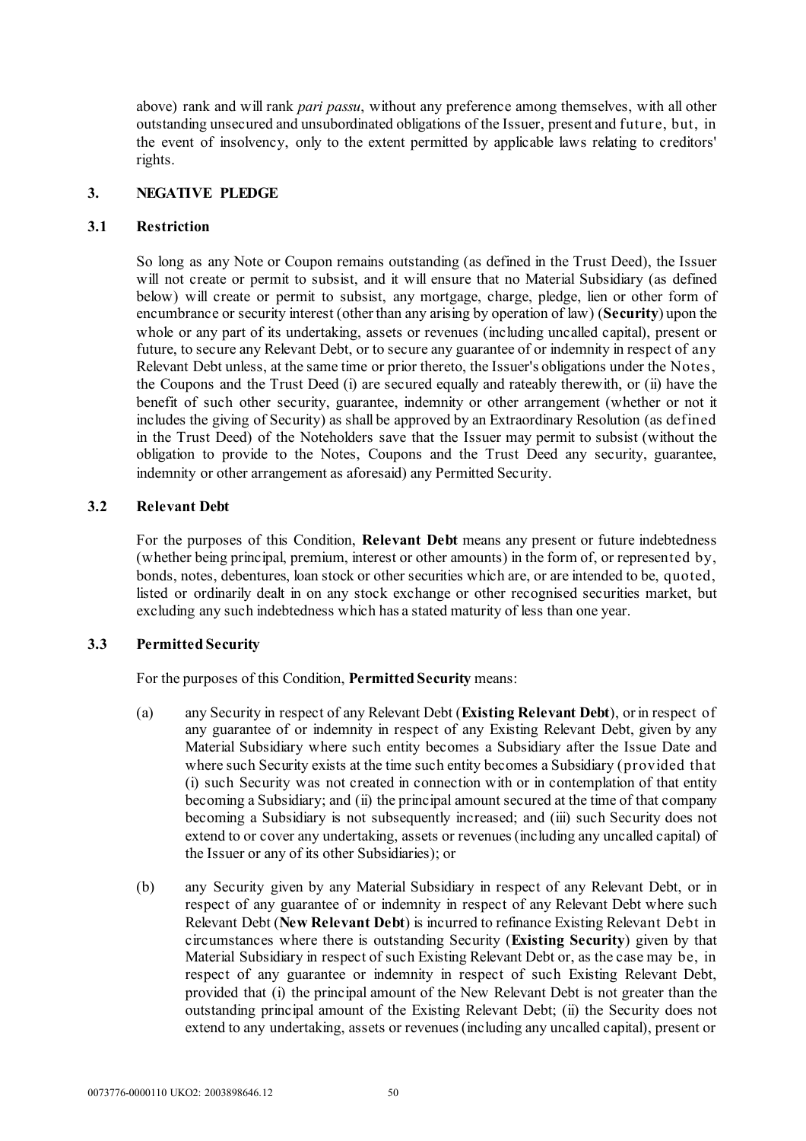above) rank and will rank *pari passu*, without any preference among themselves, with all other outstanding unsecured and unsubordinated obligations of the Issuer, present and future, but, in the event of insolvency, only to the extent permitted by applicable laws relating to creditors' rights.

## <span id="page-51-0"></span>**3. NEGATIVE PLEDGE**

## **3.1 Restriction**

So long as any Note or Coupon remains outstanding (as defined in the Trust Deed), the Issuer will not create or permit to subsist, and it will ensure that no Material Subsidiary (as defined below) will create or permit to subsist, any mortgage, charge, pledge, lien or other form of encumbrance or security interest (other than any arising by operation of law) (**Security**) upon the whole or any part of its undertaking, assets or revenues (including uncalled capital), present or future, to secure any Relevant Debt, or to secure any guarantee of or indemnity in respect of any Relevant Debt unless, at the same time or prior thereto, the Issuer's obligations under the Notes, the Coupons and the Trust Deed (i) are secured equally and rateably therewith, or (ii) have the benefit of such other security, guarantee, indemnity or other arrangement (whether or not it includes the giving of Security) as shall be approved by an Extraordinary Resolution (as defined in the Trust Deed) of the Noteholders save that the Issuer may permit to subsist (without the obligation to provide to the Notes, Coupons and the Trust Deed any security, guarantee, indemnity or other arrangement as aforesaid) any Permitted Security.

# **3.2 Relevant Debt**

For the purposes of this Condition, **Relevant Debt** means any present or future indebtedness (whether being principal, premium, interest or other amounts) in the form of, or represented by, bonds, notes, debentures, loan stock or other securities which are, or are intended to be, quoted, listed or ordinarily dealt in on any stock exchange or other recognised securities market, but excluding any such indebtedness which has a stated maturity of less than one year.

# **3.3 Permitted Security**

For the purposes of this Condition, **Permitted Security** means:

- (a) any Security in respect of any Relevant Debt (**Existing Relevant Debt**), or in respect of any guarantee of or indemnity in respect of any Existing Relevant Debt, given by any Material Subsidiary where such entity becomes a Subsidiary after the Issue Date and where such Security exists at the time such entity becomes a Subsidiary (provided that (i) such Security was not created in connection with or in contemplation of that entity becoming a Subsidiary; and (ii) the principal amount secured at the time of that company becoming a Subsidiary is not subsequently increased; and (iii) such Security does not extend to or cover any undertaking, assets or revenues (including any uncalled capital) of the Issuer or any of its other Subsidiaries); or
- (b) any Security given by any Material Subsidiary in respect of any Relevant Debt, or in respect of any guarantee of or indemnity in respect of any Relevant Debt where such Relevant Debt (**New Relevant Debt**) is incurred to refinance Existing Relevant Debt in circumstances where there is outstanding Security (**Existing Security**) given by that Material Subsidiary in respect of such Existing Relevant Debt or, as the case may be, in respect of any guarantee or indemnity in respect of such Existing Relevant Debt, provided that (i) the principal amount of the New Relevant Debt is not greater than the outstanding principal amount of the Existing Relevant Debt; (ii) the Security does not extend to any undertaking, assets or revenues (including any uncalled capital), present or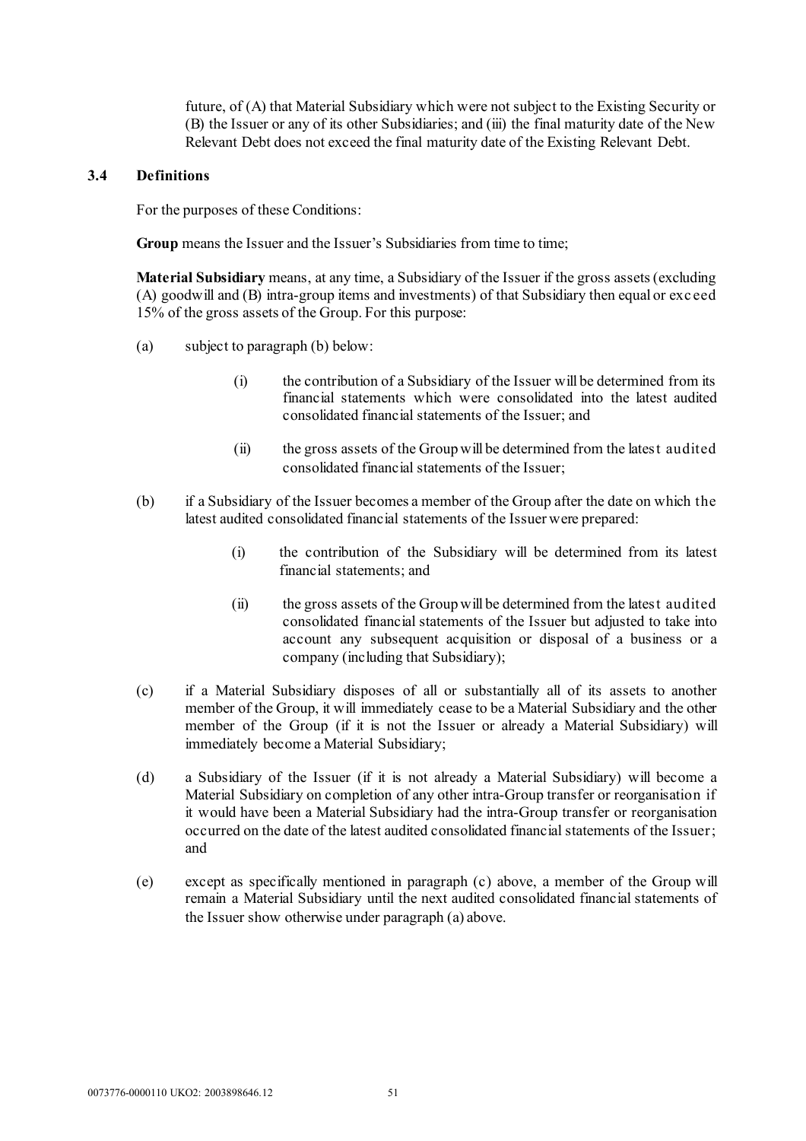future, of (A) that Material Subsidiary which were not subject to the Existing Security or (B) the Issuer or any of its other Subsidiaries; and (iii) the final maturity date of the New Relevant Debt does not exceed the final maturity date of the Existing Relevant Debt.

#### **3.4 Definitions**

For the purposes of these Conditions:

**Group** means the Issuer and the Issuer's Subsidiaries from time to time;

**Material Subsidiary** means, at any time, a Subsidiary of the Issuer if the gross assets (excluding (A) goodwill and (B) intra-group items and investments) of that Subsidiary then equal or exc eed 15% of the gross assets of the Group. For this purpose:

- (a) subject to paragraph (b) below:
	- (i) the contribution of a Subsidiary of the Issuer will be determined from its financial statements which were consolidated into the latest audited consolidated financial statements of the Issuer; and
	- (ii) the gross assets of the Group will be determined from the latest audited consolidated financial statements of the Issuer;
- (b) if a Subsidiary of the Issuer becomes a member of the Group after the date on which the latest audited consolidated financial statements of the Issuer were prepared:
	- (i) the contribution of the Subsidiary will be determined from its latest financial statements; and
	- (ii) the gross assets of the Group will be determined from the latest audited consolidated financial statements of the Issuer but adjusted to take into account any subsequent acquisition or disposal of a business or a company (including that Subsidiary);
- (c) if a Material Subsidiary disposes of all or substantially all of its assets to another member of the Group, it will immediately cease to be a Material Subsidiary and the other member of the Group (if it is not the Issuer or already a Material Subsidiary) will immediately become a Material Subsidiary;
- (d) a Subsidiary of the Issuer (if it is not already a Material Subsidiary) will become a Material Subsidiary on completion of any other intra-Group transfer or reorganisation if it would have been a Material Subsidiary had the intra-Group transfer or reorganisation occurred on the date of the latest audited consolidated financial statements of the Issuer; and
- (e) except as specifically mentioned in paragraph (c) above, a member of the Group will remain a Material Subsidiary until the next audited consolidated financial statements of the Issuer show otherwise under paragraph (a) above.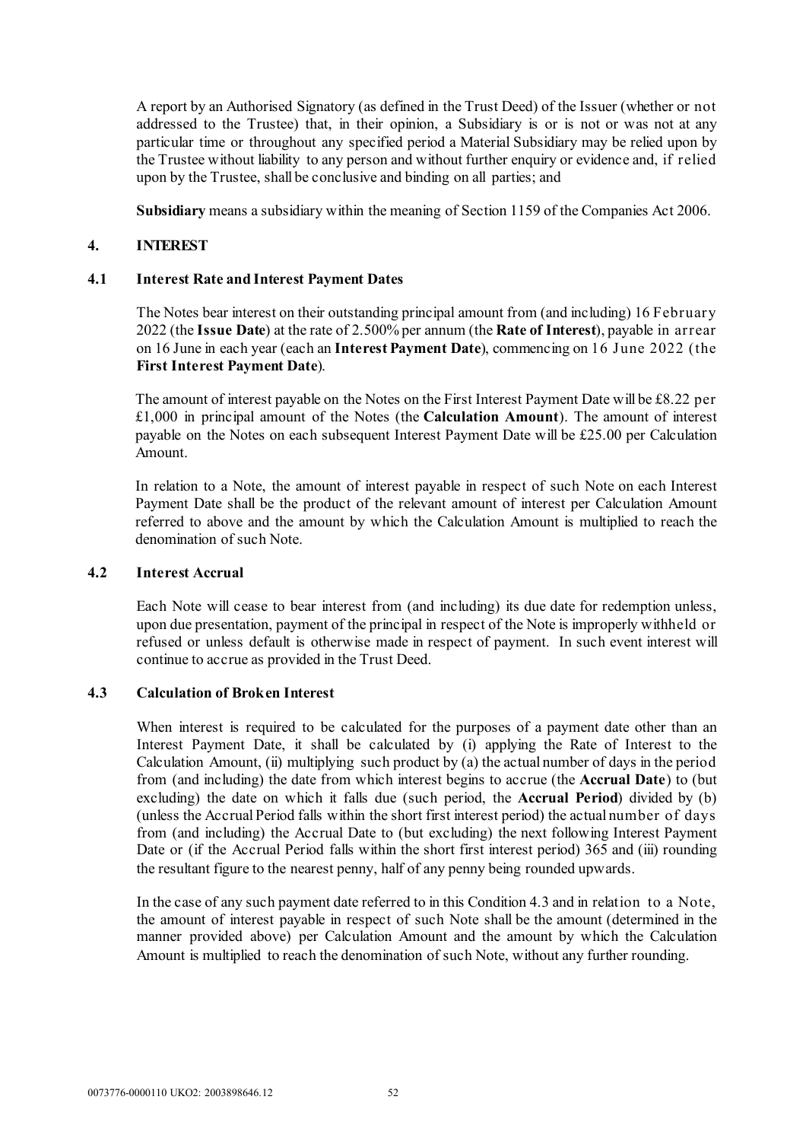A report by an Authorised Signatory (as defined in the Trust Deed) of the Issuer (whether or not addressed to the Trustee) that, in their opinion, a Subsidiary is or is not or was not at any particular time or throughout any specified period a Material Subsidiary may be relied upon by the Trustee without liability to any person and without further enquiry or evidence and, if relied upon by the Trustee, shall be conclusive and binding on all parties; and

**Subsidiary** means a subsidiary within the meaning of Section 1159 of the Companies Act 2006.

### <span id="page-53-0"></span>**4. INTEREST**

### **4.1 Interest Rate and Interest Payment Dates**

The Notes bear interest on their outstanding principal amount from (and including) 16 February 2022 (the **Issue Date**) at the rate of 2.500% per annum (the **Rate of Interest**), payable in arrear on 16 June in each year (each an **Interest Payment Date**), commencing on 16 June 2022 (the **First Interest Payment Date**).

The amount of interest payable on the Notes on the First Interest Payment Date will be £8.22 per £1,000 in principal amount of the Notes (the **Calculation Amount**). The amount of interest payable on the Notes on each subsequent Interest Payment Date will be £25.00 per Calculation Amount.

In relation to a Note, the amount of interest payable in respect of such Note on each Interest Payment Date shall be the product of the relevant amount of interest per Calculation Amount referred to above and the amount by which the Calculation Amount is multiplied to reach the denomination of such Note.

### **4.2 Interest Accrual**

Each Note will cease to bear interest from (and including) its due date for redemption unless, upon due presentation, payment of the principal in respect of the Note is improperly withheld or refused or unless default is otherwise made in respect of payment. In such event interest will continue to accrue as provided in the Trust Deed.

### **4.3 Calculation of Broken Interest**

When interest is required to be calculated for the purposes of a payment date other than an Interest Payment Date, it shall be calculated by (i) applying the Rate of Interest to the Calculation Amount, (ii) multiplying such product by (a) the actual number of days in the period from (and including) the date from which interest begins to accrue (the **Accrual Date**) to (but excluding) the date on which it falls due (such period, the **Accrual Period**) divided by (b) (unless the Accrual Period falls within the short first interest period) the actual number of days from (and including) the Accrual Date to (but excluding) the next following Interest Payment Date or (if the Accrual Period falls within the short first interest period) 365 and (iii) rounding the resultant figure to the nearest penny, half of any penny being rounded upwards.

In the case of any such payment date referred to in this Condition 4.3 and in relation to a Note, the amount of interest payable in respect of such Note shall be the amount (determined in the manner provided above) per Calculation Amount and the amount by which the Calculation Amount is multiplied to reach the denomination of such Note, without any further rounding.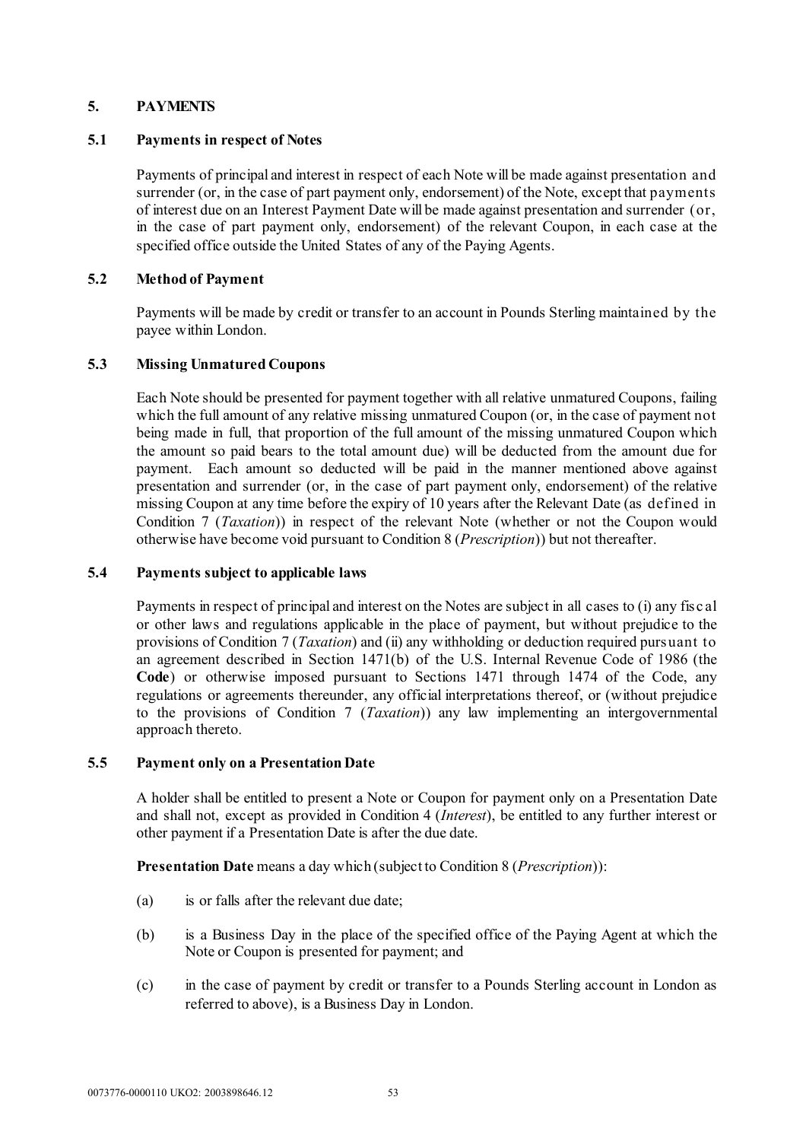# <span id="page-54-2"></span>**5. PAYMENTS**

### **5.1 Payments in respect of Notes**

Payments of principal and interest in respect of each Note will be made against presentation and surrender (or, in the case of part payment only, endorsement) of the Note, except that payments of interest due on an Interest Payment Date will be made against presentation and surrender (or, in the case of part payment only, endorsement) of the relevant Coupon, in each case at the specified office outside the United States of any of the Paying Agents.

# **5.2 Method of Payment**

Payments will be made by credit or transfer to an account in Pounds Sterling maintained by the payee within London.

# **5.3 Missing Unmatured Coupons**

Each Note should be presented for payment together with all relative unmatured Coupons, failing which the full amount of any relative missing unmatured Coupon (or, in the case of payment not being made in full, that proportion of the full amount of the missing unmatured Coupon which the amount so paid bears to the total amount due) will be deducted from the amount due for payment. Each amount so deducted will be paid in the manner mentioned above against presentation and surrender (or, in the case of part payment only, endorsement) of the relative missing Coupon at any time before the expiry of 10 years after the Relevant Date (as defined in Condition [7](#page-60-0) (*[Taxation](#page-60-0)*)) in respect of the relevant Note (whether or not the Coupon would otherwise have become void pursuant to Condition [8](#page-60-1) (*[Prescription](#page-60-1)*)) but not thereafter.

## <span id="page-54-1"></span>**5.4 Payments subject to applicable laws**

Payments in respect of principal and interest on the Notes are subject in all cases to (i) any fisc al or other laws and regulations applicable in the place of payment, but without prejudice to the provisions of Condition [7](#page-60-0) (*[Taxation](#page-60-0)*) and (ii) any withholding or deduction required pursuant to an agreement described in Section 1471(b) of the U.S. Internal Revenue Code of 1986 (the **Code**) or otherwise imposed pursuant to Sections 1471 through 1474 of the Code, any regulations or agreements thereunder, any official interpretations thereof, or (without prejudice to the provisions of Condition [7](#page-60-0) (*[Taxation](#page-60-0)*)) any law implementing an intergovernmental approach thereto.

### <span id="page-54-0"></span>**5.5 Payment only on a Presentation Date**

A holder shall be entitled to present a Note or Coupon for payment only on a Presentation Date and shall not, except as provided in Condition [4](#page-53-0) (*[Interest](#page-53-0)*), be entitled to any further interest or other payment if a Presentation Date is after the due date.

**Presentation Date** means a day which (subject to Condition [8](#page-60-1) (*[Prescription](#page-60-1)*)):

- (a) is or falls after the relevant due date;
- (b) is a Business Day in the place of the specified office of the Paying Agent at which the Note or Coupon is presented for payment; and
- (c) in the case of payment by credit or transfer to a Pounds Sterling account in London as referred to above), is a Business Day in London.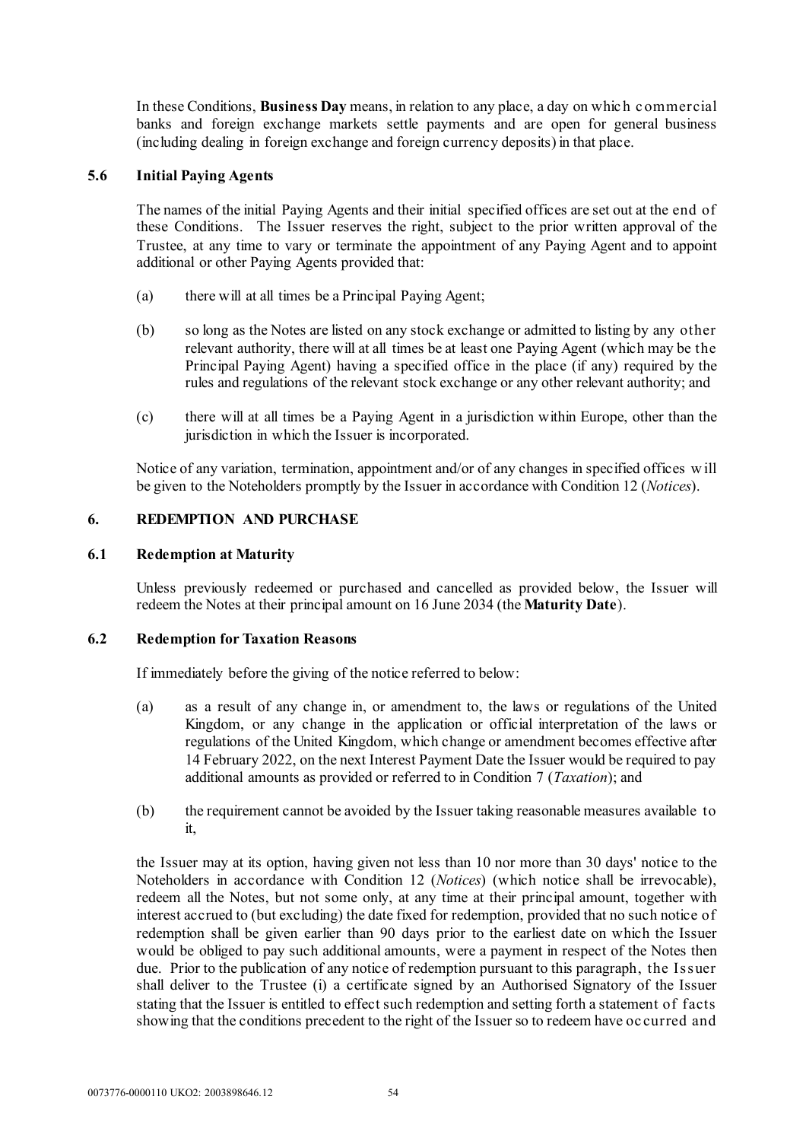In these Conditions, **Business Day** means, in relation to any place, a day on whic h c ommercial banks and foreign exchange markets settle payments and are open for general business (including dealing in foreign exchange and foreign currency deposits) in that place.

# **5.6 Initial Paying Agents**

The names of the initial Paying Agents and their initial specified offices are set out at the end of these Conditions. The Issuer reserves the right, subject to the prior written approval of the Trustee, at any time to vary or terminate the appointment of any Paying Agent and to appoint additional or other Paying Agents provided that:

- (a) there will at all times be a Principal Paying Agent;
- (b) so long as the Notes are listed on any stock exchange or admitted to listing by any other relevant authority, there will at all times be at least one Paying Agent (which may be the Principal Paying Agent) having a specified office in the place (if any) required by the rules and regulations of the relevant stock exchange or any other relevant authority; and
- (c) there will at all times be a Paying Agent in a jurisdiction within Europe, other than the jurisdiction in which the Issuer is incorporated.

Notice of any variation, termination, appointment and/or of any changes in specified offices w ill be given to the Noteholders promptly by the Issuer in accordance with Condition [12](#page-63-0) (*[Notices](#page-63-0)*).

# **6. REDEMPTION AND PURCHASE**

# **6.1 Redemption at Maturity**

Unless previously redeemed or purchased and cancelled as provided below, the Issuer will redeem the Notes at their principal amount on 16 June 2034 (the **Maturity Date**).

### <span id="page-55-0"></span>**6.2 Redemption for Taxation Reasons**

If immediately before the giving of the notice referred to below:

- (a) as a result of any change in, or amendment to, the laws or regulations of the United Kingdom, or any change in the application or official interpretation of the laws or regulations of the United Kingdom, which change or amendment becomes effective after 14 February 2022, on the next Interest Payment Date the Issuer would be required to pay additional amounts as provided or referred to in Condition [7](#page-60-0) (*[Taxation](#page-60-0)*); and
- (b) the requirement cannot be avoided by the Issuer taking reasonable measures available to it,

the Issuer may at its option, having given not less than 10 nor more than 30 days' notice to the Noteholders in accordance with Condition [12](#page-63-0) (*[Notices](#page-63-0)*) (which notice shall be irrevocable), redeem all the Notes, but not some only, at any time at their principal amount, together with interest accrued to (but excluding) the date fixed for redemption, provided that no such notice of redemption shall be given earlier than 90 days prior to the earliest date on which the Issuer would be obliged to pay such additional amounts, were a payment in respect of the Notes then due. Prior to the publication of any notice of redemption pursuant to this paragraph, the Issuer shall deliver to the Trustee (i) a certificate signed by an Authorised Signatory of the Issuer stating that the Issuer is entitled to effect such redemption and setting forth a statement of facts showing that the conditions precedent to the right of the Issuer so to redeem have oc curred and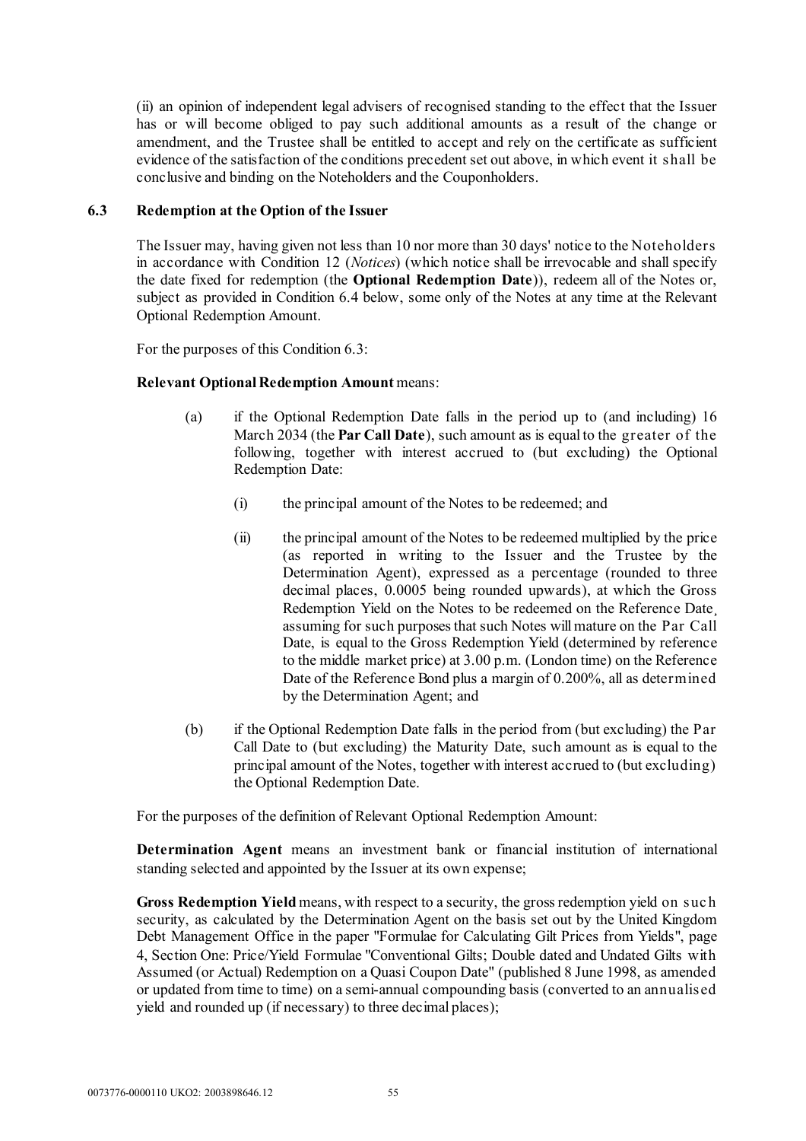(ii) an opinion of independent legal advisers of recognised standing to the effect that the Issuer has or will become obliged to pay such additional amounts as a result of the change or amendment, and the Trustee shall be entitled to accept and rely on the certificate as sufficient evidence of the satisfaction of the conditions precedent set out above, in which event it shall be conclusive and binding on the Noteholders and the Couponholders.

# <span id="page-56-0"></span>**6.3 Redemption at the Option of the Issuer**

The Issuer may, having given not less than 10 nor more than 30 days' notice to the Noteholders in accordance with Condition [12](#page-63-0) (*[Notices](#page-63-0)*) (which notice shall be irrevocable and shall specify the date fixed for redemption (the **Optional Redemption Date**)), redeem all of the Notes or, subject as provided in Condition [6.4 below,](#page-57-0) some only of the Notes at any time at the Relevant Optional Redemption Amount.

For the purposes of this Condition [6.3:](#page-56-0)

# **Relevant Optional Redemption Amount** means:

- (a) if the Optional Redemption Date falls in the period up to (and including) 16 March 2034 (the **Par Call Date**), such amount as is equal to the greater of the following, together with interest accrued to (but excluding) the Optional Redemption Date:
	- (i) the principal amount of the Notes to be redeemed; and
	- (ii) the principal amount of the Notes to be redeemed multiplied by the price (as reported in writing to the Issuer and the Trustee by the Determination Agent), expressed as a percentage (rounded to three decimal places, 0.0005 being rounded upwards), at which the Gross Redemption Yield on the Notes to be redeemed on the Reference Date assuming for such purposes that such Notes will mature on the Par Call Date, is equal to the Gross Redemption Yield (determined by reference to the middle market price) at 3.00 p.m. (London time) on the Reference Date of the Reference Bond plus a margin of 0.200%, all as determined by the Determination Agent; and
- (b) if the Optional Redemption Date falls in the period from (but excluding) the Par Call Date to (but excluding) the Maturity Date, such amount as is equal to the principal amount of the Notes, together with interest accrued to (but excluding) the Optional Redemption Date.

For the purposes of the definition of Relevant Optional Redemption Amount:

**Determination Agent** means an investment bank or financial institution of international standing selected and appointed by the Issuer at its own expense;

**Gross Redemption Yield** means, with respect to a security, the gross redemption yield on suc h security, as calculated by the Determination Agent on the basis set out by the United Kingdom Debt Management Office in the paper "Formulae for Calculating Gilt Prices from Yields", page 4, Section One: Price/Yield Formulae "Conventional Gilts; Double dated and Undated Gilts with Assumed (or Actual) Redemption on a Quasi Coupon Date" (published 8 June 1998, as amended or updated from time to time) on a semi-annual compounding basis (converted to an annualised yield and rounded up (if necessary) to three decimal places);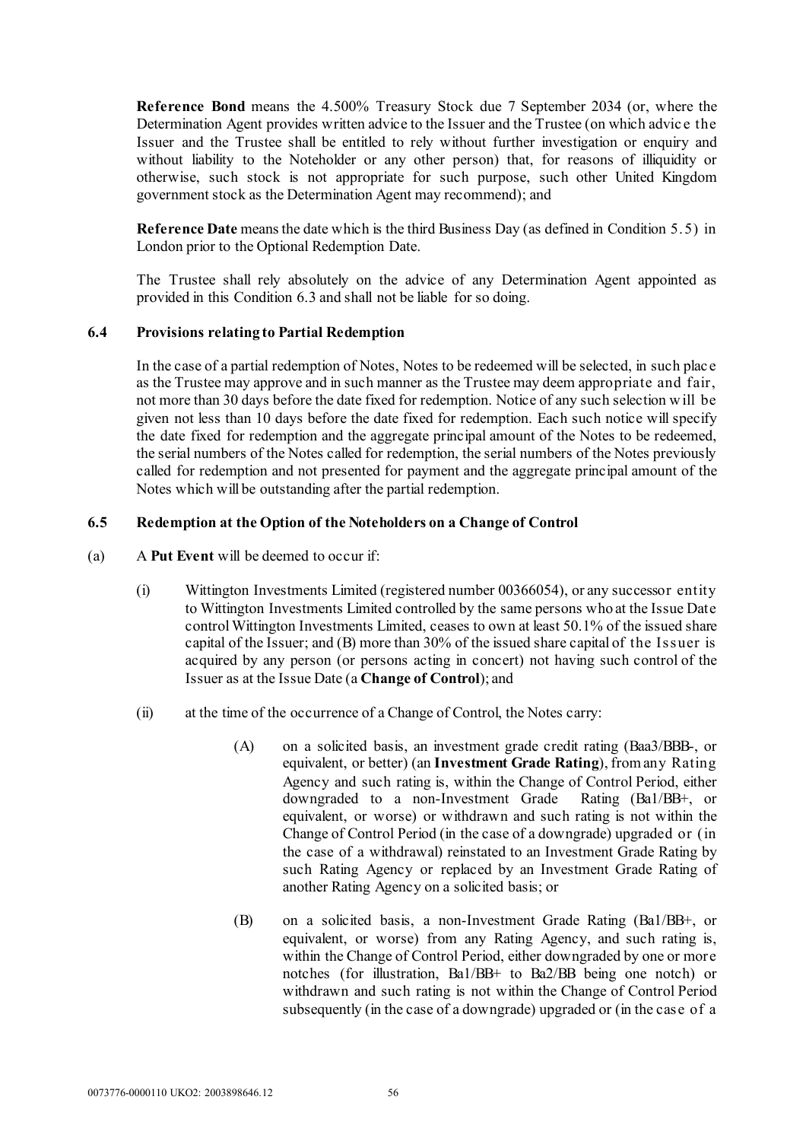**Reference Bond** means the 4.500% Treasury Stock due 7 September 2034 (or, where the Determination Agent provides written advice to the Issuer and the Trustee (on which advic e the Issuer and the Trustee shall be entitled to rely without further investigation or enquiry and without liability to the Noteholder or any other person) that, for reasons of illiquidity or otherwise, such stock is not appropriate for such purpose, such other United Kingdom government stock as the Determination Agent may recommend); and

**Reference Date** means the date which is the third Business Day (as defined in Condition [5.5\)](#page-54-0) in London prior to the Optional Redemption Date.

The Trustee shall rely absolutely on the advice of any Determination Agent appointed as provided in this Condition [6.3](#page-56-0) and shall not be liable for so doing.

### <span id="page-57-0"></span>**6.4 Provisions relating to Partial Redemption**

In the case of a partial redemption of Notes, Notes to be redeemed will be selected, in such plac e as the Trustee may approve and in such manner as the Trustee may deem appropriate and fair, not more than 30 days before the date fixed for redemption. Notice of any such selection w ill be given not less than 10 days before the date fixed for redemption. Each such notice will specify the date fixed for redemption and the aggregate principal amount of the Notes to be redeemed, the serial numbers of the Notes called for redemption, the serial numbers of the Notes previously called for redemption and not presented for payment and the aggregate principal amount of the Notes which will be outstanding after the partial redemption.

### <span id="page-57-2"></span><span id="page-57-1"></span>**6.5 Redemption at the Option of the Noteholders on a Change of Control**

- (a) A **Put Event** will be deemed to occur if:
	- (i) Wittington Investments Limited (registered number 00366054), or any successor entity to Wittington Investments Limited controlled by the same persons who at the Issue Date control Wittington Investments Limited, ceases to own at least 50.1% of the issued share capital of the Issuer; and (B) more than 30% of the issued share capital of the Issuer is acquired by any person (or persons acting in concert) not having such control of the Issuer as at the Issue Date (a **Change of Control**); and
	- (ii) at the time of the occurrence of a Change of Control, the Notes carry:
		- (A) on a solicited basis, an investment grade credit rating (Baa3/BBB-, or equivalent, or better) (an **Investment Grade Rating**), from any Rating Agency and such rating is, within the Change of Control Period, either downgraded to a non-Investment Grade Rating (Ba1/BB+, or equivalent, or worse) or withdrawn and such rating is not within the Change of Control Period (in the case of a downgrade) upgraded or (in the case of a withdrawal) reinstated to an Investment Grade Rating by such Rating Agency or replaced by an Investment Grade Rating of another Rating Agency on a solicited basis; or
		- (B) on a solicited basis, a non-Investment Grade Rating (Ba1/BB+, or equivalent, or worse) from any Rating Agency, and such rating is, within the Change of Control Period, either downgraded by one or more notches (for illustration, Ba1/BB+ to Ba2/BB being one notch) or withdrawn and such rating is not within the Change of Control Period subsequently (in the case of a downgrade) upgraded or (in the case of a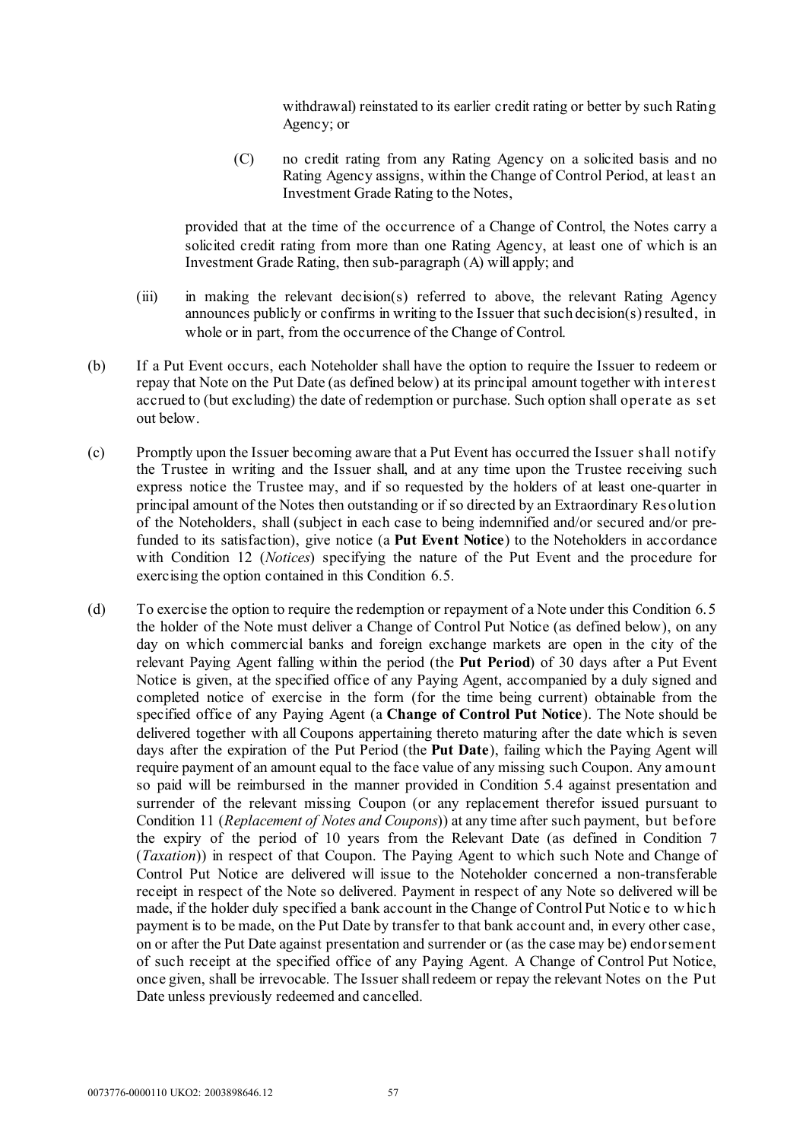withdrawal) reinstated to its earlier credit rating or better by such Rating Agency; or

(C) no credit rating from any Rating Agency on a solicited basis and no Rating Agency assigns, within the Change of Control Period, at least an Investment Grade Rating to the Notes,

provided that at the time of the occurrence of a Change of Control, the Notes carry a solicited credit rating from more than one Rating Agency, at least one of which is an Investment Grade Rating, then sub-paragraph (A) will apply; and

- (iii) in making the relevant decision(s) referred to above, the relevant Rating Agency announces publicly or confirms in writing to the Issuer that such decision(s) resulted, in whole or in part, from the occurrence of the Change of Control.
- (b) If a Put Event occurs, each Noteholder shall have the option to require the Issuer to redeem or repay that Note on the Put Date (as defined below) at its principal amount together with interest accrued to (but excluding) the date of redemption or purchase. Such option shall operate as set out below.
- (c) Promptly upon the Issuer becoming aware that a Put Event has occurred the Issuer shall notify the Trustee in writing and the Issuer shall, and at any time upon the Trustee receiving such express notice the Trustee may, and if so requested by the holders of at least one-quarter in principal amount of the Notes then outstanding or if so directed by an Extraordinary Resolution of the Noteholders, shall (subject in each case to being indemnified and/or secured and/or prefunded to its satisfaction), give notice (a **Put Event Notice**) to the Noteholders in accordance with Condition [12](#page-63-0) (*[Notices](#page-63-0)*) specifying the nature of the Put Event and the procedure for exercising the option contained in this Condition [6.5.](#page-57-1)
- (d) To exercise the option to require the redemption or repayment of a Note under this Condition [6.5](#page-57-1) the holder of the Note must deliver a Change of Control Put Notice (as defined below), on any day on which commercial banks and foreign exchange markets are open in the city of the relevant Paying Agent falling within the period (the **Put Period**) of 30 days after a Put Event Notice is given, at the specified office of any Paying Agent, accompanied by a duly signed and completed notice of exercise in the form (for the time being current) obtainable from the specified office of any Paying Agent (a **Change of Control Put Notice**). The Note should be delivered together with all Coupons appertaining thereto maturing after the date which is seven days after the expiration of the Put Period (the **Put Date**), failing which the Paying Agent will require payment of an amount equal to the face value of any missing such Coupon. Any amount so paid will be reimbursed in the manner provided in Condition [5.4](#page-54-1) against presentation and surrender of the relevant missing Coupon (or any replacement therefor issued pursuant to Condition [11](#page-63-1) (*[Replacement of Notes and Coupons](#page-63-1)*)) at any time after such payment, but before the expiry of the period of 10 years from the Relevant Date (as defined in Condition [7](#page-60-0) (*[Taxation](#page-60-0)*)) in respect of that Coupon. The Paying Agent to which such Note and Change of Control Put Notice are delivered will issue to the Noteholder concerned a non-transferable receipt in respect of the Note so delivered. Payment in respect of any Note so delivered will be made, if the holder duly specified a bank account in the Change of Control Put Notic e to w hic h payment is to be made, on the Put Date by transfer to that bank account and, in every other case, on or after the Put Date against presentation and surrender or (as the case may be) endorsement of such receipt at the specified office of any Paying Agent. A Change of Control Put Notice, once given, shall be irrevocable. The Issuer shall redeem or repay the relevant Notes on the Put Date unless previously redeemed and cancelled.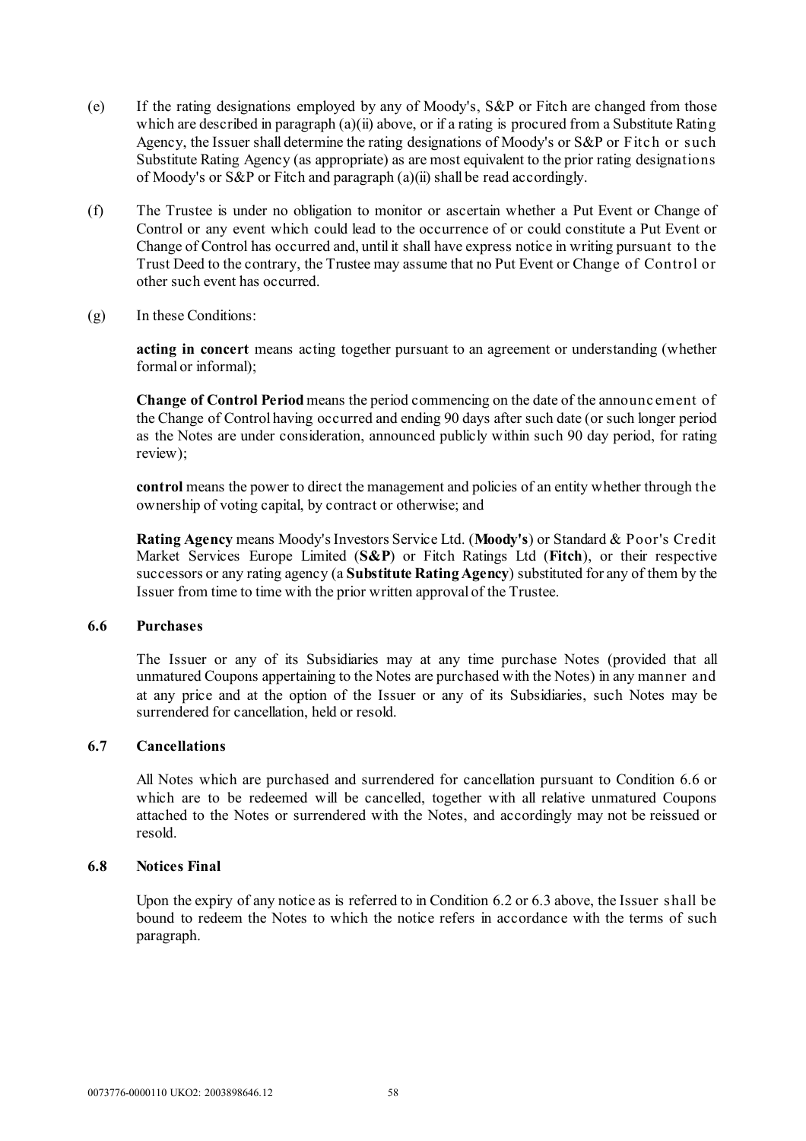- (e) If the rating designations employed by any of Moody's, S&P or Fitch are changed from those which are described in paragraph [\(a\)\(ii\) above,](#page-57-2) or if a rating is procured from a Substitute Rating Agency, the Issuer shall determine the rating designations of Moody's or S&P or Fitch or such Substitute Rating Agency (as appropriate) as are most equivalent to the prior rating designations of Moody's or S&P or Fitch and paragrap[h \(a\)\(ii\)](#page-57-2) shall be read accordingly.
- (f) The Trustee is under no obligation to monitor or ascertain whether a Put Event or Change of Control or any event which could lead to the occurrence of or could constitute a Put Event or Change of Control has occurred and, until it shall have express notice in writing pursuant to the Trust Deed to the contrary, the Trustee may assume that no Put Event or Change of Control or other such event has occurred.
- (g) In these Conditions:

**acting in concert** means acting together pursuant to an agreement or understanding (whether formal or informal);

**Change of Control Period** means the period commencing on the date of the announc ement of the Change of Control having occurred and ending 90 days after such date (or such longer period as the Notes are under consideration, announced publicly within such 90 day period, for rating review);

**control** means the power to direct the management and policies of an entity whether through the ownership of voting capital, by contract or otherwise; and

**Rating Agency** means Moody's Investors Service Ltd. (**Moody's**) or Standard & Poor's Credit Market Services Europe Limited (**S&P**) or Fitch Ratings Ltd (**Fitch**), or their respective successors or any rating agency (a **Substitute Rating Agency**) substituted for any of them by the Issuer from time to time with the prior written approval of the Trustee.

# <span id="page-59-0"></span>**6.6 Purchases**

The Issuer or any of its Subsidiaries may at any time purchase Notes (provided that all unmatured Coupons appertaining to the Notes are purchased with the Notes) in any manner and at any price and at the option of the Issuer or any of its Subsidiaries, such Notes may be surrendered for cancellation, held or resold.

## **6.7 Cancellations**

All Notes which are purchased and surrendered for cancellation pursuant to Condition [6.6](#page-59-0) or which are to be redeemed will be cancelled, together with all relative unmatured Coupons attached to the Notes or surrendered with the Notes, and accordingly may not be reissued or resold.

#### **6.8 Notices Final**

Upon the expiry of any notice as is referred to in Condition [6.2](#page-55-0) or [6.3](#page-56-0) above, the Issuer shall be bound to redeem the Notes to which the notice refers in accordance with the terms of such paragraph.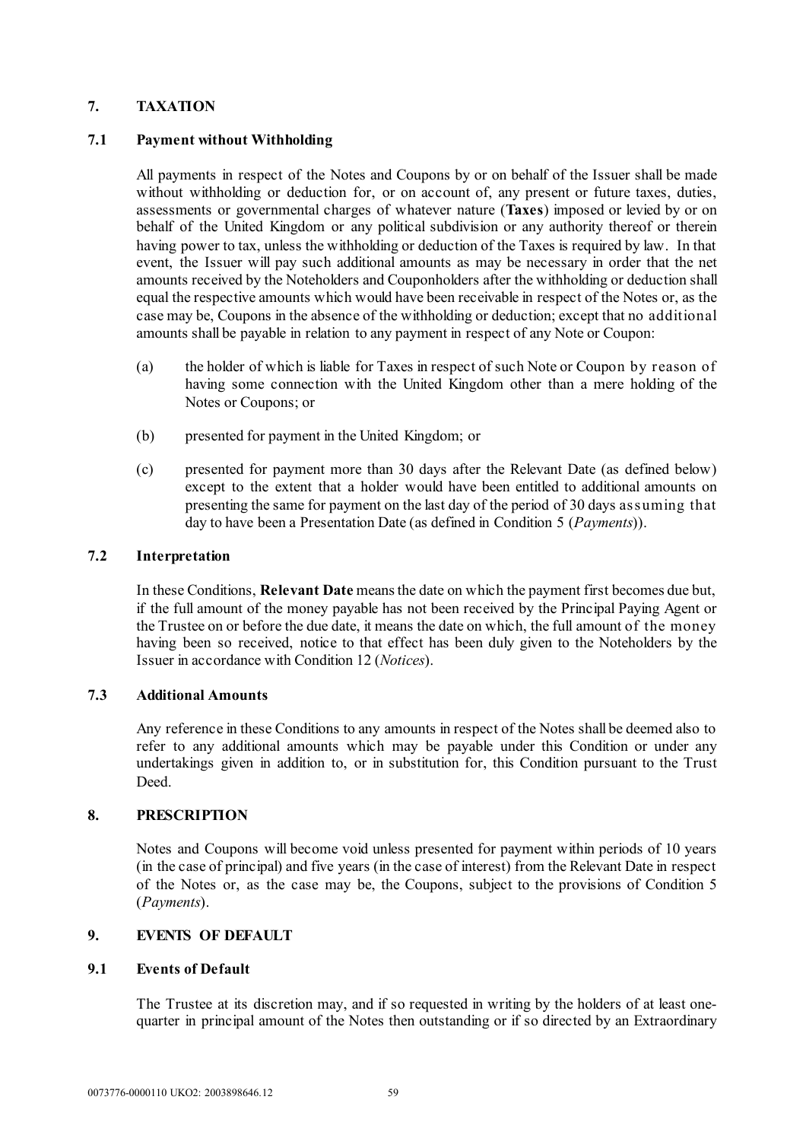# <span id="page-60-0"></span>**7. TAXATION**

# **7.1 Payment without Withholding**

All payments in respect of the Notes and Coupons by or on behalf of the Issuer shall be made without withholding or deduction for, or on account of, any present or future taxes, duties, assessments or governmental charges of whatever nature (**Taxes**) imposed or levied by or on behalf of the United Kingdom or any political subdivision or any authority thereof or therein having power to tax, unless the withholding or deduction of the Taxes is required by law. In that event, the Issuer will pay such additional amounts as may be necessary in order that the net amounts received by the Noteholders and Couponholders after the withholding or deduction shall equal the respective amounts which would have been receivable in respect of the Notes or, as the case may be, Coupons in the absence of the withholding or deduction; except that no additional amounts shall be payable in relation to any payment in respect of any Note or Coupon:

- (a) the holder of which is liable for Taxes in respect of such Note or Coupon by reason of having some connection with the United Kingdom other than a mere holding of the Notes or Coupons; or
- (b) presented for payment in the United Kingdom; or
- (c) presented for payment more than 30 days after the Relevant Date (as defined below) except to the extent that a holder would have been entitled to additional amounts on presenting the same for payment on the last day of the period of 30 days assuming that day to have been a Presentation Date (as defined in Condition [5](#page-54-2) (*[Payments](#page-54-2)*)).

# **7.2 Interpretation**

In these Conditions, **Relevant Date** means the date on which the payment first becomes due but, if the full amount of the money payable has not been received by the Principal Paying Agent or the Trustee on or before the due date, it means the date on which, the full amount of the money having been so received, notice to that effect has been duly given to the Noteholders by the Issuer in accordance with Condition [12](#page-63-0) (*[Notices](#page-63-0)*).

### **7.3 Additional Amounts**

Any reference in these Conditions to any amounts in respect of the Notes shall be deemed also to refer to any additional amounts which may be payable under this Condition or under any undertakings given in addition to, or in substitution for, this Condition pursuant to the Trust Deed.

### <span id="page-60-1"></span>**8. PRESCRIPTION**

Notes and Coupons will become void unless presented for payment within periods of 10 years (in the case of principal) and five years (in the case of interest) from the Relevant Date in respect of the Notes or, as the case may be, the Coupons, subject to the provisions of Condition [5](#page-54-2) (*[Payments](#page-54-2)*).

# **9. EVENTS OF DEFAULT**

### **9.1 Events of Default**

The Trustee at its discretion may, and if so requested in writing by the holders of at least onequarter in principal amount of the Notes then outstanding or if so directed by an Extraordinary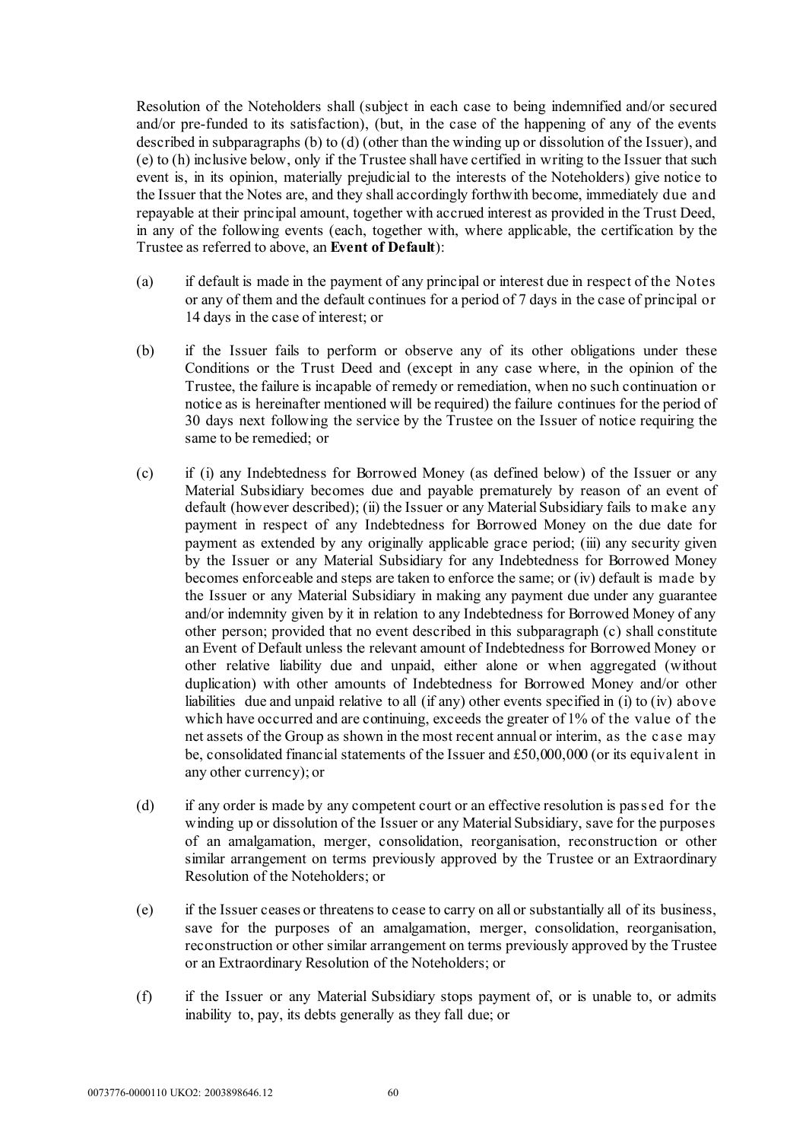Resolution of the Noteholders shall (subject in each case to being indemnified and/or secured and/or pre-funded to its satisfaction), (but, in the case of the happening of any of the events described in subparagraphs [\(b\)](#page-61-0) t[o \(d\)](#page-61-1) (other than the winding up or dissolution of the Issuer), and [\(e\)](#page-61-2) to [\(h\)](#page-62-0) inclusive below, only if the Trustee shall have certified in writing to the Issuer that such event is, in its opinion, materially prejudicial to the interests of the Noteholders) give notice to the Issuer that the Notes are, and they shall accordingly forthwith become, immediately due and repayable at their principal amount, together with accrued interest as provided in the Trust Deed, in any of the following events (each, together with, where applicable, the certification by the Trustee as referred to above, an **Event of Default**):

- (a) if default is made in the payment of any principal or interest due in respect of the Notes or any of them and the default continues for a period of 7 days in the case of principal or 14 days in the case of interest; or
- <span id="page-61-0"></span>(b) if the Issuer fails to perform or observe any of its other obligations under these Conditions or the Trust Deed and (except in any case where, in the opinion of the Trustee, the failure is incapable of remedy or remediation, when no such continuation or notice as is hereinafter mentioned will be required) the failure continues for the period of 30 days next following the service by the Trustee on the Issuer of notice requiring the same to be remedied; or
- <span id="page-61-3"></span>(c) if (i) any Indebtedness for Borrowed Money (as defined below) of the Issuer or any Material Subsidiary becomes due and payable prematurely by reason of an event of default (however described); (ii) the Issuer or any Material Subsidiary fails to make any payment in respect of any Indebtedness for Borrowed Money on the due date for payment as extended by any originally applicable grace period; (iii) any security given by the Issuer or any Material Subsidiary for any Indebtedness for Borrowed Money becomes enforceable and steps are taken to enforce the same; or (iv) default is made by the Issuer or any Material Subsidiary in making any payment due under any guarantee and/or indemnity given by it in relation to any Indebtedness for Borrowed Money of any other person; provided that no event described in this subparagraph [\(c\)](#page-61-3) shall constitute an Event of Default unless the relevant amount of Indebtedness for Borrowed Money or other relative liability due and unpaid, either alone or when aggregated (without duplication) with other amounts of Indebtedness for Borrowed Money and/or other liabilities due and unpaid relative to all (if any) other events specified in (i) to (iv) above which have occurred and are continuing, exceeds the greater of 1% of the value of the net assets of the Group as shown in the most recent annual or interim, as the c ase may be, consolidated financial statements of the Issuer and £50,000,000 (or its equivalent in any other currency); or
- <span id="page-61-1"></span>(d) if any order is made by any competent court or an effective resolution is passed for the winding up or dissolution of the Issuer or any Material Subsidiary, save for the purposes of an amalgamation, merger, consolidation, reorganisation, reconstruction or other similar arrangement on terms previously approved by the Trustee or an Extraordinary Resolution of the Noteholders; or
- <span id="page-61-2"></span>(e) if the Issuer ceases or threatens to cease to carry on all or substantially all of its business, save for the purposes of an amalgamation, merger, consolidation, reorganisation, reconstruction or other similar arrangement on terms previously approved by the Trustee or an Extraordinary Resolution of the Noteholders; or
- (f) if the Issuer or any Material Subsidiary stops payment of, or is unable to, or admits inability to, pay, its debts generally as they fall due; or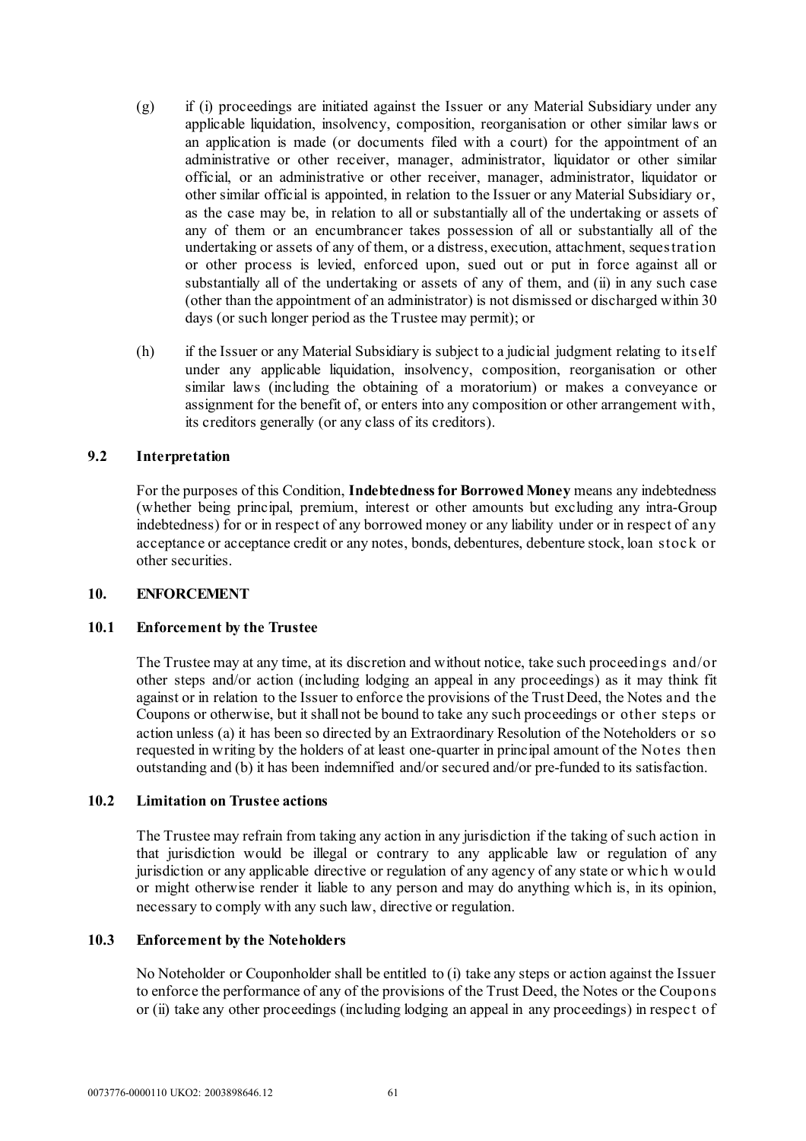- (g) if (i) proceedings are initiated against the Issuer or any Material Subsidiary under any applicable liquidation, insolvency, composition, reorganisation or other similar laws or an application is made (or documents filed with a court) for the appointment of an administrative or other receiver, manager, administrator, liquidator or other similar official, or an administrative or other receiver, manager, administrator, liquidator or other similar official is appointed, in relation to the Issuer or any Material Subsidiary or, as the case may be, in relation to all or substantially all of the undertaking or assets of any of them or an encumbrancer takes possession of all or substantially all of the undertaking or assets of any of them, or a distress, execution, attachment, sequestration or other process is levied, enforced upon, sued out or put in force against all or substantially all of the undertaking or assets of any of them, and (ii) in any such case (other than the appointment of an administrator) is not dismissed or discharged within 30 days (or such longer period as the Trustee may permit); or
- <span id="page-62-0"></span>(h) if the Issuer or any Material Subsidiary is subject to a judicial judgment relating to itself under any applicable liquidation, insolvency, composition, reorganisation or other similar laws (including the obtaining of a moratorium) or makes a conveyance or assignment for the benefit of, or enters into any composition or other arrangement with, its creditors generally (or any class of its creditors).

### **9.2 Interpretation**

For the purposes of this Condition, **Indebtedness for Borrowed Money** means any indebtedness (whether being principal, premium, interest or other amounts but excluding any intra-Group indebtedness) for or in respect of any borrowed money or any liability under or in respect of any acceptance or acceptance credit or any notes, bonds, debentures, debenture stock, loan stoc k or other securities.

### **10. ENFORCEMENT**

### **10.1 Enforcement by the Trustee**

The Trustee may at any time, at its discretion and without notice, take such proceedings and/or other steps and/or action (including lodging an appeal in any proceedings) as it may think fit against or in relation to the Issuer to enforce the provisions of the Trust Deed, the Notes and the Coupons or otherwise, but it shall not be bound to take any such proceedings or other steps or action unless (a) it has been so directed by an Extraordinary Resolution of the Noteholders or so requested in writing by the holders of at least one-quarter in principal amount of the Notes then outstanding and (b) it has been indemnified and/or secured and/or pre-funded to its satisfaction.

### **10.2 Limitation on Trustee actions**

The Trustee may refrain from taking any action in any jurisdiction if the taking of such action in that jurisdiction would be illegal or contrary to any applicable law or regulation of any jurisdiction or any applicable directive or regulation of any agency of any state or whic h w ould or might otherwise render it liable to any person and may do anything which is, in its opinion, necessary to comply with any such law, directive or regulation.

## **10.3 Enforcement by the Noteholders**

No Noteholder or Couponholder shall be entitled to (i) take any steps or action against the Issuer to enforce the performance of any of the provisions of the Trust Deed, the Notes or the Coupons or (ii) take any other proceedings (including lodging an appeal in any proceedings) in respec t of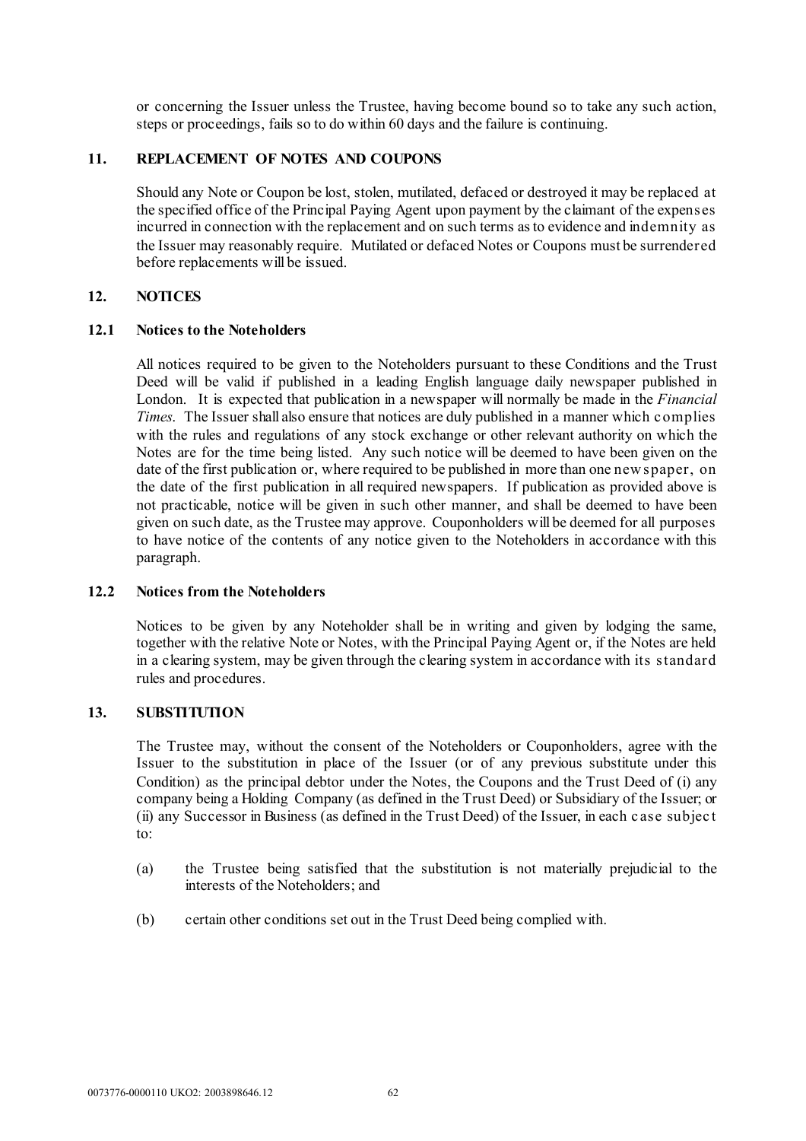or concerning the Issuer unless the Trustee, having become bound so to take any such action, steps or proceedings, fails so to do within 60 days and the failure is continuing.

# <span id="page-63-1"></span>**11. REPLACEMENT OF NOTES AND COUPONS**

Should any Note or Coupon be lost, stolen, mutilated, defaced or destroyed it may be replaced at the specified office of the Principal Paying Agent upon payment by the claimant of the expenses incurred in connection with the replacement and on such terms as to evidence and indemnity as the Issuer may reasonably require. Mutilated or defaced Notes or Coupons must be surrendered before replacements will be issued.

### <span id="page-63-0"></span>**12. NOTICES**

### **12.1 Notices to the Noteholders**

All notices required to be given to the Noteholders pursuant to these Conditions and the Trust Deed will be valid if published in a leading English language daily newspaper published in London. It is expected that publication in a newspaper will normally be made in the *Financial Times*. The Issuer shall also ensure that notices are duly published in a manner which c omplies with the rules and regulations of any stock exchange or other relevant authority on which the Notes are for the time being listed. Any such notice will be deemed to have been given on the date of the first publication or, where required to be published in more than one new spaper, on the date of the first publication in all required newspapers. If publication as provided above is not practicable, notice will be given in such other manner, and shall be deemed to have been given on such date, as the Trustee may approve. Couponholders will be deemed for all purposes to have notice of the contents of any notice given to the Noteholders in accordance with this paragraph.

## **12.2 Notices from the Noteholders**

Notices to be given by any Noteholder shall be in writing and given by lodging the same, together with the relative Note or Notes, with the Principal Paying Agent or, if the Notes are held in a clearing system, may be given through the clearing system in accordance with its standard rules and procedures.

### **13. SUBSTITUTION**

The Trustee may, without the consent of the Noteholders or Couponholders, agree with the Issuer to the substitution in place of the Issuer (or of any previous substitute under this Condition) as the principal debtor under the Notes, the Coupons and the Trust Deed of (i) any company being a Holding Company (as defined in the Trust Deed) or Subsidiary of the Issuer; or (ii) any Successor in Business (as defined in the Trust Deed) of the Issuer, in each c ase subjec t to:

- (a) the Trustee being satisfied that the substitution is not materially prejudicial to the interests of the Noteholders; and
- (b) certain other conditions set out in the Trust Deed being complied with.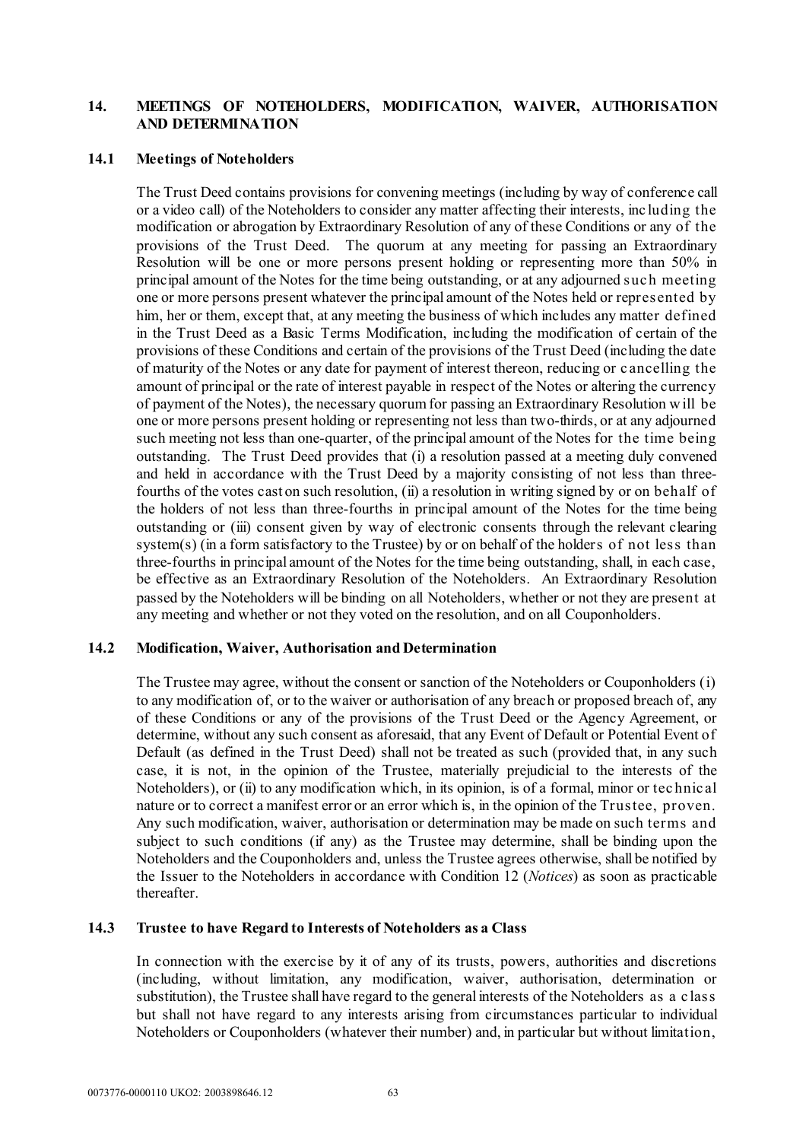# **14. MEETINGS OF NOTEHOLDERS, MODIFICATION, WAIVER, AUTHORISATION AND DETERMINATION**

#### **14.1 Meetings of Noteholders**

The Trust Deed contains provisions for convening meetings (including by way of conference call or a video call) of the Noteholders to consider any matter affecting their interests, inc luding the modification or abrogation by Extraordinary Resolution of any of these Conditions or any of the provisions of the Trust Deed. The quorum at any meeting for passing an Extraordinary Resolution will be one or more persons present holding or representing more than 50% in principal amount of the Notes for the time being outstanding, or at any adjourned suc h meeting one or more persons present whatever the principal amount of the Notes held or represented by him, her or them, except that, at any meeting the business of which includes any matter defined in the Trust Deed as a Basic Terms Modification, including the modification of certain of the provisions of these Conditions and certain of the provisions of the Trust Deed (including the date of maturity of the Notes or any date for payment of interest thereon, reducing or c ancelling the amount of principal or the rate of interest payable in respect of the Notes or altering the currency of payment of the Notes), the necessary quorum for passing an Extraordinary Resolution w ill be one or more persons present holding or representing not less than two-thirds, or at any adjourned such meeting not less than one-quarter, of the principal amount of the Notes for the time being outstanding. The Trust Deed provides that (i) a resolution passed at a meeting duly convened and held in accordance with the Trust Deed by a majority consisting of not less than threefourths of the votes cast on such resolution, (ii) a resolution in writing signed by or on behalf of the holders of not less than three-fourths in principal amount of the Notes for the time being outstanding or (iii) consent given by way of electronic consents through the relevant clearing system(s) (in a form satisfactory to the Trustee) by or on behalf of the holders of not less than three-fourths in principal amount of the Notes for the time being outstanding, shall, in each case, be effective as an Extraordinary Resolution of the Noteholders. An Extraordinary Resolution passed by the Noteholders will be binding on all Noteholders, whether or not they are present at any meeting and whether or not they voted on the resolution, and on all Couponholders.

### **14.2 Modification, Waiver, Authorisation and Determination**

The Trustee may agree, without the consent or sanction of the Noteholders or Couponholders (i) to any modification of, or to the waiver or authorisation of any breach or proposed breach of, any of these Conditions or any of the provisions of the Trust Deed or the Agency Agreement, or determine, without any such consent as aforesaid, that any Event of Default or Potential Event of Default (as defined in the Trust Deed) shall not be treated as such (provided that, in any such case, it is not, in the opinion of the Trustee, materially prejudicial to the interests of the Noteholders), or (ii) to any modification which, in its opinion, is of a formal, minor or tec hnic al nature or to correct a manifest error or an error which is, in the opinion of the Trustee, proven. Any such modification, waiver, authorisation or determination may be made on such terms and subject to such conditions (if any) as the Trustee may determine, shall be binding upon the Noteholders and the Couponholders and, unless the Trustee agrees otherwise, shall be notified by the Issuer to the Noteholders in accordance with Condition [12](#page-63-0) (*[Notices](#page-63-0)*) as soon as practicable thereafter.

#### **14.3 Trustee to have Regard to Interests of Noteholders as a Class**

In connection with the exercise by it of any of its trusts, powers, authorities and discretions (including, without limitation, any modification, waiver, authorisation, determination or substitution), the Trustee shall have regard to the general interests of the Noteholders as a c lass but shall not have regard to any interests arising from circumstances particular to individual Noteholders or Couponholders (whatever their number) and, in particular but without limitation,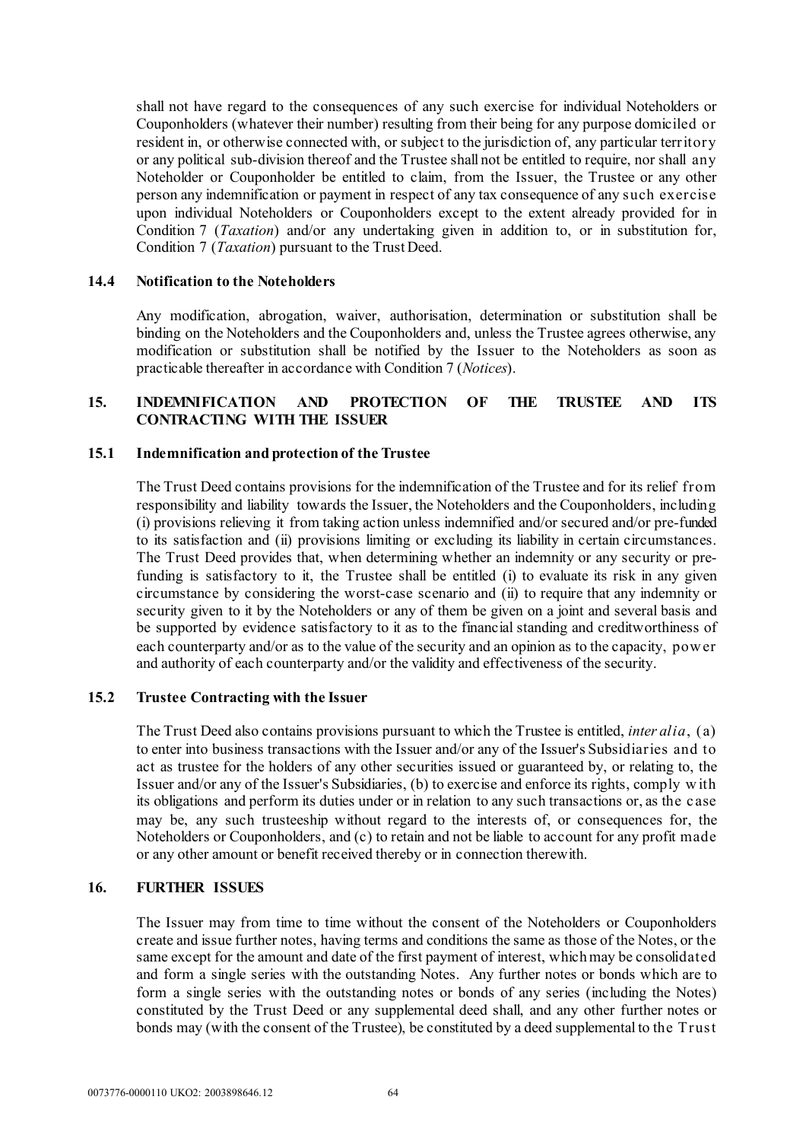shall not have regard to the consequences of any such exercise for individual Noteholders or Couponholders (whatever their number) resulting from their being for any purpose domiciled or resident in, or otherwise connected with, or subject to the jurisdiction of, any particular territory or any political sub-division thereof and the Trustee shall not be entitled to require, nor shall any Noteholder or Couponholder be entitled to claim, from the Issuer, the Trustee or any other person any indemnification or payment in respect of any tax consequence of any such exercise upon individual Noteholders or Couponholders except to the extent already provided for in Condition [7](#page-60-0) (*[Taxation](#page-60-0)*) and/or any undertaking given in addition to, or in substitution for, Condition [7](#page-60-0) (*[Taxation](#page-60-0)*) pursuant to the Trust Deed.

#### **14.4 Notification to the Noteholders**

Any modification, abrogation, waiver, authorisation, determination or substitution shall be binding on the Noteholders and the Couponholders and, unless the Trustee agrees otherwise, any modification or substitution shall be notified by the Issuer to the Noteholders as soon as practicable thereafter in accordance with Conditio[n 7](#page-60-0) (*[Notices](#page-63-0)*).

## **15. INDEMNIFICATION AND PROTECTION OF THE TRUSTEE AND ITS CONTRACTING WITH THE ISSUER**

#### **15.1 Indemnification and protection of the Trustee**

The Trust Deed contains provisions for the indemnification of the Trustee and for its relief from responsibility and liability towards the Issuer, the Noteholders and the Couponholders, including (i) provisions relieving it from taking action unless indemnified and/or secured and/or pre-funded to its satisfaction and (ii) provisions limiting or excluding its liability in certain circumstances. The Trust Deed provides that, when determining whether an indemnity or any security or prefunding is satisfactory to it, the Trustee shall be entitled (i) to evaluate its risk in any given circumstance by considering the worst-case scenario and (ii) to require that any indemnity or security given to it by the Noteholders or any of them be given on a joint and several basis and be supported by evidence satisfactory to it as to the financial standing and creditworthiness of each counterparty and/or as to the value of the security and an opinion as to the capacity, pow er and authority of each counterparty and/or the validity and effectiveness of the security.

### **15.2 Trustee Contracting with the Issuer**

The Trust Deed also contains provisions pursuant to which the Trustee is entitled, *inter alia*, (a) to enter into business transactions with the Issuer and/or any of the Issuer's Subsidiaries and to act as trustee for the holders of any other securities issued or guaranteed by, or relating to, the Issuer and/or any of the Issuer's Subsidiaries, (b) to exercise and enforce its rights, comply with its obligations and perform its duties under or in relation to any such transactions or, as the c ase may be, any such trusteeship without regard to the interests of, or consequences for, the Noteholders or Couponholders, and (c) to retain and not be liable to account for any profit made or any other amount or benefit received thereby or in connection therewith.

### <span id="page-65-0"></span>**16. FURTHER ISSUES**

The Issuer may from time to time without the consent of the Noteholders or Couponholders create and issue further notes, having terms and conditions the same as those of the Notes, or the same except for the amount and date of the first payment of interest, which may be consolidated and form a single series with the outstanding Notes. Any further notes or bonds which are to form a single series with the outstanding notes or bonds of any series (including the Notes) constituted by the Trust Deed or any supplemental deed shall, and any other further notes or bonds may (with the consent of the Trustee), be constituted by a deed supplemental to the Trust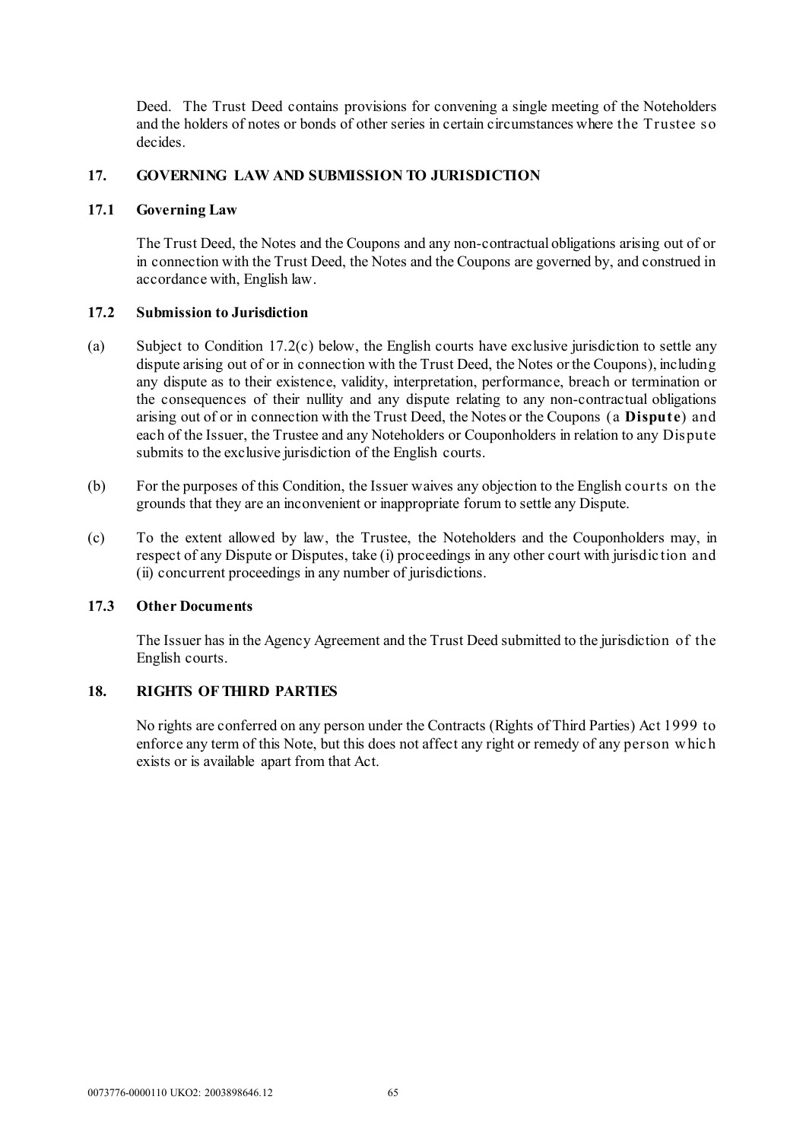Deed. The Trust Deed contains provisions for convening a single meeting of the Noteholders and the holders of notes or bonds of other series in certain circumstances where the Trustee so decides.

### **17. GOVERNING LAW AND SUBMISSION TO JURISDICTION**

### **17.1 Governing Law**

The Trust Deed, the Notes and the Coupons and any non-contractual obligations arising out of or in connection with the Trust Deed, the Notes and the Coupons are governed by, and construed in accordance with, English law.

# **17.2 Submission to Jurisdiction**

- (a) Subject to Condition [17.2\(c\) below](#page-66-0), the English courts have exclusive jurisdiction to settle any dispute arising out of or in connection with the Trust Deed, the Notes or the Coupons), including any dispute as to their existence, validity, interpretation, performance, breach or termination or the consequences of their nullity and any dispute relating to any non-contractual obligations arising out of or in connection with the Trust Deed, the Notes or the Coupons (a **Dispute**) and each of the Issuer, the Trustee and any Noteholders or Couponholders in relation to any Dispute submits to the exclusive jurisdiction of the English courts.
- (b) For the purposes of this Condition, the Issuer waives any objection to the English courts on the grounds that they are an inconvenient or inappropriate forum to settle any Dispute.
- <span id="page-66-0"></span>(c) To the extent allowed by law, the Trustee, the Noteholders and the Couponholders may, in respect of any Dispute or Disputes, take (i) proceedings in any other court with jurisdic tion and (ii) concurrent proceedings in any number of jurisdictions.

### **17.3 Other Documents**

The Issuer has in the Agency Agreement and the Trust Deed submitted to the jurisdiction of the English courts.

# **18. RIGHTS OF THIRD PARTIES**

No rights are conferred on any person under the Contracts (Rights of Third Parties) Act 1999 to enforce any term of this Note, but this does not affect any right or remedy of any person w hic h exists or is available apart from that Act.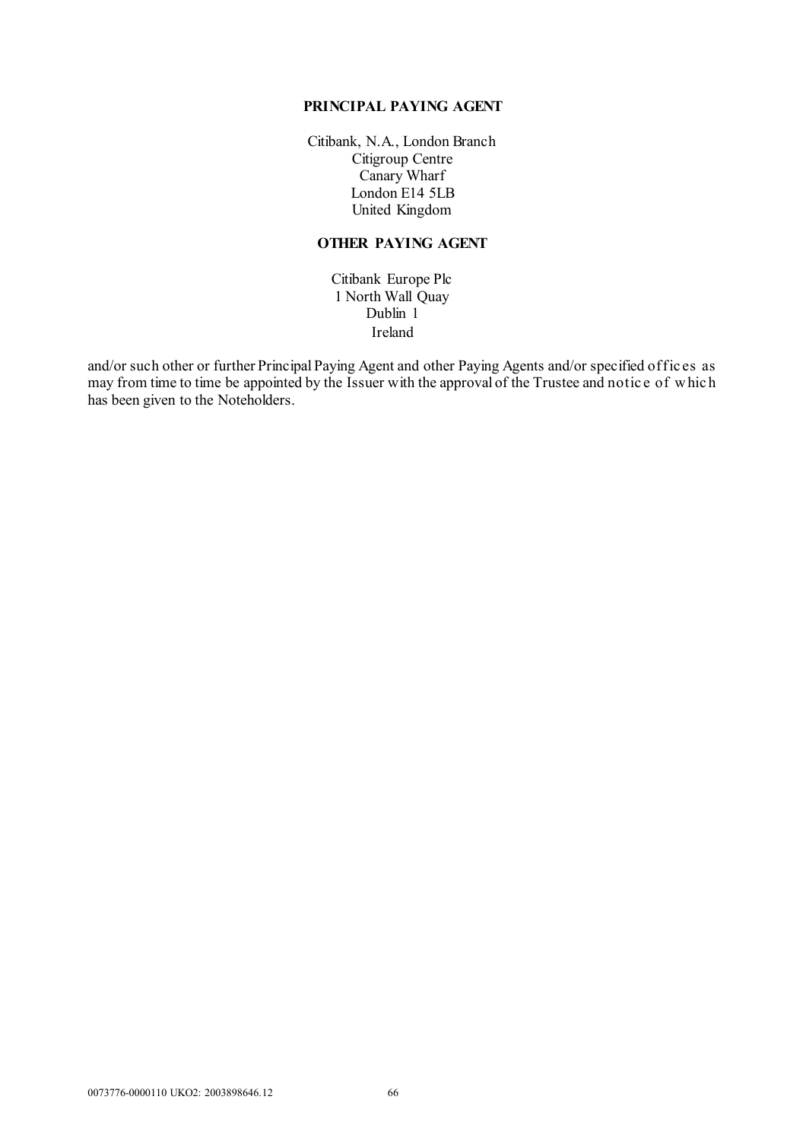#### **PRINCIPAL PAYING AGENT**

Citibank, N.A., London Branch Citigroup Centre Canary Wharf London E14 5LB United Kingdom

# **OTHER PAYING AGENT**

Citibank Europe Plc 1 North Wall Quay Dublin 1 Ireland

and/or such other or further Principal Paying Agent and other Paying Agents and/or specified offices as may from time to time be appointed by the Issuer with the approval of the Trustee and notic e of w hic h has been given to the Noteholders.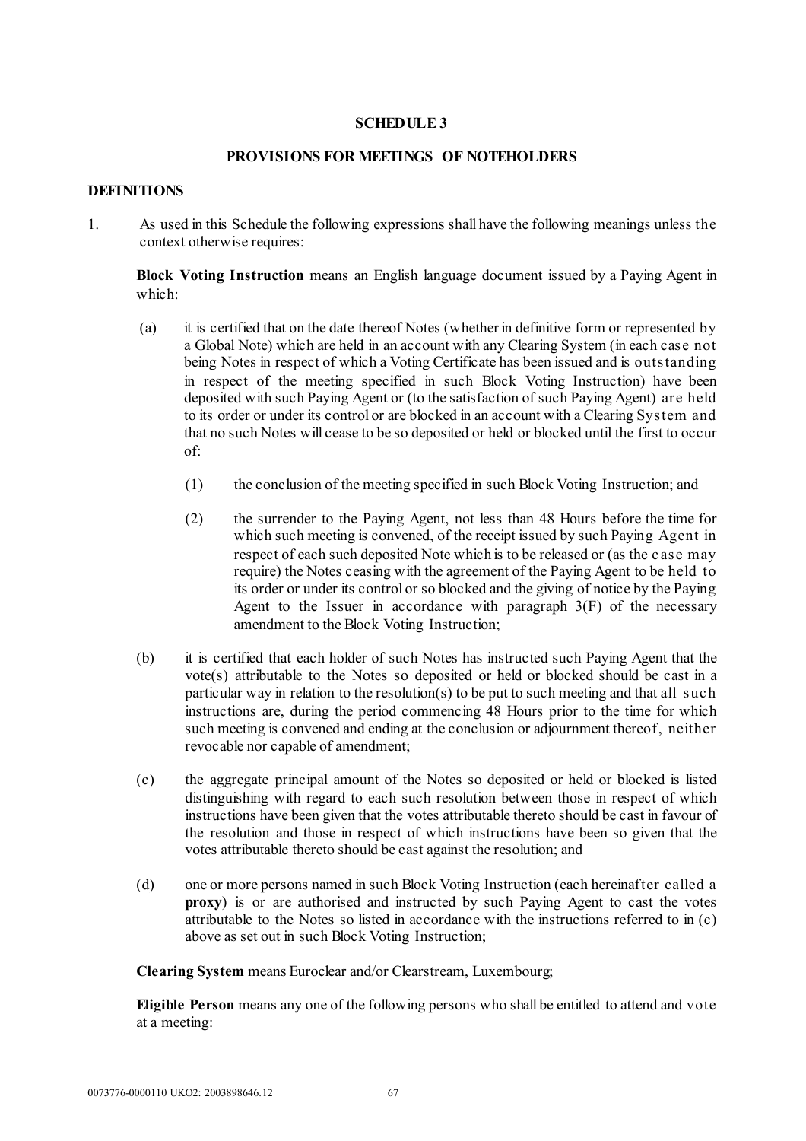## **SCHEDULE 3**

### **PROVISIONS FOR MEETINGS OF NOTEHOLDERS**

#### **DEFINITIONS**

1. As used in this Schedule the following expressions shall have the following meanings unless the context otherwise requires:

**Block Voting Instruction** means an English language document issued by a Paying Agent in which:

- (a) it is certified that on the date thereof Notes (whether in definitive form or represented by a Global Note) which are held in an account with any Clearing System (in each case not being Notes in respect of which a Voting Certificate has been issued and is outstanding in respect of the meeting specified in such Block Voting Instruction) have been deposited with such Paying Agent or (to the satisfaction of such Paying Agent) are held to its order or under its control or are blocked in an account with a Clearing System and that no such Notes will cease to be so deposited or held or blocked until the first to occur of:
	- (1) the conclusion of the meeting specified in such Block Voting Instruction; and
	- (2) the surrender to the Paying Agent, not less than 48 Hours before the time for which such meeting is convened, of the receipt issued by such Paying Agent in respect of each such deposited Note which is to be released or (as the c ase may require) the Notes ceasing with the agreement of the Paying Agent to be held to its order or under its control or so blocked and the giving of notice by the Paying Agent to the Issuer in accordance with paragraph  $3(F)$  of the necessary amendment to the Block Voting Instruction;
- (b) it is certified that each holder of such Notes has instructed such Paying Agent that the vote(s) attributable to the Notes so deposited or held or blocked should be cast in a particular way in relation to the resolution(s) to be put to such meeting and that all such instructions are, during the period commencing 48 Hours prior to the time for which such meeting is convened and ending at the conclusion or adjournment thereof, neither revocable nor capable of amendment;
- (c) the aggregate principal amount of the Notes so deposited or held or blocked is listed distinguishing with regard to each such resolution between those in respect of which instructions have been given that the votes attributable thereto should be cast in favour of the resolution and those in respect of which instructions have been so given that the votes attributable thereto should be cast against the resolution; and
- (d) one or more persons named in such Block Voting Instruction (each hereinafter called a **proxy**) is or are authorised and instructed by such Paying Agent to cast the votes attributable to the Notes so listed in accordance with the instructions referred to in (c) above as set out in such Block Voting Instruction;

**Clearing System** means Euroclear and/or Clearstream, Luxembourg;

**Eligible Person** means any one of the following persons who shall be entitled to attend and vote at a meeting: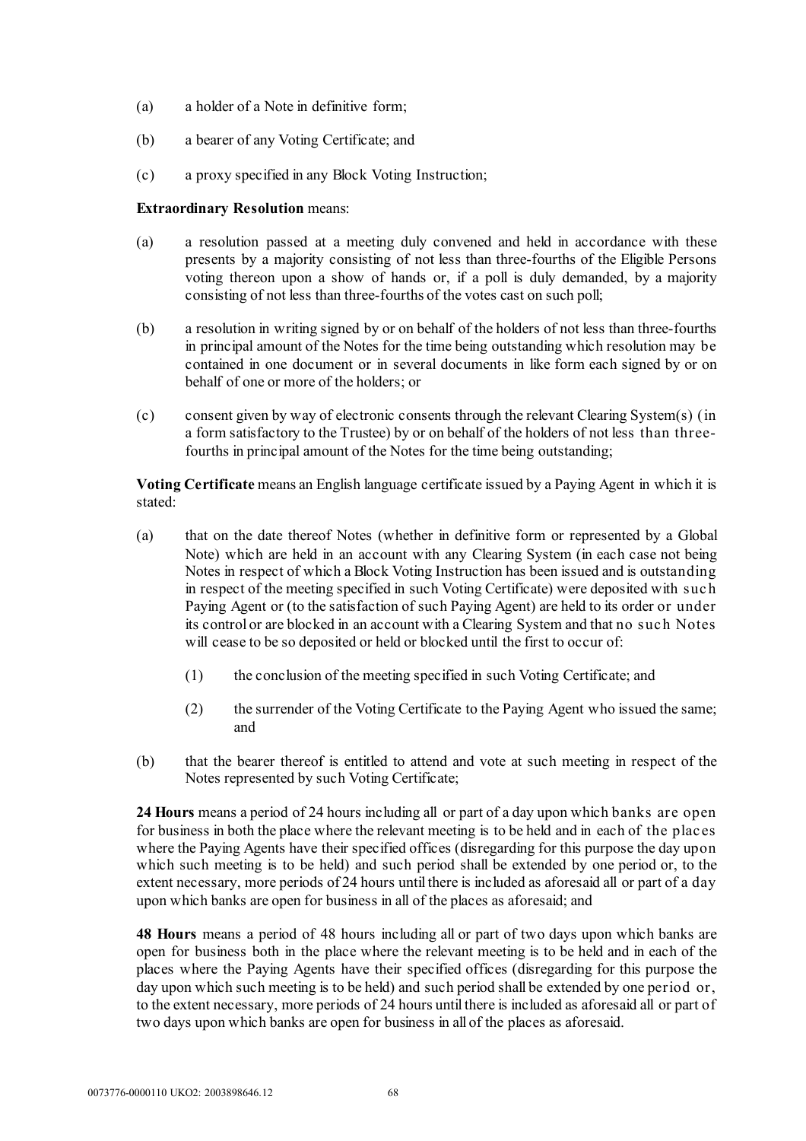- (a) a holder of a Note in definitive form;
- (b) a bearer of any Voting Certificate; and
- (c) a proxy specified in any Block Voting Instruction;

## **Extraordinary Resolution** means:

- (a) a resolution passed at a meeting duly convened and held in accordance with these presents by a majority consisting of not less than three-fourths of the Eligible Persons voting thereon upon a show of hands or, if a poll is duly demanded, by a majority consisting of not less than three-fourths of the votes cast on such poll;
- (b) a resolution in writing signed by or on behalf of the holders of not less than three-fourths in principal amount of the Notes for the time being outstanding which resolution may be contained in one document or in several documents in like form each signed by or on behalf of one or more of the holders; or
- (c) consent given by way of electronic consents through the relevant Clearing System(s) (in a form satisfactory to the Trustee) by or on behalf of the holders of not less than threefourths in principal amount of the Notes for the time being outstanding;

**Voting Certificate** means an English language certificate issued by a Paying Agent in which it is stated:

- (a) that on the date thereof Notes (whether in definitive form or represented by a Global Note) which are held in an account with any Clearing System (in each case not being Notes in respect of which a Block Voting Instruction has been issued and is outstanding in respect of the meeting specified in such Voting Certificate) were deposited with suc h Paying Agent or (to the satisfaction of such Paying Agent) are held to its order or under its control or are blocked in an account with a Clearing System and that no suc h Notes will cease to be so deposited or held or blocked until the first to occur of:
	- (1) the conclusion of the meeting specified in such Voting Certificate; and
	- (2) the surrender of the Voting Certificate to the Paying Agent who issued the same; and
- (b) that the bearer thereof is entitled to attend and vote at such meeting in respect of the Notes represented by such Voting Certificate;

**24 Hours** means a period of 24 hours including all or part of a day upon which banks are open for business in both the place where the relevant meeting is to be held and in each of the plac es where the Paying Agents have their specified offices (disregarding for this purpose the day upon which such meeting is to be held) and such period shall be extended by one period or, to the extent necessary, more periods of 24 hours until there is included as aforesaid all or part of a day upon which banks are open for business in all of the places as aforesaid; and

**48 Hours** means a period of 48 hours including all or part of two days upon which banks are open for business both in the place where the relevant meeting is to be held and in each of the places where the Paying Agents have their specified offices (disregarding for this purpose the day upon which such meeting is to be held) and such period shall be extended by one period or, to the extent necessary, more periods of 24 hours until there is included as aforesaid all or part of two days upon which banks are open for business in all of the places as aforesaid.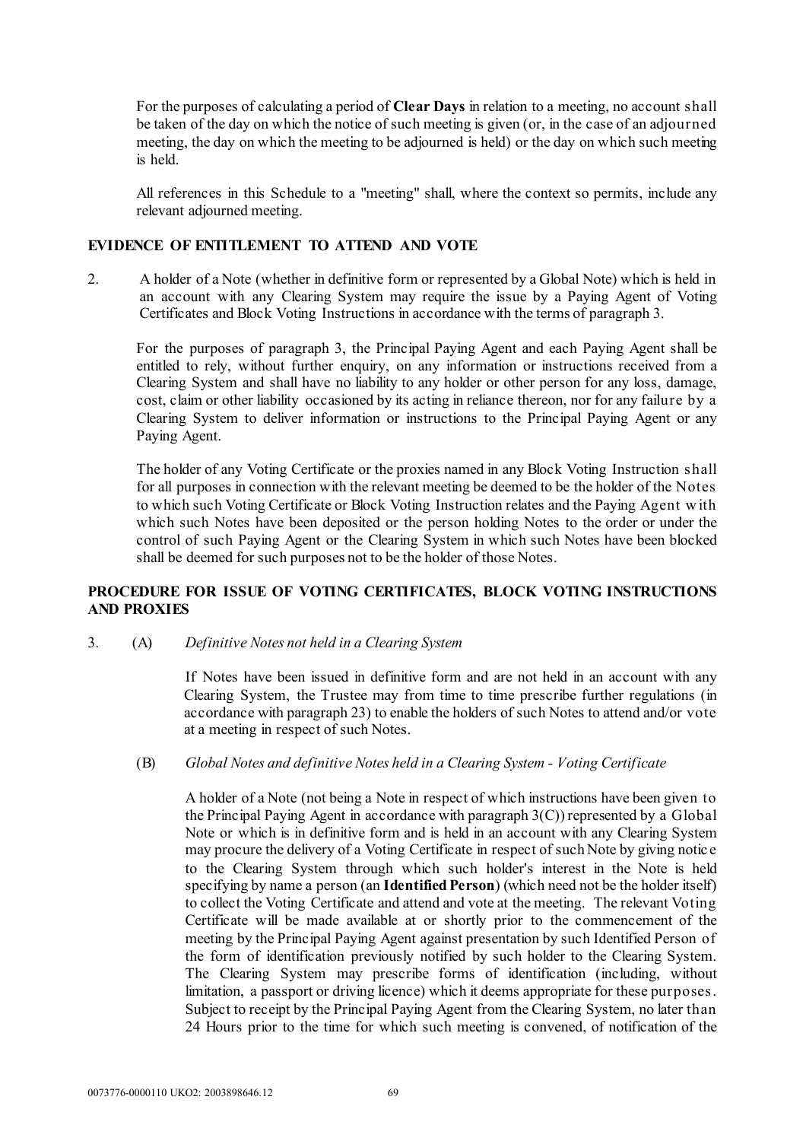For the purposes of calculating a period of **Clear Days** in relation to a meeting, no account shall be taken of the day on which the notice of such meeting is given (or, in the case of an adjourned meeting, the day on which the meeting to be adjourned is held) or the day on which such meeting is held.

All references in this Schedule to a "meeting" shall, where the context so permits, include any relevant adjourned meeting.

## **EVIDENCE OF ENTITLEMENT TO ATTEND AND VOTE**

2. A holder of a Note (whether in definitive form or represented by a Global Note) which is held in an account with any Clearing System may require the issue by a Paying Agent of Voting Certificates and Block Voting Instructions in accordance with the terms of paragraph 3.

For the purposes of paragraph 3, the Principal Paying Agent and each Paying Agent shall be entitled to rely, without further enquiry, on any information or instructions received from a Clearing System and shall have no liability to any holder or other person for any loss, damage, cost, claim or other liability occasioned by its acting in reliance thereon, nor for any failure by a Clearing System to deliver information or instructions to the Principal Paying Agent or any Paying Agent.

The holder of any Voting Certificate or the proxies named in any Block Voting Instruction shall for all purposes in connection with the relevant meeting be deemed to be the holder of the Notes to which such Voting Certificate or Block Voting Instruction relates and the Paying Agent w ith which such Notes have been deposited or the person holding Notes to the order or under the control of such Paying Agent or the Clearing System in which such Notes have been blocked shall be deemed for such purposes not to be the holder of those Notes.

# **PROCEDURE FOR ISSUE OF VOTING CERTIFICATES, BLOCK VOTING INSTRUCTIONS AND PROXIES**

3. (A) *Definitive Notes not held in a Clearing System*

If Notes have been issued in definitive form and are not held in an account with any Clearing System, the Trustee may from time to time prescribe further regulations (in accordance with paragraph 23) to enable the holders of such Notes to attend and/or vote at a meeting in respect of such Notes.

### (B) *Global Notes and definitive Notes held in a Clearing System - Voting Certificate*

A holder of a Note (not being a Note in respect of which instructions have been given to the Principal Paying Agent in accordance with paragraph 3(C)) represented by a Global Note or which is in definitive form and is held in an account with any Clearing System may procure the delivery of a Voting Certificate in respect of such Note by giving notic e to the Clearing System through which such holder's interest in the Note is held specifying by name a person (an **Identified Person**) (which need not be the holder itself) to collect the Voting Certificate and attend and vote at the meeting. The relevant Voting Certificate will be made available at or shortly prior to the commencement of the meeting by the Principal Paying Agent against presentation by such Identified Person of the form of identification previously notified by such holder to the Clearing System. The Clearing System may prescribe forms of identification (including, without limitation, a passport or driving licence) which it deems appropriate for these purposes. Subject to receipt by the Principal Paying Agent from the Clearing System, no later than 24 Hours prior to the time for which such meeting is convened, of notification of the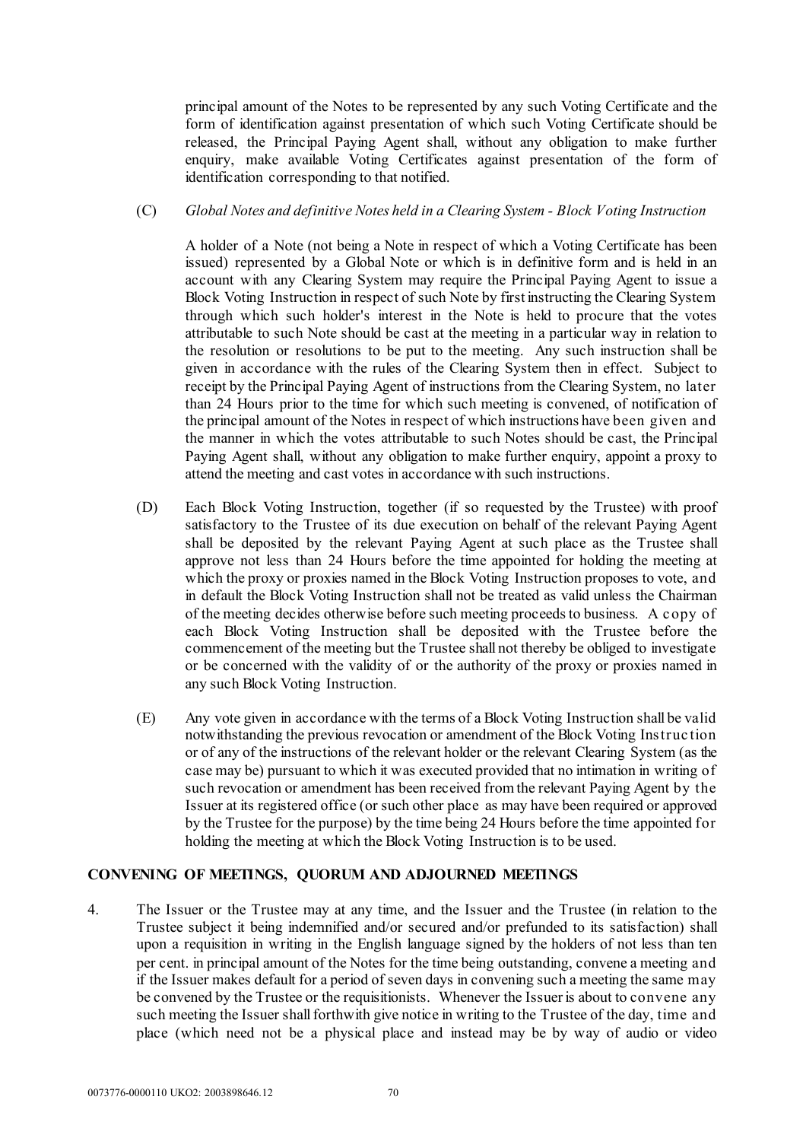principal amount of the Notes to be represented by any such Voting Certificate and the form of identification against presentation of which such Voting Certificate should be released, the Principal Paying Agent shall, without any obligation to make further enquiry, make available Voting Certificates against presentation of the form of identification corresponding to that notified.

## (C) *Global Notes and definitive Notes held in a Clearing System - Block Voting Instruction*

A holder of a Note (not being a Note in respect of which a Voting Certificate has been issued) represented by a Global Note or which is in definitive form and is held in an account with any Clearing System may require the Principal Paying Agent to issue a Block Voting Instruction in respect of such Note by first instructing the Clearing System through which such holder's interest in the Note is held to procure that the votes attributable to such Note should be cast at the meeting in a particular way in relation to the resolution or resolutions to be put to the meeting. Any such instruction shall be given in accordance with the rules of the Clearing System then in effect. Subject to receipt by the Principal Paying Agent of instructions from the Clearing System, no later than 24 Hours prior to the time for which such meeting is convened, of notification of the principal amount of the Notes in respect of which instructions have been given and the manner in which the votes attributable to such Notes should be cast, the Principal Paying Agent shall, without any obligation to make further enquiry, appoint a proxy to attend the meeting and cast votes in accordance with such instructions.

- (D) Each Block Voting Instruction, together (if so requested by the Trustee) with proof satisfactory to the Trustee of its due execution on behalf of the relevant Paying Agent shall be deposited by the relevant Paying Agent at such place as the Trustee shall approve not less than 24 Hours before the time appointed for holding the meeting at which the proxy or proxies named in the Block Voting Instruction proposes to vote, and in default the Block Voting Instruction shall not be treated as valid unless the Chairman of the meeting decides otherwise before such meeting proceeds to business. A copy of each Block Voting Instruction shall be deposited with the Trustee before the commencement of the meeting but the Trustee shall not thereby be obliged to investigate or be concerned with the validity of or the authority of the proxy or proxies named in any such Block Voting Instruction.
- (E) Any vote given in accordance with the terms of a Block Voting Instruction shall be valid notwithstanding the previous revocation or amendment of the Block Voting Instruc tion or of any of the instructions of the relevant holder or the relevant Clearing System (as the case may be) pursuant to which it was executed provided that no intimation in writing of such revocation or amendment has been received from the relevant Paying Agent by the Issuer at its registered office (or such other place as may have been required or approved by the Trustee for the purpose) by the time being 24 Hours before the time appointed for holding the meeting at which the Block Voting Instruction is to be used.

# **CONVENING OF MEETINGS, QUORUM AND ADJOURNED MEETINGS**

4. The Issuer or the Trustee may at any time, and the Issuer and the Trustee (in relation to the Trustee subject it being indemnified and/or secured and/or prefunded to its satisfaction) shall upon a requisition in writing in the English language signed by the holders of not less than ten per cent. in principal amount of the Notes for the time being outstanding, convene a meeting and if the Issuer makes default for a period of seven days in convening such a meeting the same may be convened by the Trustee or the requisitionists. Whenever the Issuer is about to convene any such meeting the Issuer shall forthwith give notice in writing to the Trustee of the day, time and place (which need not be a physical place and instead may be by way of audio or video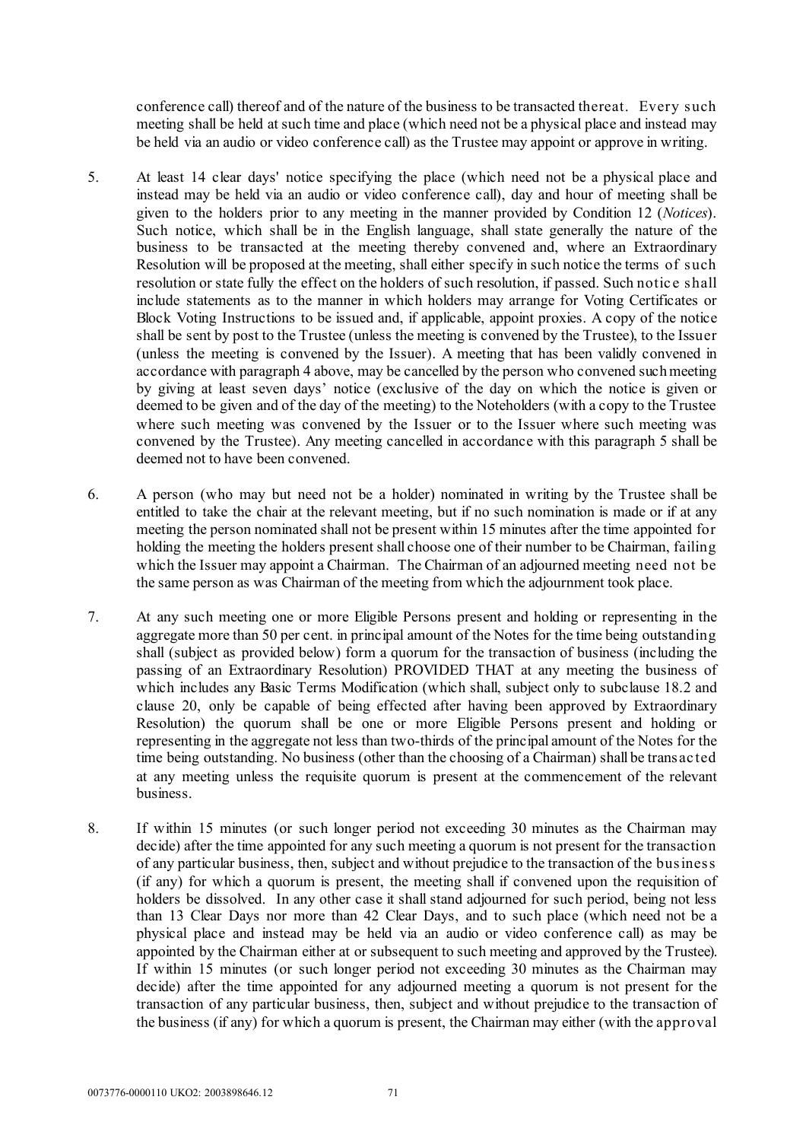conference call) thereof and of the nature of the business to be transacted thereat. Every such meeting shall be held at such time and place (which need not be a physical place and instead may be held via an audio or video conference call) as the Trustee may appoint or approve in writing.

- 5. At least 14 clear days' notice specifying the place (which need not be a physical place and instead may be held via an audio or video conference call), day and hour of meeting shall be given to the holders prior to any meeting in the manner provided by Condition 12 (*Notices*). Such notice, which shall be in the English language, shall state generally the nature of the business to be transacted at the meeting thereby convened and, where an Extraordinary Resolution will be proposed at the meeting, shall either specify in such notice the terms of such resolution or state fully the effect on the holders of such resolution, if passed. Such notic e shall include statements as to the manner in which holders may arrange for Voting Certificates or Block Voting Instructions to be issued and, if applicable, appoint proxies. A copy of the notice shall be sent by post to the Trustee (unless the meeting is convened by the Trustee), to the Issuer (unless the meeting is convened by the Issuer). A meeting that has been validly convened in accordance with paragrap[h 4 above,](#page-71-0) may be cancelled by the person who convened such meeting by giving at least seven days' notice (exclusive of the day on which the notice is given or deemed to be given and of the day of the meeting) to the Noteholders (with a copy to the Trustee where such meeting was convened by the Issuer or to the Issuer where such meeting was convened by the Trustee). Any meeting cancelled in accordance with this paragraph 5 shall be deemed not to have been convened.
- 6. A person (who may but need not be a holder) nominated in writing by the Trustee shall be entitled to take the chair at the relevant meeting, but if no such nomination is made or if at any meeting the person nominated shall not be present within 15 minutes after the time appointed for holding the meeting the holders present shall choose one of their number to be Chairman, failing which the Issuer may appoint a Chairman. The Chairman of an adjourned meeting need not be the same person as was Chairman of the meeting from which the adjournment took place.
- 7. At any such meeting one or more Eligible Persons present and holding or representing in the aggregate more than 50 per cent. in principal amount of the Notes for the time being outstanding shall (subject as provided below) form a quorum for the transaction of business (including the passing of an Extraordinary Resolution) PROVIDED THAT at any meeting the business of which includes any Basic Terms Modification (which shall, subject only to subclause [18.2](#page-27-0) and clause [20,](#page-28-0) only be capable of being effected after having been approved by Extraordinary Resolution) the quorum shall be one or more Eligible Persons present and holding or representing in the aggregate not less than two-thirds of the principal amount of the Notes for the time being outstanding. No business (other than the choosing of a Chairman) shall be transac ted at any meeting unless the requisite quorum is present at the commencement of the relevant business.
- 8. If within 15 minutes (or such longer period not exceeding 30 minutes as the Chairman may decide) after the time appointed for any such meeting a quorum is not present for the transaction of any particular business, then, subject and without prejudice to the transaction of the business (if any) for which a quorum is present, the meeting shall if convened upon the requisition of holders be dissolved. In any other case it shall stand adjourned for such period, being not less than 13 Clear Days nor more than 42 Clear Days, and to such place (which need not be a physical place and instead may be held via an audio or video conference call) as may be appointed by the Chairman either at or subsequent to such meeting and approved by the Trustee). If within 15 minutes (or such longer period not exceeding 30 minutes as the Chairman may decide) after the time appointed for any adjourned meeting a quorum is not present for the transaction of any particular business, then, subject and without prejudice to the transaction of the business (if any) for which a quorum is present, the Chairman may either (with the approval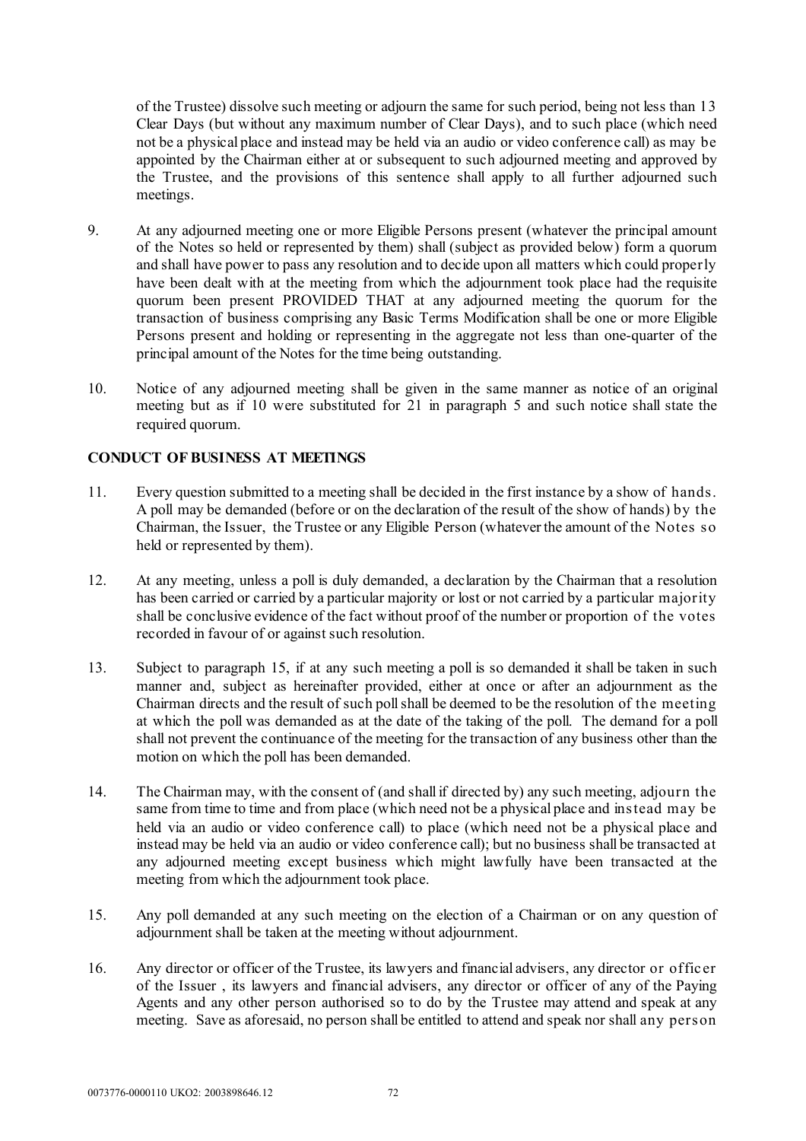of the Trustee) dissolve such meeting or adjourn the same for such period, being not less than 13 Clear Days (but without any maximum number of Clear Days), and to such place (which need not be a physical place and instead may be held via an audio or video conference call) as may be appointed by the Chairman either at or subsequent to such adjourned meeting and approved by the Trustee, and the provisions of this sentence shall apply to all further adjourned such meetings.

- 9. At any adjourned meeting one or more Eligible Persons present (whatever the principal amount of the Notes so held or represented by them) shall (subject as provided below) form a quorum and shall have power to pass any resolution and to decide upon all matters which could properly have been dealt with at the meeting from which the adjournment took place had the requisite quorum been present PROVIDED THAT at any adjourned meeting the quorum for the transaction of business comprising any Basic Terms Modification shall be one or more Eligible Persons present and holding or representing in the aggregate not less than one-quarter of the principal amount of the Notes for the time being outstanding.
- 10. Notice of any adjourned meeting shall be given in the same manner as notice of an original meeting but as if 10 were substituted for 21 in paragraph 5 and such notice shall state the required quorum.

# **CONDUCT OF BUSINESS AT MEETINGS**

- 11. Every question submitted to a meeting shall be decided in the first instance by a show of hands. A poll may be demanded (before or on the declaration of the result of the show of hands) by the Chairman, the Issuer, the Trustee or any Eligible Person (whatever the amount of the Notes so held or represented by them).
- 12. At any meeting, unless a poll is duly demanded, a declaration by the Chairman that a resolution has been carried or carried by a particular majority or lost or not carried by a particular majority shall be conclusive evidence of the fact without proof of the number or proportion of the votes recorded in favour of or against such resolution.
- 13. Subject to paragraph 15, if at any such meeting a poll is so demanded it shall be taken in such manner and, subject as hereinafter provided, either at once or after an adjournment as the Chairman directs and the result of such poll shall be deemed to be the resolution of the meeting at which the poll was demanded as at the date of the taking of the poll. The demand for a poll shall not prevent the continuance of the meeting for the transaction of any business other than the motion on which the poll has been demanded.
- 14. The Chairman may, with the consent of (and shall if directed by) any such meeting, adjourn the same from time to time and from place (which need not be a physical place and instead may be held via an audio or video conference call) to place (which need not be a physical place and instead may be held via an audio or video conference call); but no business shall be transacted at any adjourned meeting except business which might lawfully have been transacted at the meeting from which the adjournment took place.
- 15. Any poll demanded at any such meeting on the election of a Chairman or on any question of adjournment shall be taken at the meeting without adjournment.
- 16. Any director or officer of the Trustee, its lawyers and financial advisers, any director or offic er of the Issuer , its lawyers and financial advisers, any director or officer of any of the Paying Agents and any other person authorised so to do by the Trustee may attend and speak at any meeting. Save as aforesaid, no person shall be entitled to attend and speak nor shall any person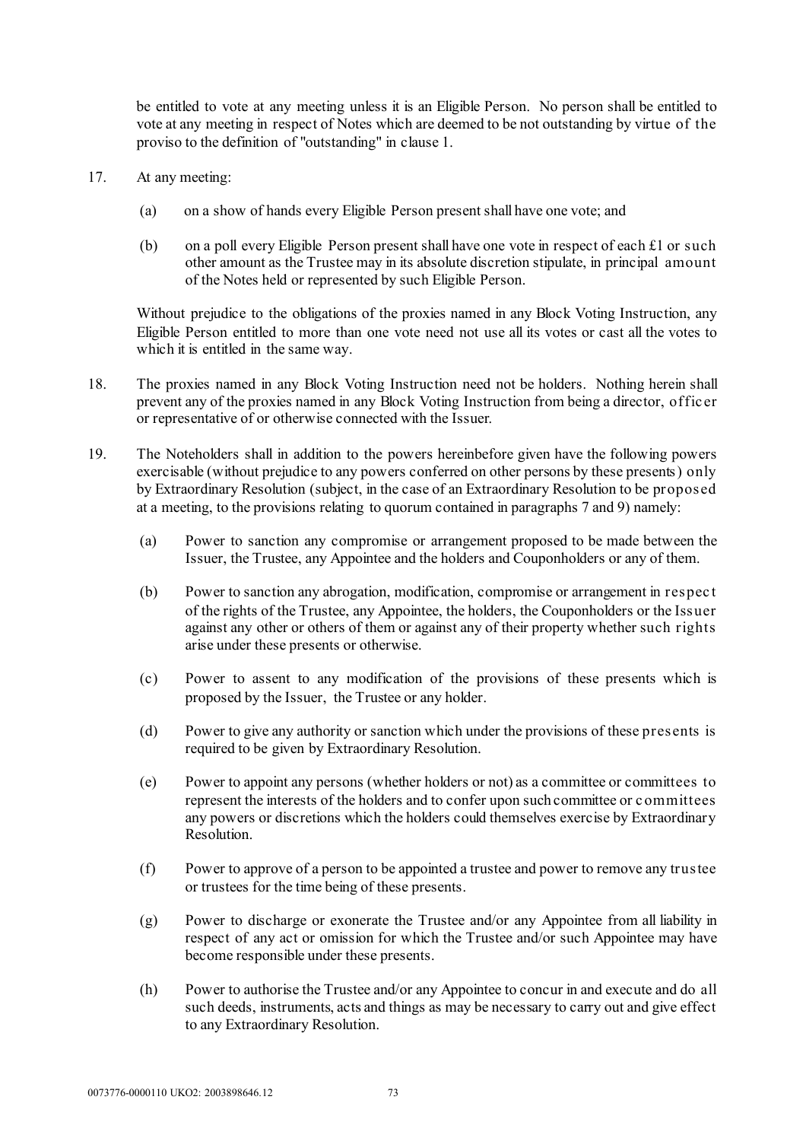be entitled to vote at any meeting unless it is an Eligible Person. No person shall be entitled to vote at any meeting in respect of Notes which are deemed to be not outstanding by virtue of the proviso to the definition of "outstanding" in clause 1.

- 17. At any meeting:
	- (a) on a show of hands every Eligible Person present shall have one vote; and
	- (b) on a poll every Eligible Person present shall have one vote in respect of each  $£1$  or such other amount as the Trustee may in its absolute discretion stipulate, in principal amount of the Notes held or represented by such Eligible Person.

Without prejudice to the obligations of the proxies named in any Block Voting Instruction, any Eligible Person entitled to more than one vote need not use all its votes or cast all the votes to which it is entitled in the same way.

- 18. The proxies named in any Block Voting Instruction need not be holders. Nothing herein shall prevent any of the proxies named in any Block Voting Instruction from being a director, offic er or representative of or otherwise connected with the Issuer.
- 19. The Noteholders shall in addition to the powers hereinbefore given have the following powers exercisable (without prejudice to any powers conferred on other persons by these presents) only by Extraordinary Resolution (subject, in the case of an Extraordinary Resolution to be proposed at a meeting, to the provisions relating to quorum contained in paragraphs 7 and 9) namely:
	- (a) Power to sanction any compromise or arrangement proposed to be made between the Issuer, the Trustee, any Appointee and the holders and Couponholders or any of them.
	- (b) Power to sanction any abrogation, modification, compromise or arrangement in respec t of the rights of the Trustee, any Appointee, the holders, the Couponholders or the Issuer against any other or others of them or against any of their property whether such rights arise under these presents or otherwise.
	- (c) Power to assent to any modification of the provisions of these presents which is proposed by the Issuer, the Trustee or any holder.
	- (d) Power to give any authority or sanction which under the provisions of these presents is required to be given by Extraordinary Resolution.
	- (e) Power to appoint any persons (whether holders or not) as a committee or committees to represent the interests of the holders and to confer upon such committee or c ommittees any powers or discretions which the holders could themselves exercise by Extraordinary Resolution.
	- (f) Power to approve of a person to be appointed a trustee and power to remove any trustee or trustees for the time being of these presents.
	- (g) Power to discharge or exonerate the Trustee and/or any Appointee from all liability in respect of any act or omission for which the Trustee and/or such Appointee may have become responsible under these presents.
	- (h) Power to authorise the Trustee and/or any Appointee to concur in and execute and do all such deeds, instruments, acts and things as may be necessary to carry out and give effect to any Extraordinary Resolution.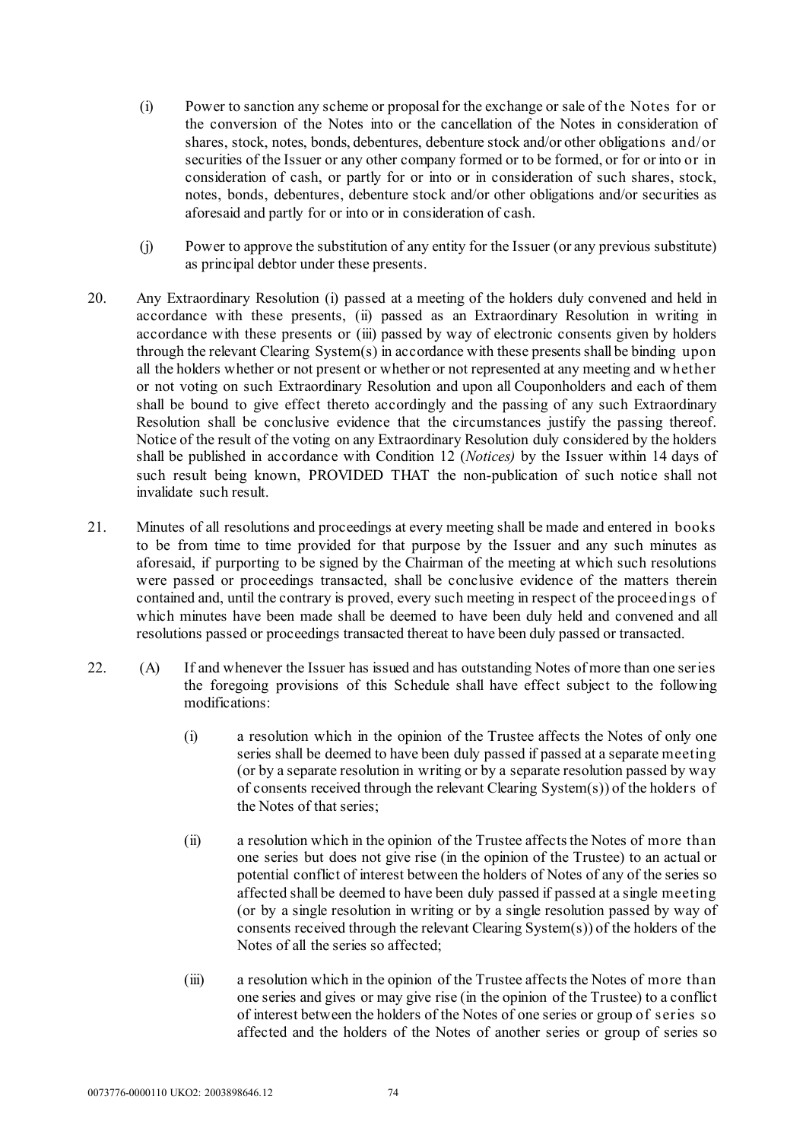- (i) Power to sanction any scheme or proposal for the exchange or sale of the Notes for or the conversion of the Notes into or the cancellation of the Notes in consideration of shares, stock, notes, bonds, debentures, debenture stock and/or other obligations and/or securities of the Issuer or any other company formed or to be formed, or for or into or in consideration of cash, or partly for or into or in consideration of such shares, stock, notes, bonds, debentures, debenture stock and/or other obligations and/or securities as aforesaid and partly for or into or in consideration of cash.
- (j) Power to approve the substitution of any entity for the Issuer (or any previous substitute) as principal debtor under these presents.
- 20. Any Extraordinary Resolution (i) passed at a meeting of the holders duly convened and held in accordance with these presents, (ii) passed as an Extraordinary Resolution in writing in accordance with these presents or (iii) passed by way of electronic consents given by holders through the relevant Clearing System(s) in accordance with these presentsshall be binding upon all the holders whether or not present or whether or not represented at any meeting and w hether or not voting on such Extraordinary Resolution and upon all Couponholders and each of them shall be bound to give effect thereto accordingly and the passing of any such Extraordinary Resolution shall be conclusive evidence that the circumstances justify the passing thereof. Notice of the result of the voting on any Extraordinary Resolution duly considered by the holders shall be published in accordance with Condition 12 (*Notices)* by the Issuer within 14 days of such result being known, PROVIDED THAT the non-publication of such notice shall not invalidate such result.
- 21. Minutes of all resolutions and proceedings at every meeting shall be made and entered in books to be from time to time provided for that purpose by the Issuer and any such minutes as aforesaid, if purporting to be signed by the Chairman of the meeting at which such resolutions were passed or proceedings transacted, shall be conclusive evidence of the matters therein contained and, until the contrary is proved, every such meeting in respect of the proceedings of which minutes have been made shall be deemed to have been duly held and convened and all resolutions passed or proceedings transacted thereat to have been duly passed or transacted.
- 22. (A) If and whenever the Issuer has issued and has outstanding Notes of more than one series the foregoing provisions of this Schedule shall have effect subject to the following modifications:
	- (i) a resolution which in the opinion of the Trustee affects the Notes of only one series shall be deemed to have been duly passed if passed at a separate meeting (or by a separate resolution in writing or by a separate resolution passed by way of consents received through the relevant Clearing System(s)) of the holders of the Notes of that series;
	- (ii) a resolution which in the opinion of the Trustee affectsthe Notes of more than one series but does not give rise (in the opinion of the Trustee) to an actual or potential conflict of interest between the holders of Notes of any of the series so affected shall be deemed to have been duly passed if passed at a single meeting (or by a single resolution in writing or by a single resolution passed by way of consents received through the relevant Clearing System(s)) of the holders of the Notes of all the series so affected;
	- (iii) a resolution which in the opinion of the Trustee affects the Notes of more than one series and gives or may give rise (in the opinion of the Trustee) to a conflict of interest between the holders of the Notes of one series or group of series so affected and the holders of the Notes of another series or group of series so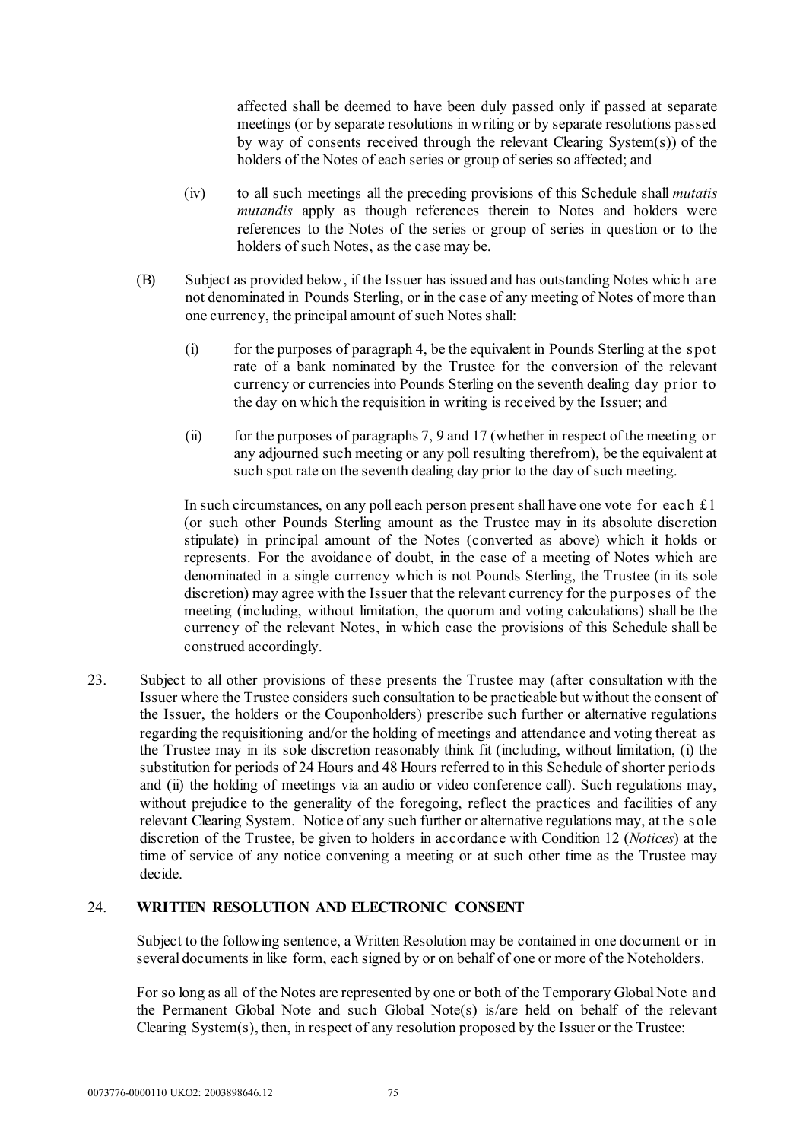affected shall be deemed to have been duly passed only if passed at separate meetings (or by separate resolutions in writing or by separate resolutions passed by way of consents received through the relevant Clearing System(s)) of the holders of the Notes of each series or group of series so affected; and

- (iv) to all such meetings all the preceding provisions of this Schedule shall *mutatis mutandis* apply as though references therein to Notes and holders were references to the Notes of the series or group of series in question or to the holders of such Notes, as the case may be.
- (B) Subject as provided below, if the Issuer has issued and has outstanding Notes whic h are not denominated in Pounds Sterling, or in the case of any meeting of Notes of more than one currency, the principal amount of such Notes shall:
	- (i) for the purposes of paragraph 4, be the equivalent in Pounds Sterling at the spot rate of a bank nominated by the Trustee for the conversion of the relevant currency or currencies into Pounds Sterling on the seventh dealing day prior to the day on which the requisition in writing is received by the Issuer; and
	- (ii) for the purposes of paragraphs 7, 9 and 17 (whether in respect of the meeting or any adjourned such meeting or any poll resulting therefrom), be the equivalent at such spot rate on the seventh dealing day prior to the day of such meeting.

In such circumstances, on any poll each person present shall have one vote for each  $\pounds 1$ (or such other Pounds Sterling amount as the Trustee may in its absolute discretion stipulate) in principal amount of the Notes (converted as above) which it holds or represents. For the avoidance of doubt, in the case of a meeting of Notes which are denominated in a single currency which is not Pounds Sterling, the Trustee (in its sole discretion) may agree with the Issuer that the relevant currency for the purposes of the meeting (including, without limitation, the quorum and voting calculations) shall be the currency of the relevant Notes, in which case the provisions of this Schedule shall be construed accordingly.

23. Subject to all other provisions of these presents the Trustee may (after consultation with the Issuer where the Trustee considers such consultation to be practicable but without the consent of the Issuer, the holders or the Couponholders) prescribe such further or alternative regulations regarding the requisitioning and/or the holding of meetings and attendance and voting thereat as the Trustee may in its sole discretion reasonably think fit (including, without limitation, (i) the substitution for periods of 24 Hours and 48 Hours referred to in this Schedule of shorter periods and (ii) the holding of meetings via an audio or video conference call). Such regulations may, without prejudice to the generality of the foregoing, reflect the practices and facilities of any relevant Clearing System. Notice of any such further or alternative regulations may, at the sole discretion of the Trustee, be given to holders in accordance with Condition 12 (*Notices*) at the time of service of any notice convening a meeting or at such other time as the Trustee may decide.

#### 24. **WRITTEN RESOLUTION AND ELECTRONIC CONSENT**

Subject to the following sentence, a Written Resolution may be contained in one document or in several documents in like form, each signed by or on behalf of one or more of the Noteholders.

For so long as all of the Notes are represented by one or both of the Temporary Global Note and the Permanent Global Note and such Global Note(s) is/are held on behalf of the relevant Clearing System(s), then, in respect of any resolution proposed by the Issuer or the Trustee: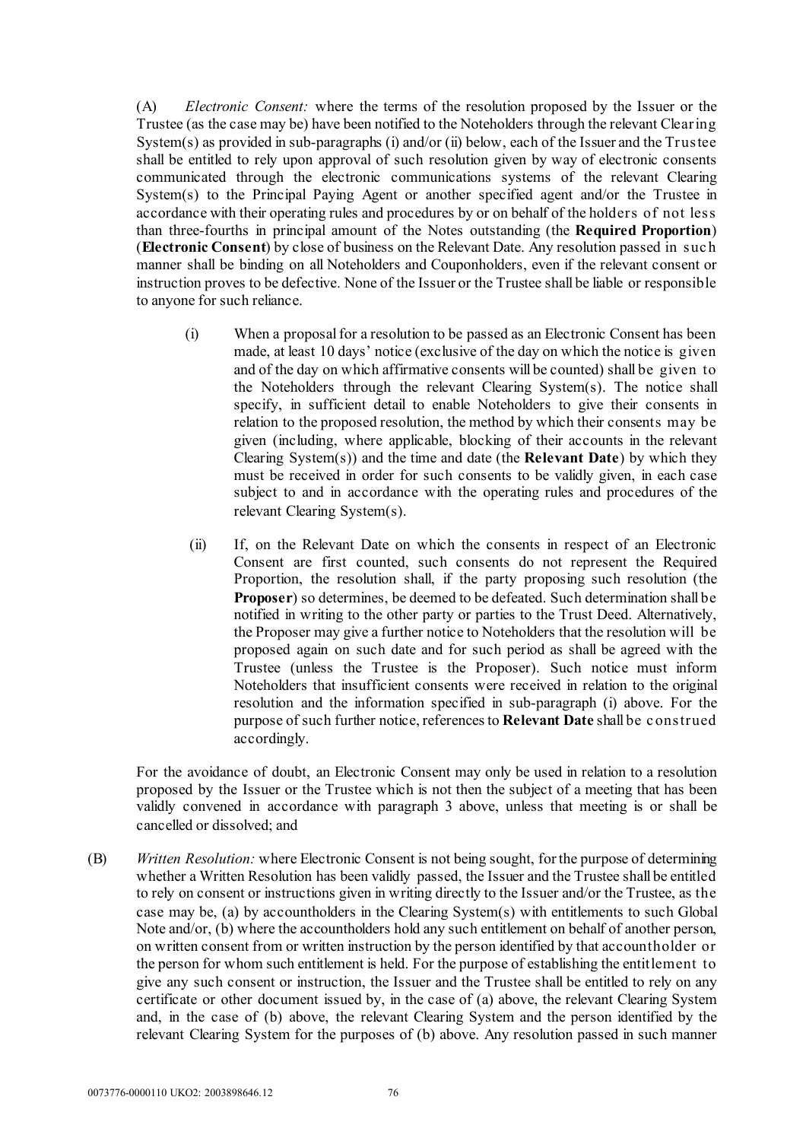(A) *Electronic Consent:* where the terms of the resolution proposed by the Issuer or the Trustee (as the case may be) have been notified to the Noteholders through the relevant Clearing System(s) as provided in sub-paragraphs (i) and/or (ii) below, each of the Issuer and the Trustee shall be entitled to rely upon approval of such resolution given by way of electronic consents communicated through the electronic communications systems of the relevant Clearing System(s) to the Principal Paying Agent or another specified agent and/or the Trustee in accordance with their operating rules and procedures by or on behalf of the holders of not less than three-fourths in principal amount of the Notes outstanding (the **Required Proportion**) (**Electronic Consent**) by close of business on the Relevant Date. Any resolution passed in suc h manner shall be binding on all Noteholders and Couponholders, even if the relevant consent or instruction proves to be defective. None of the Issuer or the Trustee shall be liable or responsible to anyone for such reliance.

- (i) When a proposal for a resolution to be passed as an Electronic Consent has been made, at least 10 days' notice (exclusive of the day on which the notice is given and of the day on which affirmative consents will be counted) shall be given to the Noteholders through the relevant Clearing System(s). The notice shall specify, in sufficient detail to enable Noteholders to give their consents in relation to the proposed resolution, the method by which their consents may be given (including, where applicable, blocking of their accounts in the relevant Clearing System(s)) and the time and date (the **Relevant Date**) by which they must be received in order for such consents to be validly given, in each case subject to and in accordance with the operating rules and procedures of the relevant Clearing System(s).
- (ii) If, on the Relevant Date on which the consents in respect of an Electronic Consent are first counted, such consents do not represent the Required Proportion, the resolution shall, if the party proposing such resolution (the **Proposer**) so determines, be deemed to be defeated. Such determination shall be notified in writing to the other party or parties to the Trust Deed. Alternatively, the Proposer may give a further notice to Noteholders that the resolution will be proposed again on such date and for such period as shall be agreed with the Trustee (unless the Trustee is the Proposer). Such notice must inform Noteholders that insufficient consents were received in relation to the original resolution and the information specified in sub-paragraph (i) above. For the purpose of such further notice, references to **Relevant Date** shall be c onstrued accordingly.

For the avoidance of doubt, an Electronic Consent may only be used in relation to a resolution proposed by the Issuer or the Trustee which is not then the subject of a meeting that has been validly convened in accordance with paragraph 3 above, unless that meeting is or shall be cancelled or dissolved; and

(B) *Written Resolution:* where Electronic Consent is not being sought, for the purpose of determining whether a Written Resolution has been validly passed, the Issuer and the Trustee shall be entitled to rely on consent or instructions given in writing directly to the Issuer and/or the Trustee, as the case may be, (a) by accountholders in the Clearing System(s) with entitlements to such Global Note and/or, (b) where the accountholders hold any such entitlement on behalf of another person, on written consent from or written instruction by the person identified by that accountholder or the person for whom such entitlement is held. For the purpose of establishing the entitlement to give any such consent or instruction, the Issuer and the Trustee shall be entitled to rely on any certificate or other document issued by, in the case of (a) above, the relevant Clearing System and, in the case of (b) above, the relevant Clearing System and the person identified by the relevant Clearing System for the purposes of (b) above. Any resolution passed in such manner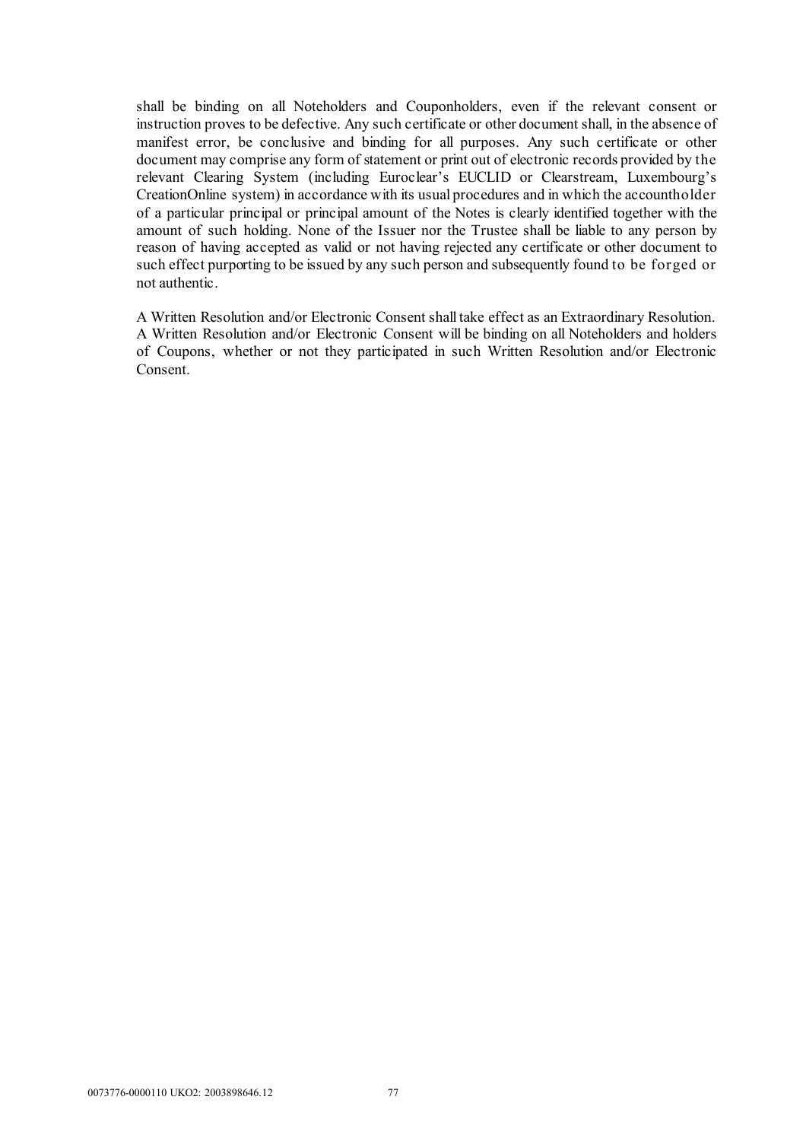shall be binding on all Noteholders and Couponholders, even if the relevant consent or instruction proves to be defective. Any such certificate or other document shall, in the absence of manifest error, be conclusive and binding for all purposes. Any such certificate or other document may comprise any form of statement or print out of electronic records provided by the relevant Clearing System (including Euroclear's EUCLID or Clearstream, Luxembourg's CreationOnline system) in accordance with its usual procedures and in which the accountholder of a particular principal or principal amount of the Notes is clearly identified together with the amount of such holding. None of the Issuer nor the Trustee shall be liable to any person by reason of having accepted as valid or not having rejected any certificate or other document to such effect purporting to be issued by any such person and subsequently found to be forged or not authentic.

A Written Resolution and/or Electronic Consent shall take effect as an Extraordinary Resolution. A Written Resolution and/or Electronic Consent will be binding on all Noteholders and holders of Coupons, whether or not they participated in such Written Resolution and/or Electronic Consent.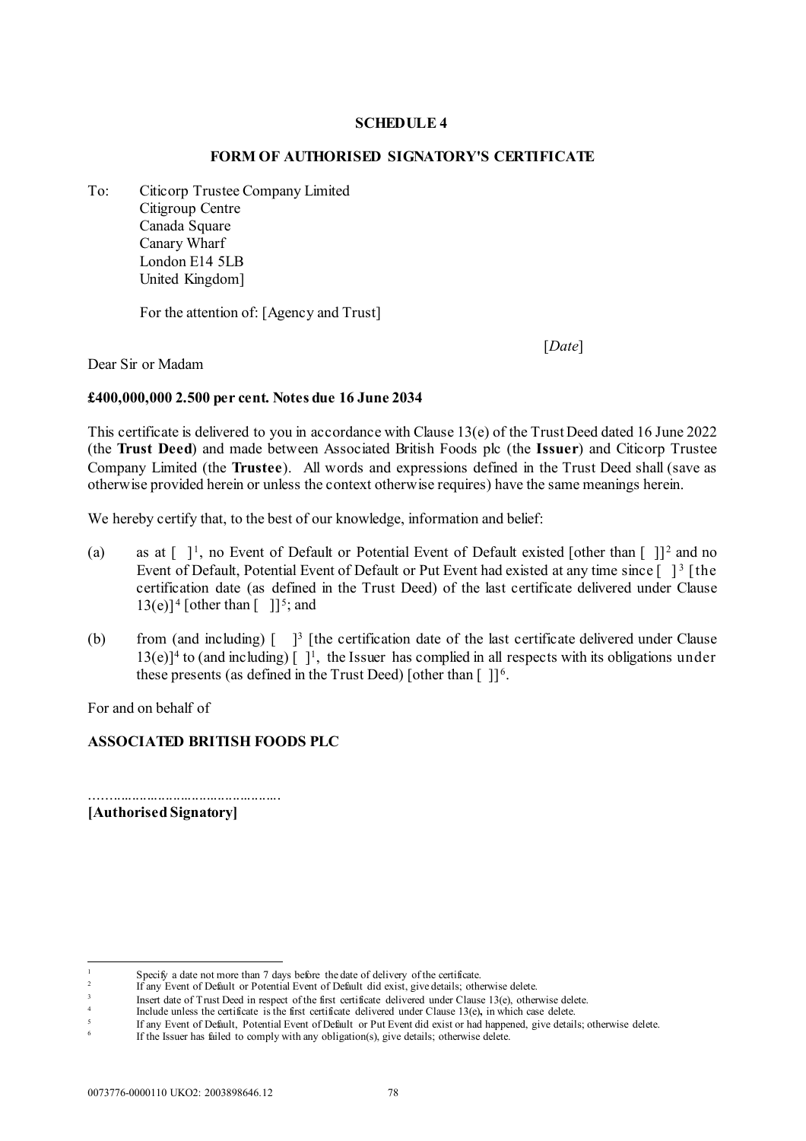#### **SCHEDULE 4**

#### **FORM OF AUTHORISED SIGNATORY'S CERTIFICATE**

To: Citicorp Trustee Company Limited Citigroup Centre Canada Square Canary Wharf London E14 5LB United Kingdom]

For the attention of: [Agency and Trust]

[*Date*]

Dear Sir or Madam

#### **£400,000,000 2.500 per cent. Notes due 16 June 2034**

This certificate is delivered to you in accordance with Clause [13\(](#page-15-0)e) of the Trust Deed dated 16 June 2022 (the **Trust Deed**) and made between Associated British Foods plc (the **Issuer**) and Citicorp Trustee Company Limited (the **Trustee**). All words and expressions defined in the Trust Deed shall (save as otherwise provided herein or unless the context otherwise requires) have the same meanings herein.

We hereby certify that, to the best of our knowledge, information and belief:

- (a) as at  $\lceil \; \rceil^1$  $\lceil \; \rceil^1$ , no Event of Default or Potential Event of Default existed [other than  $\lceil \; \rceil^2$  $\lceil \; \rceil^2$  and no Event of Default, Potential Event of Default or Put Event had existed at any time since [ ]<sup>[3](#page-79-2)</sup> [the certification date (as defined in the Trust Deed) of the last certificate delivered under Clause  $13(e)$  $13(e)$ <sup>1</sup> [other than  $\lceil$  1]<sup>[5](#page-79-4)</sup>; and
- (b) from (and including)  $\begin{bmatrix} 3 \\ 1 \end{bmatrix}$  [the certification date of the last certificate delivered under Clause  $13(e)$  $13(e)$ <sup>1</sup> to (and including)  $\lceil$  <sup>1</sup>, the Issuer has complied in all respects with its obligations under these presents (as defined in the Trust Deed) [other than  $[1]$ <sup>[6](#page-79-5)</sup>.

For and on behalf of

#### **ASSOCIATED BRITISH FOODS PLC**

**[Authorised Signatory]**

...................................................

<span id="page-79-0"></span><sup>&</sup>lt;sup>1</sup> Specify a date not more than 7 days before the date of delivery of the certificate.

<sup>2</sup> If any Event of Default or Potential Event of Default did exist, give details; otherwise delete.

<span id="page-79-3"></span><span id="page-79-2"></span><span id="page-79-1"></span><sup>3</sup> Insert date of Trust Deed in respect of the first certificate delivered under Clause [13\(e\),](#page-15-1) otherwise delete.

Include unless the certificate is the first certificate delivered under Claus[e 13\(e\)](#page-15-1), in which case delete.

<sup>5</sup> If any Event of Default, Potential Event of Default or Put Event did exist or had happened, give details; otherwise delete.

<span id="page-79-5"></span><span id="page-79-4"></span>If the Issuer has failed to comply with any obligation(s), give details; otherwise delete.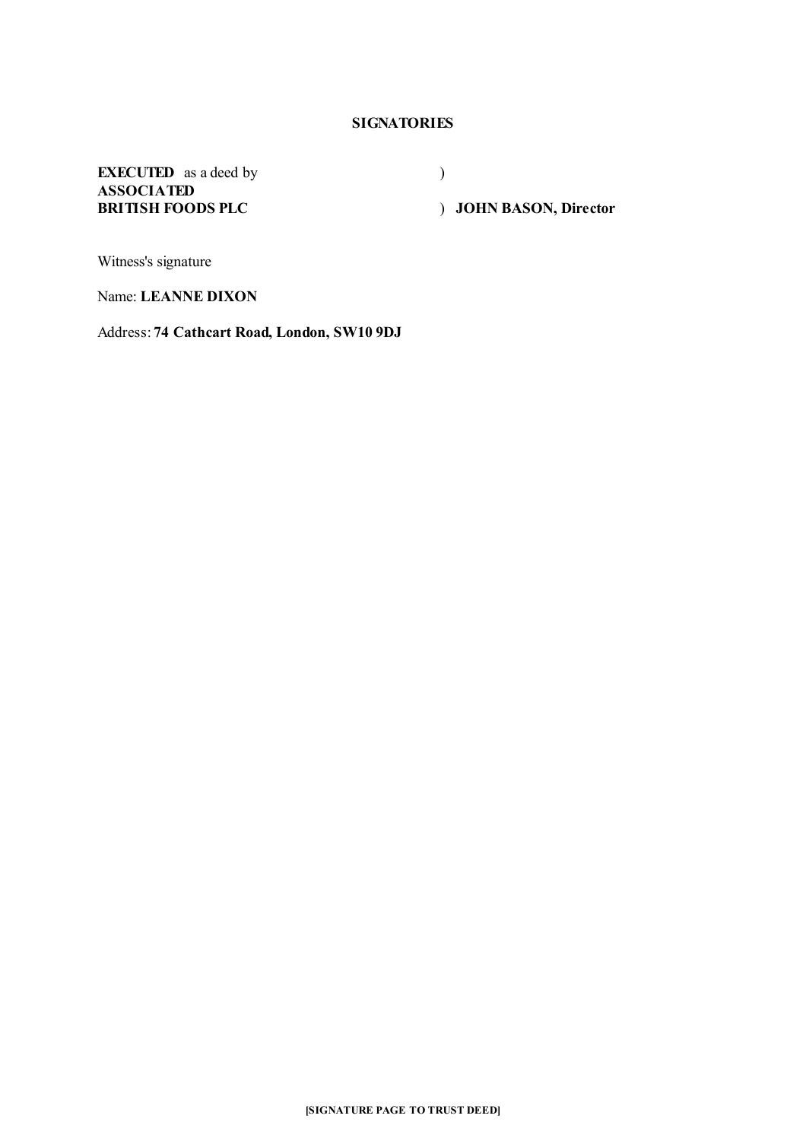## **SIGNATORIES**

**EXECUTED** as a deed by **ASSOCIATED BRITISH FOODS PLC**

)

) **JOHN BASON, Director**

Witness's signature

Name: **LEANNE DIXON**

Address: **74 Cathcart Road, London, SW10 9DJ**